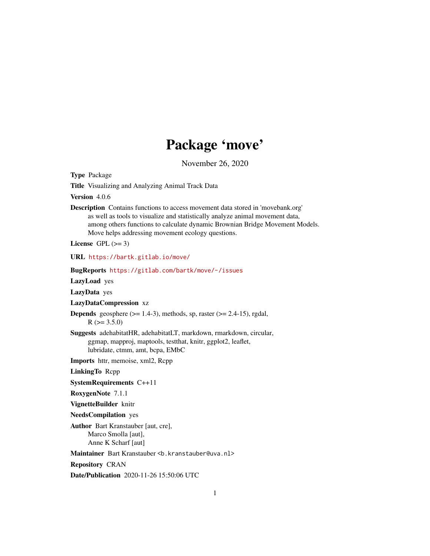# Package 'move'

November 26, 2020

<span id="page-0-0"></span>Type Package Title Visualizing and Analyzing Animal Track Data Version 4.0.6 Description Contains functions to access movement data stored in 'movebank.org' as well as tools to visualize and statistically analyze animal movement data, among others functions to calculate dynamic Brownian Bridge Movement Models. Move helps addressing movement ecology questions. License GPL  $(>= 3)$ URL <https://bartk.gitlab.io/move/> BugReports <https://gitlab.com/bartk/move/-/issues> LazyLoad yes LazyData yes LazyDataCompression xz **Depends** geosphere  $(>= 1.4-3)$ , methods, sp, raster  $(>= 2.4-15)$ , rgdal,  $R$  ( $>= 3.5.0$ ) Suggests adehabitatHR, adehabitatLT, markdown, rmarkdown, circular, ggmap, mapproj, maptools, testthat, knitr, ggplot2, leaflet, lubridate, ctmm, amt, bcpa, EMbC Imports httr, memoise, xml2, Rcpp LinkingTo Rcpp SystemRequirements C++11 RoxygenNote 7.1.1 VignetteBuilder knitr NeedsCompilation yes Author Bart Kranstauber [aut, cre], Marco Smolla [aut], Anne K Scharf [aut] Maintainer Bart Kranstauber <b. kranstauber@uva.nl> Repository CRAN Date/Publication 2020-11-26 15:50:06 UTC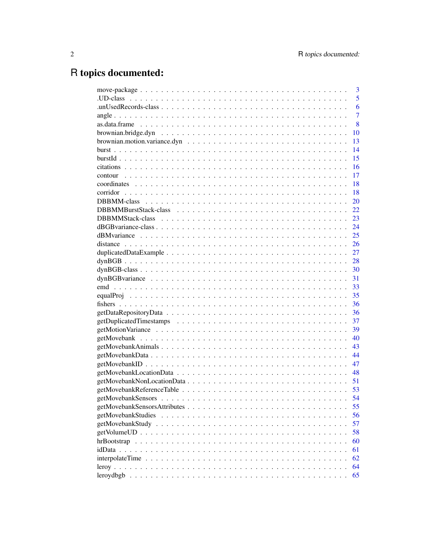# R topics documented:

| 3              |
|----------------|
| 5              |
| 6              |
| $\overline{7}$ |
| 8              |
| 10             |
| 13             |
| 14             |
| 15             |
| 16             |
| 17             |
| 18             |
| 18             |
| 20             |
| 22             |
| 23             |
| 24             |
| 25             |
| 26             |
| 27             |
| 28             |
| 30             |
| 31             |
| 33             |
| 35             |
| 36             |
| 36             |
| 37             |
| 39             |
| 40             |
| 43             |
| 44             |
| 47             |
| 48             |
| 51             |
| 53             |
| 54             |
| 55             |
| 56             |
| 57             |
| 58             |
| 60             |
| 61             |
| 62             |
| 64             |
| 65             |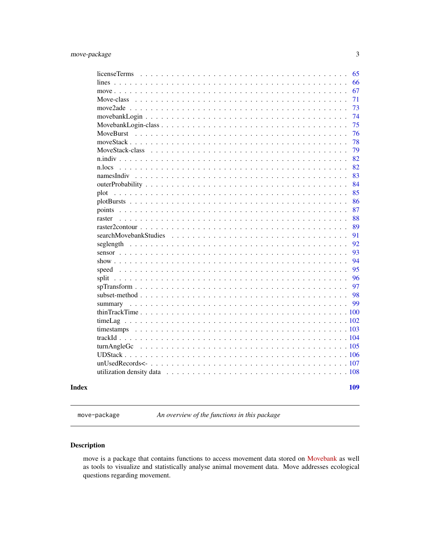<span id="page-2-0"></span>

| subset-method $\ldots$<br>thinTrackTime |                |  | $\sim$ $\sim$ $\sim$ |  |  | . |  |  |  | $\mathbf{r}$ , $\mathbf{r}$ , $\mathbf{r}$ , $\mathbf{r}$ , $\mathbf{r}$ |  |  |  |  |  | 97<br>98<br>99<br>100 |
|-----------------------------------------|----------------|--|----------------------|--|--|---|--|--|--|--------------------------------------------------------------------------|--|--|--|--|--|-----------------------|
|                                         |                |  |                      |  |  |   |  |  |  |                                                                          |  |  |  |  |  |                       |
|                                         |                |  |                      |  |  |   |  |  |  |                                                                          |  |  |  |  |  |                       |
|                                         |                |  |                      |  |  |   |  |  |  |                                                                          |  |  |  |  |  |                       |
|                                         |                |  |                      |  |  |   |  |  |  |                                                                          |  |  |  |  |  |                       |
|                                         |                |  |                      |  |  |   |  |  |  |                                                                          |  |  |  |  |  |                       |
|                                         |                |  |                      |  |  |   |  |  |  |                                                                          |  |  |  |  |  |                       |
|                                         |                |  |                      |  |  |   |  |  |  |                                                                          |  |  |  |  |  | 96                    |
| speed                                   | $\mathbf{r}$   |  |                      |  |  |   |  |  |  |                                                                          |  |  |  |  |  | 95                    |
| show $\ldots$                           |                |  |                      |  |  | . |  |  |  |                                                                          |  |  |  |  |  | 94                    |
| sensor $\ldots$                         |                |  |                      |  |  | . |  |  |  |                                                                          |  |  |  |  |  | 93                    |
|                                         |                |  |                      |  |  |   |  |  |  |                                                                          |  |  |  |  |  | 92                    |
| searchMovebankStudies                   |                |  |                      |  |  |   |  |  |  |                                                                          |  |  |  |  |  | 91                    |
| raster2contour $\ldots$ $\ldots$ .      |                |  |                      |  |  |   |  |  |  |                                                                          |  |  |  |  |  | 89                    |
| raster                                  |                |  |                      |  |  |   |  |  |  |                                                                          |  |  |  |  |  | 88                    |
|                                         |                |  |                      |  |  |   |  |  |  |                                                                          |  |  |  |  |  | 86<br>87              |
|                                         |                |  |                      |  |  |   |  |  |  |                                                                          |  |  |  |  |  | 85                    |
|                                         |                |  |                      |  |  |   |  |  |  |                                                                          |  |  |  |  |  | 84                    |
| namesIndiv                              |                |  |                      |  |  |   |  |  |  |                                                                          |  |  |  |  |  | 83                    |
| n.locs                                  |                |  |                      |  |  |   |  |  |  |                                                                          |  |  |  |  |  | 82                    |
|                                         |                |  |                      |  |  |   |  |  |  |                                                                          |  |  |  |  |  | 82                    |
| MoveStack-class                         |                |  |                      |  |  |   |  |  |  |                                                                          |  |  |  |  |  | 79                    |
|                                         |                |  |                      |  |  |   |  |  |  |                                                                          |  |  |  |  |  | 78                    |
|                                         |                |  |                      |  |  |   |  |  |  |                                                                          |  |  |  |  |  | 76                    |
|                                         |                |  |                      |  |  |   |  |  |  |                                                                          |  |  |  |  |  | 75                    |
|                                         |                |  |                      |  |  |   |  |  |  |                                                                          |  |  |  |  |  | 74                    |
|                                         |                |  |                      |  |  |   |  |  |  |                                                                          |  |  |  |  |  | 73                    |
| Move-class                              |                |  |                      |  |  |   |  |  |  |                                                                          |  |  |  |  |  | 71                    |
|                                         |                |  |                      |  |  |   |  |  |  |                                                                          |  |  |  |  |  | 67                    |
|                                         | licenseTerms   |  |                      |  |  |   |  |  |  |                                                                          |  |  |  |  |  | 65<br>66              |
|                                         | lines $\ldots$ |  |                      |  |  |   |  |  |  |                                                                          |  |  |  |  |  |                       |

move-package *An overview of the functions in this package*

# Description

move is a package that contains functions to access movement data stored on [Movebank](https://www.movebank.org) as well as tools to visualize and statistically analyse animal movement data. Move addresses ecological questions regarding movement.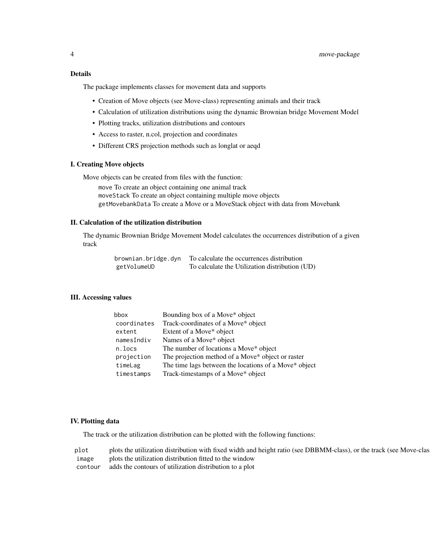# Details

The package implements classes for movement data and supports

- Creation of Move objects (see Move-class) representing animals and their track
- Calculation of utilization distributions using the dynamic Brownian bridge Movement Model
- Plotting tracks, utilization distributions and contours
- Access to raster, n.col, projection and coordinates
- Different CRS projection methods such as longlat or aeqd

# I. Creating Move objects

Move objects can be created from files with the function:

move To create an object containing one animal track moveStack To create an object containing multiple move objects getMovebankData To create a Move or a MoveStack object with data from Movebank

#### II. Calculation of the utilization distribution

The dynamic Brownian Bridge Movement Model calculates the occurrences distribution of a given track

| brownian.bridge.dyn | To calculate the occurrences distribution      |
|---------------------|------------------------------------------------|
| getVolumeUD         | To calculate the Utilization distribution (UD) |

# III. Accessing values

| bbox        | Bounding box of a Move* object                        |
|-------------|-------------------------------------------------------|
| coordinates | Track-coordinates of a Move* object                   |
| extent      | Extent of a Move* object                              |
| namesIndiv  | Names of a Move* object                               |
| n.locs      | The number of locations a Move* object                |
| projection  | The projection method of a Move* object or raster     |
| timeLag     | The time lags between the locations of a Move* object |
| timestamps  | Track-timestamps of a Move* object                    |
|             |                                                       |

#### IV. Plotting data

The track or the utilization distribution can be plotted with the following functions:

plot plots the utilization distribution with fixed width and height ratio (see DBBMM-class), or the track (see Move-class) image plots the utilization distribution fitted to the window

contour adds the contours of utilization distribution to a plot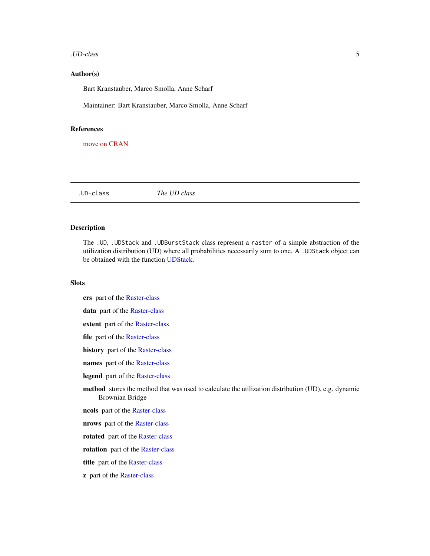#### <span id="page-4-0"></span>.UD-class 5

#### Author(s)

Bart Kranstauber, Marco Smolla, Anne Scharf

Maintainer: Bart Kranstauber, Marco Smolla, Anne Scharf

# References

[move on CRAN](https://CRAN.R-project.org/package=move)

<span id="page-4-1"></span>.UD-class *The UD class*

#### <span id="page-4-2"></span>Description

The .UD, .UDStack and .UDBurstStack class represent a raster of a simple abstraction of the utilization distribution (UD) where all probabilities necessarily sum to one. A .UDStack object can be obtained with the function [UDStack.](#page-105-1)

#### **Slots**

crs part of the [Raster-class](#page-0-0)

data part of the [Raster-class](#page-0-0)

extent part of the [Raster-class](#page-0-0)

file part of the [Raster-class](#page-0-0)

history part of the [Raster-class](#page-0-0)

- names part of the [Raster-class](#page-0-0)
- legend part of the [Raster-class](#page-0-0)

method stores the method that was used to calculate the utilization distribution (UD), e.g. dynamic Brownian Bridge

ncols part of the [Raster-class](#page-0-0)

nrows part of the [Raster-class](#page-0-0)

rotated part of the [Raster-class](#page-0-0)

rotation part of the [Raster-class](#page-0-0)

title part of the [Raster-class](#page-0-0)

z part of the [Raster-class](#page-0-0)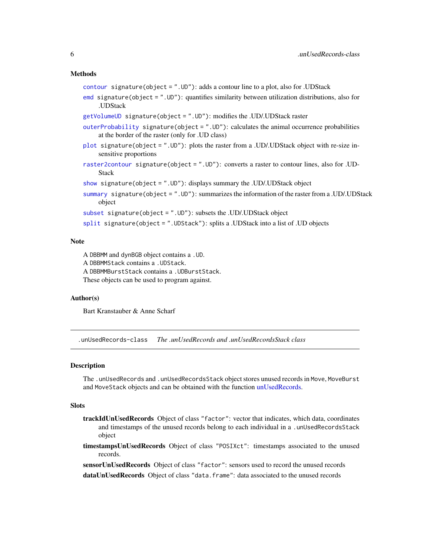#### <span id="page-5-0"></span>Methods

```
contour signature(object = ".UD): adds a contour line to a plot, also for .UDStack
```
[emd](#page-32-1) signature(object = ".UD"): quantifies similarity between utilization distributions, also for .UDStack

```
getVolumeUD signature(object = ".UD"): modifies the .UD/.UDStack raster
```
- [outerProbability](#page-83-1) signature(object = ".UD"): calculates the animal occurrence probabilities at the border of the raster (only for .UD class)
- [plot](#page-84-1) signature(object = ".UD"): plots the raster from a .UD/.UDStack object with re-size insensitive proportions
- [raster2contour](#page-88-1) signature(object = ".UD"): converts a raster to contour lines, also for .UD-Stack

```
show signature(object = ".UD"): displays summary the .UD/.UDStack object
```
[summary](#page-98-1) signature(object = ".UD"): summarizes the information of the raster from a .UD/.UDStack object

```
subset signature(object = ".UD"): subsets the .UD/.UDStack object
```

```
split signature(object = ".UDStack"): splits a .UDStack into a list of .UD objects
```
# Note

A DBBMM and dynBGB object contains a .UD. A DBBMMStack contains a .UDStack. A DBBMMBurstStack contains a .UDBurstStack. These objects can be used to program against.

#### Author(s)

Bart Kranstauber & Anne Scharf

.unUsedRecords-class *The .unUsedRecords and .unUsedRecordsStack class*

#### **Description**

The .unUsedRecords and .unUsedRecordsStack object stores unused records in Move, MoveBurst and MoveStack objects and can be obtained with the function [unUsedRecords.](#page-106-1)

#### Slots

- trackIdUnUsedRecords Object of class "factor": vector that indicates, which data, coordinates and timestamps of the unused records belong to each individual in a .unUsedRecordsStack object
- timestampsUnUsedRecords Object of class "POSIXct": timestamps associated to the unused records.

sensorUnUsedRecords Object of class "factor": sensors used to record the unused records

dataUnUsedRecords Object of class "data.frame": data associated to the unused records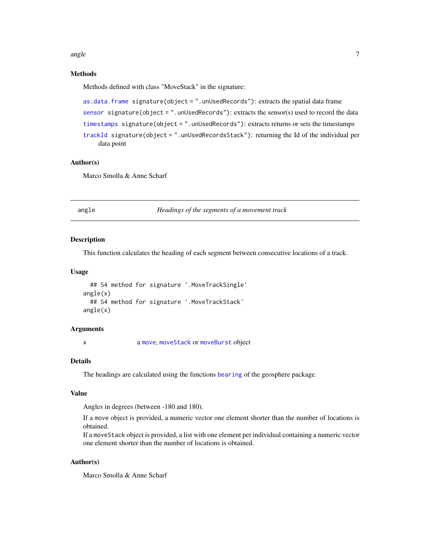<span id="page-6-0"></span>angle 7 and 7 and 7 and 7 and 7 and 7 and 7 and 7 and 7 and 7 and 7 and 7 and 7 and 7 and 7 and 7 and 7 and 7 and 7 and 7 and 7 and 7 and 7 and 7 and 7 and 7 and 7 and 7 and 7 and 7 and 7 and 7 and 7 and 7 and 7 and 7 and

# Methods

Methods defined with class "MoveStack" in the signature:

```
as.data.frame signature(object = ".unUsedRecords"): extracts the spatial data frame
sensor signature(object = ".unUsedRecords"): extracts the sensor(s) used to record the data
timestamps signature(object = ".unUsedRecords"): extracts returns or sets the timestamps
trackId signature(object = ".unUsedRecordsStack"): returning the Id of the individual per
    data point
```
#### Author(s)

Marco Smolla & Anne Scharf

angle *Headings of the segments of a movement track*

# **Description**

This function calculates the heading of each segment between consecutive locations of a track.

#### Usage

```
## S4 method for signature '.MoveTrackSingle'
angle(x)
  ## S4 method for signature '.MoveTrackStack'
angle(x)
```
#### Arguments

x a [move](#page-70-1), [moveStack](#page-78-1) or [moveBurst](#page-75-1) object

# Details

The headings are calculated using the functions [bearing](#page-0-0) of the geosphere package.

# Value

Angles in degrees (between -180 and 180).

If a move object is provided, a numeric vector one element shorter than the number of locations is obtained.

If a moveStack object is provided, a list with one element per individual containing a numeric vector one element shorter than the number of locations is obtained.

# Author(s)

Marco Smolla & Anne Scharf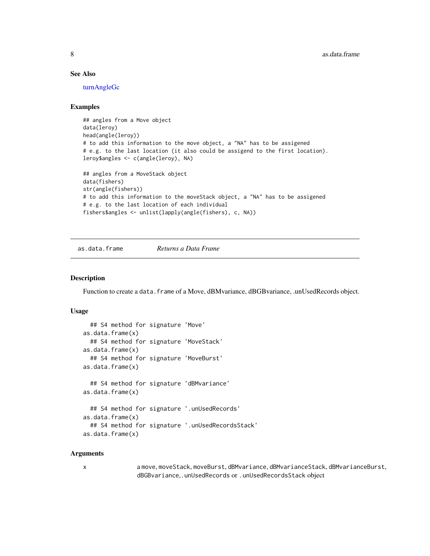# <span id="page-7-0"></span>See Also

[turnAngleGc](#page-104-1)

#### Examples

```
## angles from a Move object
data(leroy)
head(angle(leroy))
# to add this information to the move object, a "NA" has to be assigened
# e.g. to the last location (it also could be assigend to the first location).
leroy$angles <- c(angle(leroy), NA)
## angles from a MoveStack object
data(fishers)
str(angle(fishers))
# to add this information to the moveStack object, a "NA" has to be assigened
# e.g. to the last location of each individual
fishers$angles <- unlist(lapply(angle(fishers), c, NA))
```
<span id="page-7-1"></span>as.data.frame *Returns a Data Frame*

# Description

Function to create a data.frame of a Move, dBMvariance, dBGBvariance, .unUsedRecords object.

### Usage

```
## S4 method for signature 'Move'
as.data.frame(x)
  ## S4 method for signature 'MoveStack'
as.data.frame(x)
  ## S4 method for signature 'MoveBurst'
as.data.frame(x)
  ## S4 method for signature 'dBMvariance'
as.data.frame(x)
  ## S4 method for signature '.unUsedRecords'
as.data.frame(x)
  ## S4 method for signature '.unUsedRecordsStack'
as.data.frame(x)
```
#### Arguments

x a move, moveStack, moveBurst, dBMvariance, dBMvarianceStack, dBMvarianceBurst, dBGBvariance,.unUsedRecords or .unUsedRecordsStack object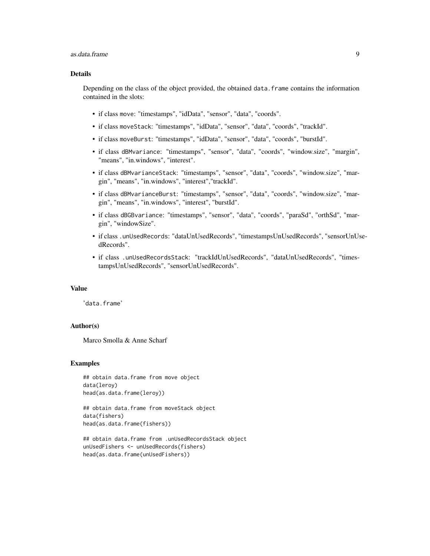#### as.data.frame 9

# Details

Depending on the class of the object provided, the obtained data.frame contains the information contained in the slots:

- if class move: "timestamps", "idData", "sensor", "data", "coords".
- if class moveStack: "timestamps", "idData", "sensor", "data", "coords", "trackId".
- if class moveBurst: "timestamps", "idData", "sensor", "data", "coords", "burstId".
- if class dBMvariance: "timestamps", "sensor", "data", "coords", "window.size", "margin", "means", "in.windows", "interest".
- if class dBMvarianceStack: "timestamps", "sensor", "data", "coords", "window.size", "margin", "means", "in.windows", "interest","trackId".
- if class dBMvarianceBurst: "timestamps", "sensor", "data", "coords", "window.size", "margin", "means", "in.windows", "interest", "burstId".
- if class dBGBvariance: "timestamps", "sensor", "data", "coords", "paraSd", "orthSd", "margin", "windowSize".
- if class .unUsedRecords: "dataUnUsedRecords", "timestampsUnUsedRecords", "sensorUnUsedRecords".
- if class .unUsedRecordsStack: "trackIdUnUsedRecords", "dataUnUsedRecords", "timestampsUnUsedRecords", "sensorUnUsedRecords".

#### Value

'data.frame'

# Author(s)

Marco Smolla & Anne Scharf

```
## obtain data.frame from move object
data(leroy)
head(as.data.frame(leroy))
```

```
## obtain data.frame from moveStack object
data(fishers)
head(as.data.frame(fishers))
```

```
## obtain data.frame from .unUsedRecordsStack object
unUsedFishers <- unUsedRecords(fishers)
head(as.data.frame(unUsedFishers))
```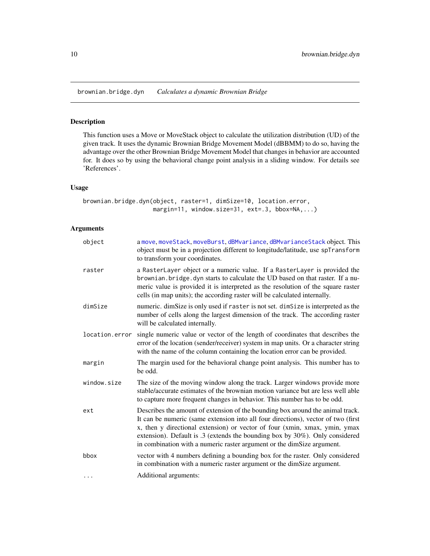<span id="page-9-1"></span><span id="page-9-0"></span>brownian.bridge.dyn *Calculates a dynamic Brownian Bridge*

### Description

This function uses a Move or MoveStack object to calculate the utilization distribution (UD) of the given track. It uses the dynamic Brownian Bridge Movement Model (dBBMM) to do so, having the advantage over the other Brownian Bridge Movement Model that changes in behavior are accounted for. It does so by using the behavioral change point analysis in a sliding window. For details see 'References'.

#### Usage

```
brownian.bridge.dyn(object, raster=1, dimSize=10, location.error,
                   margin=11, window.size=31, ext=.3, bbox=NA,...)
```
# Arguments

| object         | a move, moveStack, moveBurst, dBMvariance, dBMvarianceStack object. This<br>object must be in a projection different to longitude/latitude, use spTransform<br>to transform your coordinates.                                                                                                                                                                                                               |
|----------------|-------------------------------------------------------------------------------------------------------------------------------------------------------------------------------------------------------------------------------------------------------------------------------------------------------------------------------------------------------------------------------------------------------------|
| raster         | a RasterLayer object or a numeric value. If a RasterLayer is provided the<br>brownian. bridge. dyn starts to calculate the UD based on that raster. If a nu-<br>meric value is provided it is interpreted as the resolution of the square raster<br>cells (in map units); the according raster will be calculated internally.                                                                               |
| dimSize        | numeric. dimSize is only used if raster is not set. dimSize is interpreted as the<br>number of cells along the largest dimension of the track. The according raster<br>will be calculated internally.                                                                                                                                                                                                       |
| location.error | single numeric value or vector of the length of coordinates that describes the<br>error of the location (sender/receiver) system in map units. Or a character string<br>with the name of the column containing the location error can be provided.                                                                                                                                                          |
| margin         | The margin used for the behavioral change point analysis. This number has to<br>be odd.                                                                                                                                                                                                                                                                                                                     |
| window.size    | The size of the moving window along the track. Larger windows provide more<br>stable/accurate estimates of the brownian motion variance but are less well able<br>to capture more frequent changes in behavior. This number has to be odd.                                                                                                                                                                  |
| ext            | Describes the amount of extension of the bounding box around the animal track.<br>It can be numeric (same extension into all four directions), vector of two (first<br>x, then y directional extension) or vector of four (xmin, xmax, ymin, ymax<br>extension). Default is .3 (extends the bounding box by 30%). Only considered<br>in combination with a numeric raster argument or the dimSize argument. |
| bbox           | vector with 4 numbers defining a bounding box for the raster. Only considered<br>in combination with a numeric raster argument or the dimSize argument.                                                                                                                                                                                                                                                     |
| $\cdots$       | Additional arguments:                                                                                                                                                                                                                                                                                                                                                                                       |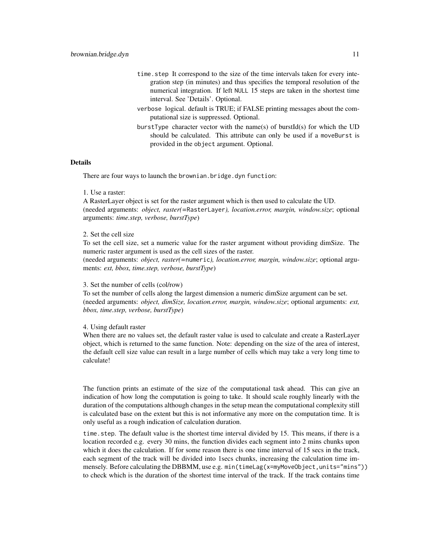- time.step It correspond to the size of the time intervals taken for every integration step (in minutes) and thus specifies the temporal resolution of the numerical integration. If left NULL 15 steps are taken in the shortest time interval. See 'Details'. Optional.
- verbose logical. default is TRUE; if FALSE printing messages about the computational size is suppressed. Optional.
- burstType character vector with the name(s) of burstId(s) for which the UD should be calculated. This attribute can only be used if a moveBurst is provided in the object argument. Optional.

# Details

There are four ways to launch the brownian.bridge.dyn function:

#### 1. Use a raster:

A RasterLayer object is set for the raster argument which is then used to calculate the UD. (needed arguments: *object, raster(=*RasterLayer*), location.error, margin, window.size*; optional arguments: *time.step, verbose, burstType*)

#### 2. Set the cell size

To set the cell size, set a numeric value for the raster argument without providing dimSize. The numeric raster argument is used as the cell sizes of the raster.

(needed arguments: *object, raster(=*numeric*), location.error, margin, window.size*; optional arguments: *ext, bbox, time.step, verbose, burstType*)

#### 3. Set the number of cells (col/row)

To set the number of cells along the largest dimension a numeric dimSize argument can be set. (needed arguments: *object, dimSize, location.error, margin, window.size*; optional arguments: *ext, bbox, time.step, verbose, burstType*)

#### 4. Using default raster

When there are no values set, the default raster value is used to calculate and create a RasterLayer object, which is returned to the same function. Note: depending on the size of the area of interest, the default cell size value can result in a large number of cells which may take a very long time to calculate!

The function prints an estimate of the size of the computational task ahead. This can give an indication of how long the computation is going to take. It should scale roughly linearly with the duration of the computations although changes in the setup mean the computational complexity still is calculated base on the extent but this is not informative any more on the computation time. It is only useful as a rough indication of calculation duration.

time.step. The default value is the shortest time interval divided by 15. This means, if there is a location recorded e.g. every 30 mins, the function divides each segment into 2 mins chunks upon which it does the calculation. If for some reason there is one time interval of 15 secs in the track, each segment of the track will be divided into 1secs chunks, increasing the calculation time immensely. Before calculating the DBBMM, use e.g. min(timeLag(x=myMoveObject,units="mins")) to check which is the duration of the shortest time interval of the track. If the track contains time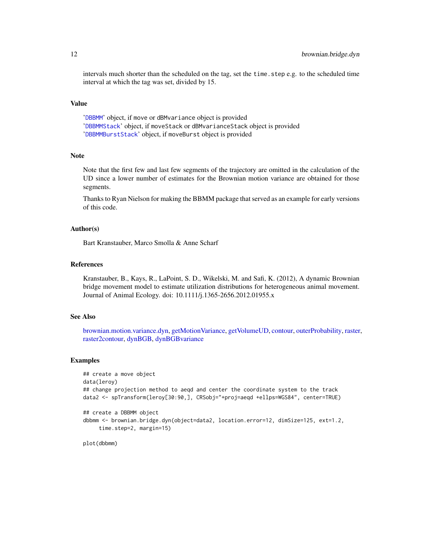intervals much shorter than the scheduled on the tag, set the time.step e.g. to the scheduled time interval at which the tag was set, divided by 15.

#### Value

'[DBBMM](#page-19-1)' object, if move or dBMvariance object is provided '[DBBMMStack](#page-22-1)' object, if moveStack or dBMvarianceStack object is provided '[DBBMMBurstStack](#page-21-1)' object, if moveBurst object is provided

#### **Note**

Note that the first few and last few segments of the trajectory are omitted in the calculation of the UD since a lower number of estimates for the Brownian motion variance are obtained for those segments.

Thanks to Ryan Nielson for making the BBMM package that served as an example for early versions of this code.

# Author(s)

Bart Kranstauber, Marco Smolla & Anne Scharf

## References

Kranstauber, B., Kays, R., LaPoint, S. D., Wikelski, M. and Safi, K. (2012), A dynamic Brownian bridge movement model to estimate utilization distributions for heterogeneous animal movement. Journal of Animal Ecology. doi: 10.1111/j.1365-2656.2012.01955.x

# See Also

[brownian.motion.variance.dyn,](#page-12-1) [getMotionVariance,](#page-38-1) [getVolumeUD,](#page-57-1) [contour,](#page-16-1) [outerProbability,](#page-83-1) [raster,](#page-87-1) [raster2contour,](#page-88-1) [dynBGB,](#page-27-1) [dynBGBvariance](#page-30-1)

#### Examples

```
## create a move object
data(leroy)
## change projection method to aeqd and center the coordinate system to the track
data2 <- spTransform(leroy[30:90,], CRSobj="+proj=aeqd +ellps=WGS84", center=TRUE)
## create a DBBMM object
dbbmm <- brownian.bridge.dyn(object=data2, location.error=12, dimSize=125, ext=1.2,
     time.step=2, margin=15)
```
plot(dbbmm)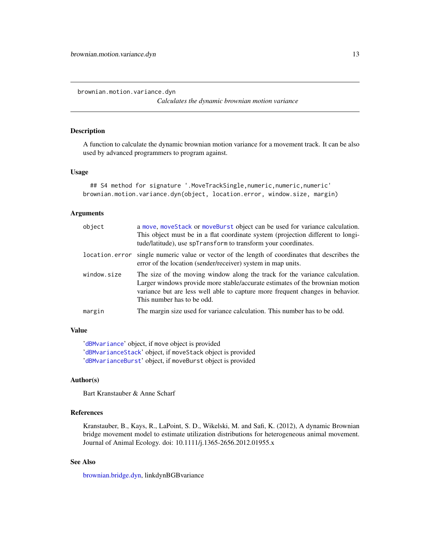<span id="page-12-1"></span><span id="page-12-0"></span>brownian.motion.variance.dyn

*Calculates the dynamic brownian motion variance*

# Description

A function to calculate the dynamic brownian motion variance for a movement track. It can be also used by advanced programmers to program against.

#### Usage

```
## S4 method for signature '.MoveTrackSingle,numeric,numeric,numeric'
brownian.motion.variance.dyn(object, location.error, window.size, margin)
```
#### Arguments

| object         | a move, moveStack or moveBurst object can be used for variance calculation.<br>This object must be in a flat coordinate system (projection different to longi-<br>tude/latitude), use spTransform to transform your coordinates.                                           |
|----------------|----------------------------------------------------------------------------------------------------------------------------------------------------------------------------------------------------------------------------------------------------------------------------|
| location.error | single numeric value or vector of the length of coordinates that describes the<br>error of the location (sender/receiver) system in map units.                                                                                                                             |
| window.size    | The size of the moving window along the track for the variance calculation.<br>Larger windows provide more stable/accurate estimates of the brownian motion<br>variance but are less well able to capture more frequent changes in behavior.<br>This number has to be odd. |
| margin         | The margin size used for variance calculation. This number has to be odd.                                                                                                                                                                                                  |

# Value

'[dBMvariance](#page-24-1)' object, if move object is provided '[dBMvarianceStack](#page-24-1)' object, if moveStack object is provided '[dBMvarianceBurst](#page-24-1)' object, if moveBurst object is provided

#### Author(s)

Bart Kranstauber & Anne Scharf

# References

Kranstauber, B., Kays, R., LaPoint, S. D., Wikelski, M. and Safi, K. (2012), A dynamic Brownian bridge movement model to estimate utilization distributions for heterogeneous animal movement. Journal of Animal Ecology. doi: 10.1111/j.1365-2656.2012.01955.x

# See Also

[brownian.bridge.dyn,](#page-9-1) linkdynBGBvariance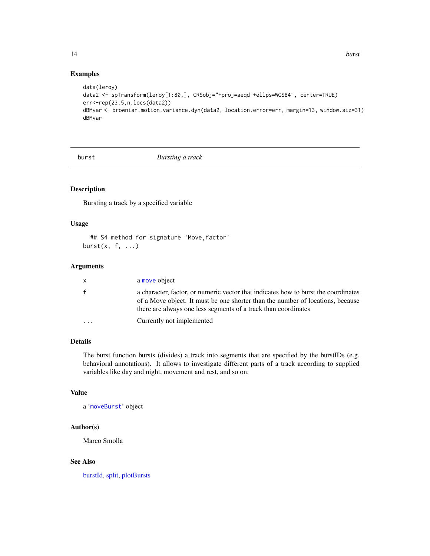# Examples

```
data(leroy)
data2 <- spTransform(leroy[1:80,], CRSobj="+proj=aeqd +ellps=WGS84", center=TRUE)
err<-rep(23.5,n.locs(data2))
dBMvar <- brownian.motion.variance.dyn(data2, location.error=err, margin=13, window.siz=31)
dBMvar
```
<span id="page-13-1"></span>

burst *Bursting a track*

# Description

Bursting a track by a specified variable

# Usage

## S4 method for signature 'Move, factor' burst $(x, f, \ldots)$ 

# Arguments

| X.                      | a move object                                                                                                                                                                                                                          |
|-------------------------|----------------------------------------------------------------------------------------------------------------------------------------------------------------------------------------------------------------------------------------|
| f                       | a character, factor, or numeric vector that indicates how to burst the coordinates<br>of a Move object. It must be one shorter than the number of locations, because<br>there are always one less segments of a track than coordinates |
| $\cdot$ $\cdot$ $\cdot$ | Currently not implemented                                                                                                                                                                                                              |

# Details

The burst function bursts (divides) a track into segments that are specified by the burstIDs (e.g. behavioral annotations). It allows to investigate different parts of a track according to supplied variables like day and night, movement and rest, and so on.

#### Value

a '[moveBurst](#page-75-1)' object

# Author(s)

Marco Smolla

#### See Also

[burstId,](#page-14-1) [split,](#page-95-1) [plotBursts](#page-85-1)

<span id="page-13-0"></span>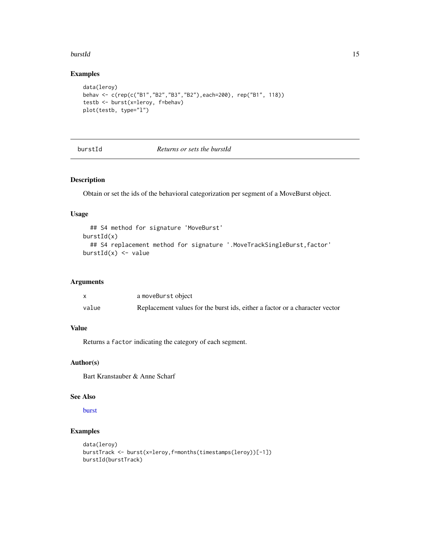#### <span id="page-14-0"></span>burstId and the contract of the contract of the contract of the contract of the contract of the contract of the contract of the contract of the contract of the contract of the contract of the contract of the contract of th

# Examples

```
data(leroy)
behav <- c(rep(c("B1","B2","B3","B2"),each=200), rep("B1", 118))
testb <- burst(x=leroy, f=behav)
plot(testb, type="l")
```
# burstId *Returns or sets the burstId*

#### Description

Obtain or set the ids of the behavioral categorization per segment of a MoveBurst object.

# Usage

```
## S4 method for signature 'MoveBurst'
burstId(x)
  ## S4 replacement method for signature '.MoveTrackSingleBurst, factor'
burstId(x) <- value
```
# Arguments

|       | a moveBurst object                                                          |
|-------|-----------------------------------------------------------------------------|
| value | Replacement values for the burst ids, either a factor or a character vector |

# Value

Returns a factor indicating the category of each segment.

# Author(s)

Bart Kranstauber & Anne Scharf

#### See Also

[burst](#page-13-1)

```
data(leroy)
burstTrack <- burst(x=leroy,f=months(timestamps(leroy))[-1])
burstId(burstTrack)
```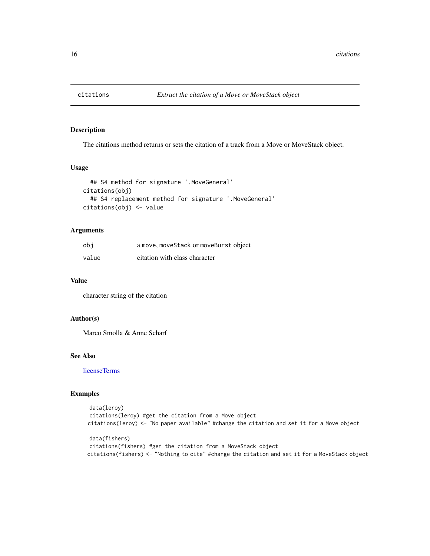<span id="page-15-0"></span>

#### Description

The citations method returns or sets the citation of a track from a Move or MoveStack object.

# Usage

```
## S4 method for signature '.MoveGeneral'
citations(obj)
  ## S4 replacement method for signature '.MoveGeneral'
citations(obj) <- value
```
# Arguments

| obi   | a move, moveStack or moveBurst object |
|-------|---------------------------------------|
| value | citation with class character         |

# Value

character string of the citation

#### Author(s)

Marco Smolla & Anne Scharf

# See Also

[licenseTerms](#page-64-1)

```
data(leroy)
citations(leroy) #get the citation from a Move object
citations(leroy) <- "No paper available" #change the citation and set it for a Move object
```

```
data(fishers)
citations(fishers) #get the citation from a MoveStack object
citations(fishers) <- "Nothing to cite" #change the citation and set it for a MoveStack object
```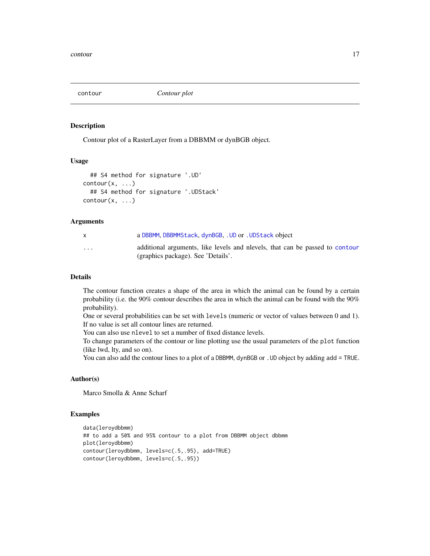<span id="page-16-1"></span><span id="page-16-0"></span>contour *Contour plot*

#### Description

Contour plot of a RasterLayer from a DBBMM or dynBGB object.

#### Usage

```
## S4 method for signature '.UD'
contour(x, \ldots)## S4 method for signature '.UDStack'
contour(x, \ldots)
```
#### Arguments

|                         | a DBBMM, DBBMMStack, dynBGB, . UD or . UDStack object                                                             |
|-------------------------|-------------------------------------------------------------------------------------------------------------------|
| $\cdot$ $\cdot$ $\cdot$ | additional arguments, like levels and nevels, that can be passed to contour<br>(graphics package). See 'Details'. |

#### Details

The contour function creates a shape of the area in which the animal can be found by a certain probability (i.e. the 90% contour describes the area in which the animal can be found with the 90% probability).

One or several probabilities can be set with levels (numeric or vector of values between 0 and 1). If no value is set all contour lines are returned.

You can also use nlevel to set a number of fixed distance levels.

To change parameters of the contour or line plotting use the usual parameters of the plot function (like lwd, lty, and so on).

You can also add the contour lines to a plot of a DBBMM, dynBGB or . UD object by adding add = TRUE.

# Author(s)

Marco Smolla & Anne Scharf

```
data(leroydbbmm)
## to add a 50% and 95% contour to a plot from DBBMM object dbbmm
plot(leroydbbmm)
contour(leroydbbmm, levels=c(.5,.95), add=TRUE)
contour(leroydbbmm, levels=c(.5,.95))
```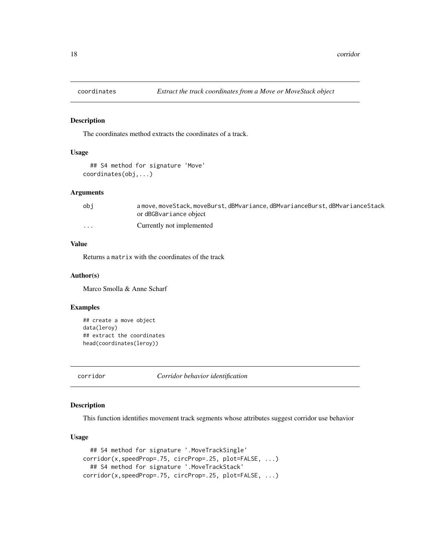<span id="page-17-1"></span><span id="page-17-0"></span>

# Description

The coordinates method extracts the coordinates of a track.

#### Usage

```
## S4 method for signature 'Move'
coordinates(obj,...)
```
# Arguments

| obi                     | a move, moveStack, moveBurst, dBMvariance, dBMvarianceBurst, dBMvarianceStack |
|-------------------------|-------------------------------------------------------------------------------|
|                         | or dBGBvariance object                                                        |
| $\cdot$ $\cdot$ $\cdot$ | Currently not implemented                                                     |

# Value

Returns a matrix with the coordinates of the track

#### Author(s)

Marco Smolla & Anne Scharf

#### Examples

```
## create a move object
data(leroy)
## extract the coordinates
head(coordinates(leroy))
```
corridor *Corridor behavior identification*

# Description

This function identifies movement track segments whose attributes suggest corridor use behavior

# Usage

```
## S4 method for signature '.MoveTrackSingle'
corridor(x,speedProp=.75, circProp=.25, plot=FALSE, ...)
  ## S4 method for signature '.MoveTrackStack'
corridor(x,speedProp=.75, circProp=.25, plot=FALSE, ...)
```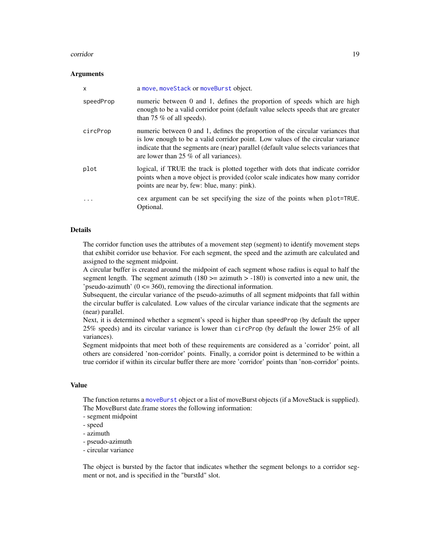#### corridor to the control of the control of the control of the control of the control of the control of the control of the control of the control of the control of the control of the control of the control of the control of

#### **Arguments**

| $\mathsf{x}$ | a move, moveStack or moveBurst object.                                                                                                                                                                                                                                                                |
|--------------|-------------------------------------------------------------------------------------------------------------------------------------------------------------------------------------------------------------------------------------------------------------------------------------------------------|
| speedProp    | numeric between 0 and 1, defines the proportion of speeds which are high<br>enough to be a valid corridor point (default value selects speeds that are greater<br>than 75 $\%$ of all speeds).                                                                                                        |
| circProp     | numeric between 0 and 1, defines the proportion of the circular variances that<br>is low enough to be a valid corridor point. Low values of the circular variance<br>indicate that the segments are (near) parallel (default value selects variances that<br>are lower than $25\%$ of all variances). |
| plot         | logical, if TRUE the track is plotted together with dots that indicate corridor<br>points when a move object is provided (color scale indicates how many corridor<br>points are near by, few: blue, many: pink).                                                                                      |
|              | cex argument can be set specifying the size of the points when plot=TRUE.<br>Optional.                                                                                                                                                                                                                |

#### Details

The corridor function uses the attributes of a movement step (segment) to identify movement steps that exhibit corridor use behavior. For each segment, the speed and the azimuth are calculated and assigned to the segment midpoint.

A circular buffer is created around the midpoint of each segment whose radius is equal to half the segment length. The segment azimuth (180  $>=$  azimuth  $>$  -180) is converted into a new unit, the 'pseudo-azimuth'  $(0 \le 360)$ , removing the directional information.

Subsequent, the circular variance of the pseudo-azimuths of all segment midpoints that fall within the circular buffer is calculated. Low values of the circular variance indicate that the segments are (near) parallel.

Next, it is determined whether a segment's speed is higher than speedProp (by default the upper 25% speeds) and its circular variance is lower than circProp (by default the lower 25% of all variances).

Segment midpoints that meet both of these requirements are considered as a 'corridor' point, all others are considered 'non-corridor' points. Finally, a corridor point is determined to be within a true corridor if within its circular buffer there are more 'corridor' points than 'non-corridor' points.

#### Value

The function returns a [moveBurst](#page-75-1) object or a list of moveBurst objects (if a MoveStack is supplied). The MoveBurst date.frame stores the following information:

- segment midpoint
- speed
- azimuth
- pseudo-azimuth
- circular variance

The object is bursted by the factor that indicates whether the segment belongs to a corridor segment or not, and is specified in the "burstId" slot.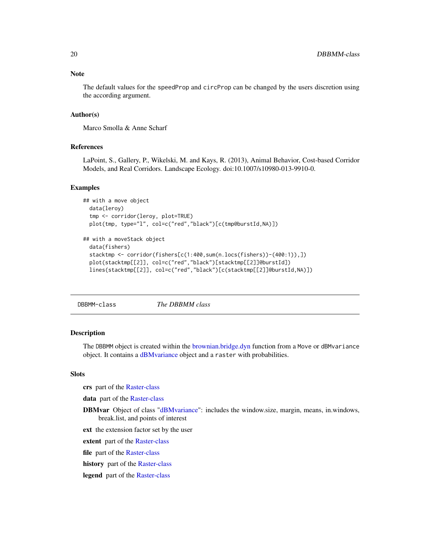#### <span id="page-19-0"></span>Note

The default values for the speedProp and circProp can be changed by the users discretion using the according argument.

#### Author(s)

Marco Smolla & Anne Scharf

# References

LaPoint, S., Gallery, P., Wikelski, M. and Kays, R. (2013), Animal Behavior, Cost-based Corridor Models, and Real Corridors. Landscape Ecology. doi:10.1007/s10980-013-9910-0.

#### Examples

```
## with a move object
 data(leroy)
 tmp <- corridor(leroy, plot=TRUE)
 plot(tmp, type="l", col=c("red","black")[c(tmp@burstId,NA)])
```

```
## with a moveStack object
 data(fishers)
 stacktmp <- corridor(fishers[c(1:400,sum(n.locs(fishers))-(400:1)),])
 plot(stacktmp[[2]], col=c("red","black")[stacktmp[[2]]@burstId])
 lines(stacktmp[[2]], col=c("red","black")[c(stacktmp[[2]]@burstId,NA)])
```
<span id="page-19-1"></span>DBBMM-class *The DBBMM class*

#### **Description**

The DBBMM object is created within the [brownian.bridge.dyn](#page-9-1) function from a Move or dBMvariance object. It contains a [dBMvariance](#page-24-1) object and a raster with probabilities.

#### Slots

crs part of the [Raster-class](#page-0-0)

data part of the [Raster-class](#page-0-0)

- DBMvar Object of class ["dBMvariance"](#page-24-1): includes the window.size, margin, means, in.windows, break.list, and points of interest
- ext the extension factor set by the user

extent part of the [Raster-class](#page-0-0)

file part of the [Raster-class](#page-0-0)

- history part of the [Raster-class](#page-0-0)
- legend part of the [Raster-class](#page-0-0)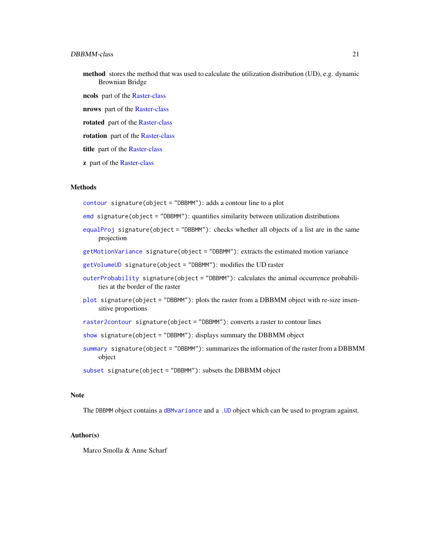#### DBBMM-class 21

- method stores the method that was used to calculate the utilization distribution (UD), e.g. dynamic Brownian Bridge
- ncols part of the [Raster-class](#page-0-0)
- nrows part of the [Raster-class](#page-0-0)
- rotated part of the [Raster-class](#page-0-0)
- rotation part of the [Raster-class](#page-0-0)
- title part of the [Raster-class](#page-0-0)
- z part of the [Raster-class](#page-0-0)

#### Methods

- [contour](#page-16-1) signature(object = "DBBMM"): adds a contour line to a plot
- [emd](#page-32-1) signature(object = "DBBMM"): quantifies similarity between utilization distributions
- [equalProj](#page-34-1) signature(object = "DBBMM"): checks whether all objects of a list are in the same projection
- [getMotionVariance](#page-38-1) signature(object = "DBBMM"): extracts the estimated motion variance
- [getVolumeUD](#page-57-1) signature(object = "DBBMM"): modifies the UD raster
- [outerProbability](#page-83-1) signature(object = "DBBMM"): calculates the animal occurrence probabilities at the border of the raster
- [plot](#page-84-1) signature(object = "DBBMM"): plots the raster from a DBBMM object with re-size insensitive proportions
- [raster2contour](#page-88-1) signature(object = "DBBMM"): converts a raster to contour lines
- [show](#page-93-1) signature(object = "DBBMM"): displays summary the DBBMM object
- [summary](#page-98-1) signature(object = "DBBMM"): summarizes the information of the raster from a DBBMM object
- [subset](#page-0-0) signature(object = "DBBMM"): subsets the DBBMM object

#### Note

The DBBMM object contains a [dBMvariance](#page-24-1) and a [.UD](#page-4-1) object which can be used to program against.

#### Author(s)

Marco Smolla & Anne Scharf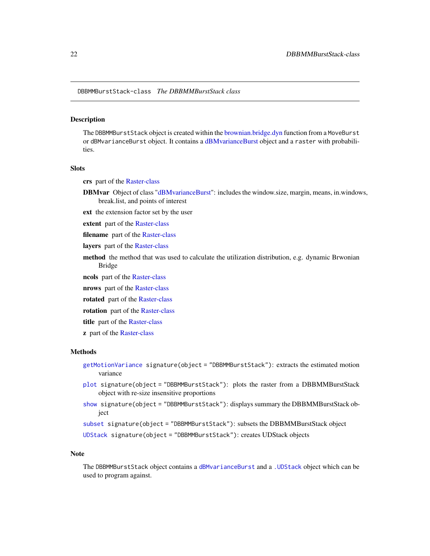#### <span id="page-21-1"></span><span id="page-21-0"></span>Description

The DBBMMBurstStack object is created within the [brownian.bridge.dyn](#page-9-1) function from a MoveBurst or dBMvarianceBurst object. It contains a [dBMvarianceBurst](#page-24-1) object and a raster with probabilities.

#### **Slots**

crs part of the [Raster-class](#page-0-0)

- DBMvar Object of class ["dBMvarianceBurst"](#page-24-1): includes the window.size, margin, means, in.windows, break.list, and points of interest
- ext the extension factor set by the user
- extent part of the [Raster-class](#page-0-0)
- filename part of the [Raster-class](#page-0-0)
- layers part of the [Raster-class](#page-0-0)
- method the method that was used to calculate the utilization distribution, e.g. dynamic Brwonian Bridge
- ncols part of the [Raster-class](#page-0-0)
- nrows part of the [Raster-class](#page-0-0)
- rotated part of the [Raster-class](#page-0-0)
- rotation part of the [Raster-class](#page-0-0)
- title part of the [Raster-class](#page-0-0)
- **z** part of the [Raster-class](#page-0-0)

#### Methods

- [getMotionVariance](#page-38-1) signature(object = "DBBMMBurstStack"): extracts the estimated motion variance
- [plot](#page-84-1) signature(object = "DBBMMBurstStack"): plots the raster from a DBBMMBurstStack object with re-size insensitive proportions
- [show](#page-93-1) signature(object = "DBBMMBurstStack"): displays summary the DBBMMBurstStack object

[subset](#page-0-0) signature(object = "DBBMMBurstStack"): subsets the DBBMMBurstStack object

[UDStack](#page-105-1) signature(object = "DBBMMBurstStack"): creates UDStack objects

#### Note

The DBBMMBurstStack object contains a [dBMvarianceBurst](#page-24-1) and a [.UDStack](#page-4-1) object which can be used to program against.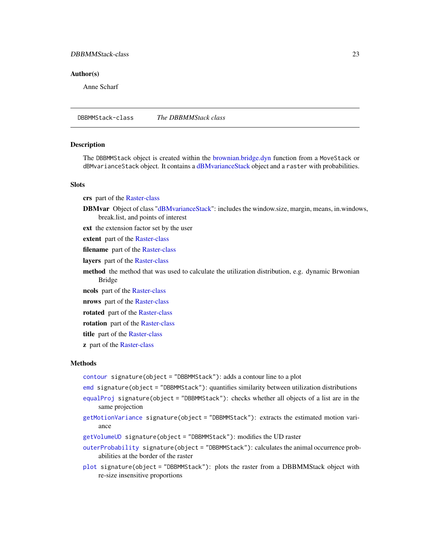# <span id="page-22-0"></span>DBBMMStack-class 23

#### Author(s)

Anne Scharf

<span id="page-22-1"></span>DBBMMStack-class *The DBBMMStack class*

#### **Description**

The DBBMMStack object is created within the [brownian.bridge.dyn](#page-9-1) function from a MoveStack or dBMvarianceStack object. It contains a [dBMvarianceStack](#page-24-1) object and a raster with probabilities.

# **Slots**

crs part of the [Raster-class](#page-0-0)

DBMvar Object of class ["dBMvarianceStack"](#page-24-1): includes the window.size, margin, means, in.windows, break.list, and points of interest

ext the extension factor set by the user

extent part of the [Raster-class](#page-0-0)

filename part of the [Raster-class](#page-0-0)

layers part of the [Raster-class](#page-0-0)

method the method that was used to calculate the utilization distribution, e.g. dynamic Brwonian Bridge

ncols part of the [Raster-class](#page-0-0)

nrows part of the [Raster-class](#page-0-0)

rotated part of the [Raster-class](#page-0-0)

rotation part of the [Raster-class](#page-0-0)

title part of the [Raster-class](#page-0-0)

**z** part of the [Raster-class](#page-0-0)

# Methods

[contour](#page-16-1) signature(object = "DBBMMStack"): adds a contour line to a plot

- [emd](#page-32-1) signature(object = "DBBMMStack"): quantifies similarity between utilization distributions
- [equalProj](#page-34-1) signature(object = "DBBMMStack"): checks whether all objects of a list are in the same projection
- [getMotionVariance](#page-38-1) signature(object = "DBBMMStack"): extracts the estimated motion variance
- [getVolumeUD](#page-57-1) signature(object = "DBBMMStack"): modifies the UD raster

[outerProbability](#page-83-1) signature(object = "DBBMMStack"): calculates the animal occurrence probabilities at the border of the raster

[plot](#page-84-1) signature(object = "DBBMMStack"): plots the raster from a DBBMMStack object with re-size insensitive proportions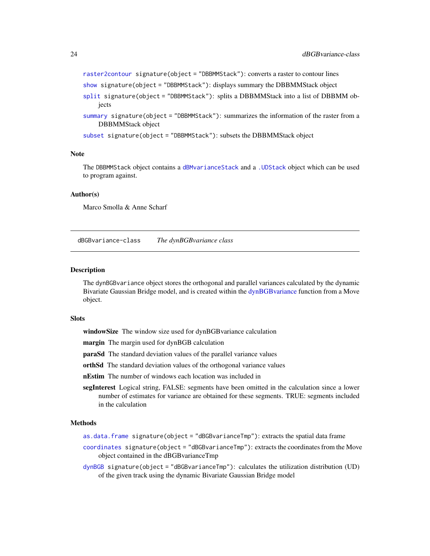```
raster2contour signature(object = "DBBMMStack"): converts a raster to contour lines
show signature(object = "DBBMMStack"): displays summary the DBBMMStack object
split signature(object = "DBBMMStack"): splits a DBBMMStack into a list of DBBMM ob-
    jects
summary signature(object = "DBBMMStack"): summarizes the information of the raster from a
    DBBMMStack object
subset signature(object = "DBBMMStack"): subsets the DBBMMStack object
```
#### Note

The DBBMMStack object contains a [dBMvarianceStack](#page-24-1) and a [.UDStack](#page-4-1) object which can be used to program against.

#### Author(s)

Marco Smolla & Anne Scharf

<span id="page-23-1"></span>dBGBvariance-class *The dynBGBvariance class*

#### Description

The dynBGBvariance object stores the orthogonal and parallel variances calculated by the dynamic Bivariate Gaussian Bridge model, and is created within the [dynBGBvariance](#page-30-1) function from a Move object.

#### **Slots**

- windowSize The window size used for dynBGBvariance calculation
- margin The margin used for dynBGB calculation
- paraSd The standard deviation values of the parallel variance values
- orthSd The standard deviation values of the orthogonal variance values
- nEstim The number of windows each location was included in
- segInterest Logical string, FALSE: segments have been omitted in the calculation since a lower number of estimates for variance are obtained for these segments. TRUE: segments included in the calculation

#### Methods

- [as.data.frame](#page-7-1) signature(object = "dBGBvarianceTmp"): extracts the spatial data frame
- [coordinates](#page-17-1) signature(object = "dBGBvarianceTmp"): extracts the coordinates from the Move object contained in the dBGBvarianceTmp
- [dynBGB](#page-27-1) signature(object = "dBGBvarianceTmp"): calculates the utilization distribution (UD) of the given track using the dynamic Bivariate Gaussian Bridge model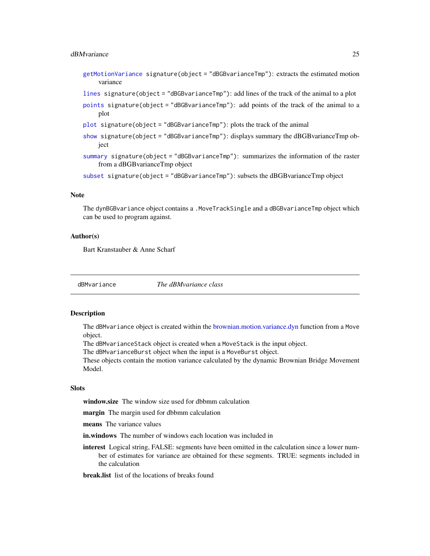#### <span id="page-24-0"></span>dBMvariance 25

- [getMotionVariance](#page-38-1) signature(object = "dBGBvarianceTmp"): extracts the estimated motion variance
- [lines](#page-65-1) signature(object = "dBGBvarianceTmp"): add lines of the track of the animal to a plot
- [points](#page-86-1) signature(object = "dBGBvarianceTmp"): add points of the track of the animal to a plot
- [plot](#page-84-1) signature(object = "dBGBvarianceTmp"): plots the track of the animal
- [show](#page-93-1) signature(object = "dBGBvarianceTmp"): displays summary the dBGBvarianceTmp object
- [summary](#page-98-1) signature(object = "dBGBvarianceTmp"): summarizes the information of the raster from a dBGBvarianceTmp object

[subset](#page-0-0) signature(object = "dBGBvarianceTmp"): subsets the dBGBvarianceTmp object

#### **Note**

The dynBGBvariance object contains a .MoveTrackSingle and a dBGBvarianceTmp object which can be used to program against.

#### Author(s)

Bart Kranstauber & Anne Scharf

dBMvariance *The dBMvariance class*

#### <span id="page-24-1"></span>Description

The dBMvariance object is created within the [brownian.motion.variance.dyn](#page-12-1) function from a Move object.

The dBMvarianceStack object is created when a MoveStack is the input object.

The dBMvarianceBurst object when the input is a MoveBurst object.

These objects contain the motion variance calculated by the dynamic Brownian Bridge Movement Model.

#### **Slots**

window.size The window size used for dbbmm calculation

margin The margin used for dbbmm calculation

means The variance values

- **in.windows** The number of windows each location was included in
- interest Logical string, FALSE: segments have been omitted in the calculation since a lower number of estimates for variance are obtained for these segments. TRUE: segments included in the calculation

**break.list** list of the locations of breaks found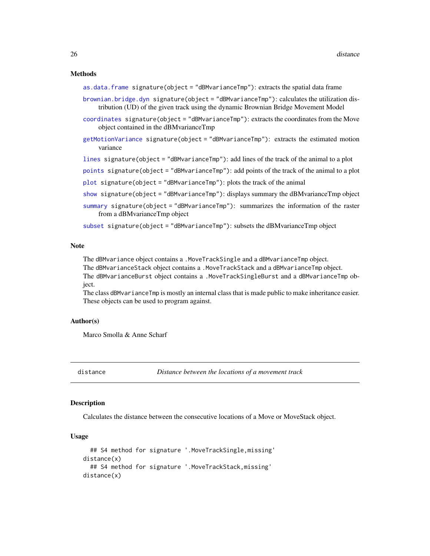#### <span id="page-25-0"></span>Methods

[as.data.frame](#page-7-1) signature(object = "dBMvarianceTmp"): extracts the spatial data frame

- [brownian.bridge.dyn](#page-9-1) signature(object = "dBMvarianceTmp"): calculates the utilization distribution (UD) of the given track using the dynamic Brownian Bridge Movement Model
- [coordinates](#page-17-1) signature(object = "dBMvarianceTmp"): extracts the coordinates from the Move object contained in the dBMvarianceTmp
- [getMotionVariance](#page-38-1) signature(object = "dBMvarianceTmp"): extracts the estimated motion variance

[lines](#page-65-1) signature(object = "dBMvarianceTmp"): add lines of the track of the animal to a plot

[points](#page-86-1) signature(object = "dBMvarianceTmp"): add points of the track of the animal to a plot

 $plot$  signature(object = "dBMvarianceTmp"): plots the track of the animal

- [show](#page-93-1) signature(object = "dBMvarianceTmp"): displays summary the dBMvarianceTmp object
- [summary](#page-98-1) signature(object = "dBMvarianceTmp"): summarizes the information of the raster from a dBMvarianceTmp object

[subset](#page-0-0) signature(object = "dBMvarianceTmp"): subsets the dBMvarianceTmp object

#### Note

The dBMvariance object contains a .MoveTrackSingle and a dBMvarianceTmp object.

The dBMvarianceStack object contains a .MoveTrackStack and a dBMvarianceTmp object.

The dBMvarianceBurst object contains a .MoveTrackSingleBurst and a dBMvarianceTmp object.

The class dBMvarianceTmp is mostly an internal class that is made public to make inheritance easier. These objects can be used to program against.

#### Author(s)

Marco Smolla & Anne Scharf

distance *Distance between the locations of a movement track*

#### **Description**

Calculates the distance between the consecutive locations of a Move or MoveStack object.

#### Usage

```
## S4 method for signature '.MoveTrackSingle,missing'
distance(x)
  ## S4 method for signature '.MoveTrackStack,missing'
distance(x)
```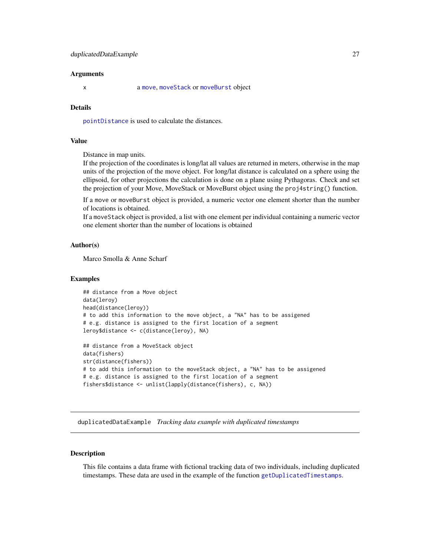#### <span id="page-26-0"></span>Arguments

x a [move](#page-70-1), [moveStack](#page-78-1) or [moveBurst](#page-75-1) object

#### Details

[pointDistance](#page-0-0) is used to calculate the distances.

#### Value

Distance in map units.

If the projection of the coordinates is long/lat all values are returned in meters, otherwise in the map units of the projection of the move object. For long/lat distance is calculated on a sphere using the ellipsoid, for other projections the calculation is done on a plane using Pythagoras. Check and set the projection of your Move, MoveStack or MoveBurst object using the proj4string() function.

If a move or moveBurst object is provided, a numeric vector one element shorter than the number of locations is obtained.

If a moveStack object is provided, a list with one element per individual containing a numeric vector one element shorter than the number of locations is obtained

#### Author(s)

Marco Smolla & Anne Scharf

#### Examples

```
## distance from a Move object
data(leroy)
head(distance(leroy))
# to add this information to the move object, a "NA" has to be assigened
# e.g. distance is assigned to the first location of a segment
leroy$distance <- c(distance(leroy), NA)
## distance from a MoveStack object
data(fishers)
```
str(distance(fishers)) # to add this information to the moveStack object, a "NA" has to be assigened # e.g. distance is assigned to the first location of a segment fishers\$distance <- unlist(lapply(distance(fishers), c, NA))

duplicatedDataExample *Tracking data example with duplicated timestamps*

#### **Description**

This file contains a data frame with fictional tracking data of two individuals, including duplicated timestamps. These data are used in the example of the function [getDuplicatedTimestamps](#page-36-1).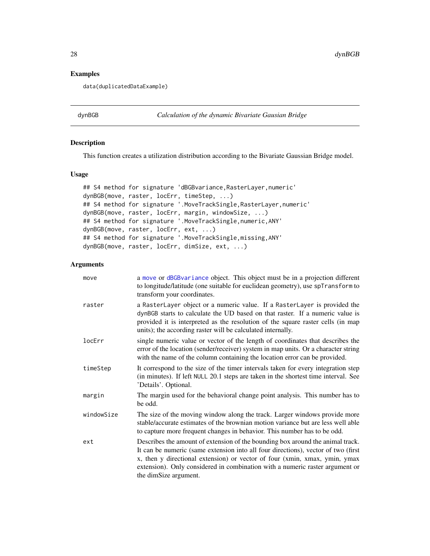# Examples

data(duplicatedDataExample)

<span id="page-27-1"></span>dynBGB *Calculation of the dynamic Bivariate Gausian Bridge*

# Description

This function creates a utilization distribution according to the Bivariate Gaussian Bridge model.

# Usage

```
## S4 method for signature 'dBGBvariance, RasterLayer, numeric'
dynBGB(move, raster, locErr, timeStep, ...)
## S4 method for signature '.MoveTrackSingle,RasterLayer,numeric'
dynBGB(move, raster, locErr, margin, windowSize, ...)
## S4 method for signature '.MoveTrackSingle,numeric,ANY'
dynBGB(move, raster, locErr, ext, ...)
## S4 method for signature '.MoveTrackSingle,missing,ANY'
dynBGB(move, raster, locErr, dimSize, ext, ...)
```
#### Arguments

| move       | a move or dBGBvariance object. This object must be in a projection different<br>to longitude/latitude (one suitable for euclidean geometry), use spTransform to<br>transform your coordinates.                                                                                                                                                             |
|------------|------------------------------------------------------------------------------------------------------------------------------------------------------------------------------------------------------------------------------------------------------------------------------------------------------------------------------------------------------------|
| raster     | a RasterLayer object or a numeric value. If a RasterLayer is provided the<br>dynBGB starts to calculate the UD based on that raster. If a numeric value is<br>provided it is interpreted as the resolution of the square raster cells (in map<br>units); the according raster will be calculated internally.                                               |
| locErr     | single numeric value or vector of the length of coordinates that describes the<br>error of the location (sender/receiver) system in map units. Or a character string<br>with the name of the column containing the location error can be provided.                                                                                                         |
| timeStep   | It correspond to the size of the timer intervals taken for every integration step<br>(in minutes). If left NULL 20.1 steps are taken in the shortest time interval. See<br>'Details'. Optional.                                                                                                                                                            |
| margin     | The margin used for the behavioral change point analysis. This number has to<br>be odd.                                                                                                                                                                                                                                                                    |
| windowSize | The size of the moving window along the track. Larger windows provide more<br>stable/accurate estimates of the brownian motion variance but are less well able<br>to capture more frequent changes in behavior. This number has to be odd.                                                                                                                 |
| ext        | Describes the amount of extension of the bounding box around the animal track.<br>It can be numeric (same extension into all four directions), vector of two (first<br>x, then y directional extension) or vector of four (xmin, xmax, ymin, ymax<br>extension). Only considered in combination with a numeric raster argument or<br>the dimSize argument. |

<span id="page-27-0"></span>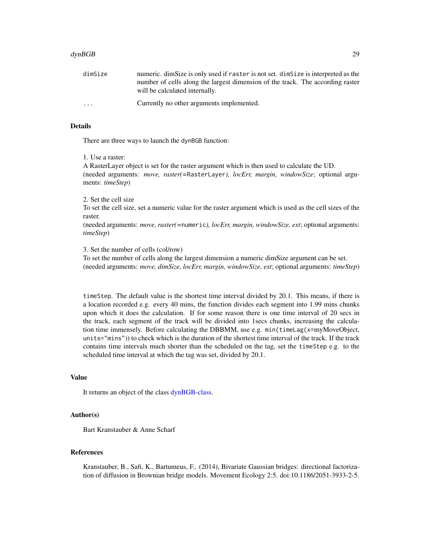| dimSize                 | numeric. dimSize is only used if raster is not set. dimSize is interpreted as the |
|-------------------------|-----------------------------------------------------------------------------------|
|                         | number of cells along the largest dimension of the track. The according raster    |
|                         | will be calculated internally.                                                    |
| $\cdot$ $\cdot$ $\cdot$ | Currently no other arguments implemented.                                         |

#### Details

There are three ways to launch the dynBGB function:

#### 1. Use a raster:

A RasterLayer object is set for the raster argument which is then used to calculate the UD. (needed arguments: *move, raster(=*RasterLayer*), locErr, margin, windowSize*; optional arguments: *timeStep*)

#### 2. Set the cell size

To set the cell size, set a numeric value for the raster argument which is used as the cell sizes of the raster.

(needed arguments: *move, raster(=*numeric*), locErr, margin, windowSize, ext*; optional arguments: *timeStep*)

3. Set the number of cells (col/row)

To set the number of cells along the largest dimension a numeric dimSize argument can be set. (needed arguments: *move, dimSize, locErr, margin, windowSize, ext*; optional arguments: *timeStep*)

timeStep. The default value is the shortest time interval divided by 20.1. This means, if there is a location recorded e.g. every 40 mins, the function divides each segment into 1.99 mins chunks upon which it does the calculation. If for some reason there is one time interval of 20 secs in the track, each segment of the track will be divided into 1secs chunks, increasing the calculation time immensely. Before calculating the DBBMM, use e.g. min(timeLag(x=myMoveObject, units="mins")) to check which is the duration of the shortest time interval of the track. If the track contains time intervals much shorter than the scheduled on the tag, set the timeStep e.g. to the scheduled time interval at which the tag was set, divided by 20.1.

#### Value

It returns an object of the class [dynBGB-class.](#page-29-1)

### Author(s)

Bart Kranstauber & Anne Scharf

# References

Kranstauber, B., Safi, K., Bartumeus, F.. (2014), Bivariate Gaussian bridges: directional factorization of diffusion in Brownian bridge models. Movement Ecology 2:5. doi:10.1186/2051-3933-2-5.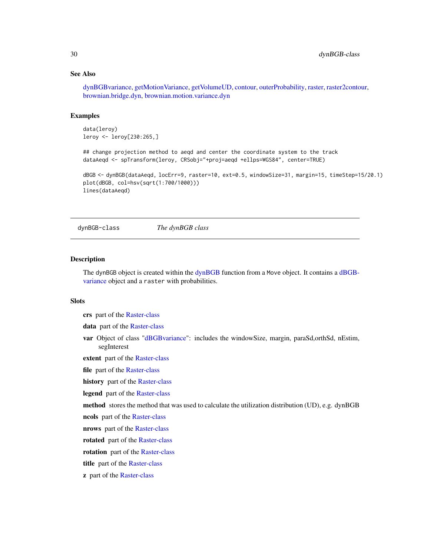# <span id="page-29-0"></span>See Also

[dynBGBvariance,](#page-30-1) [getMotionVariance,](#page-38-1) [getVolumeUD,](#page-57-1) [contour,](#page-16-1) [outerProbability,](#page-83-1) [raster,](#page-87-1) [raster2contour,](#page-88-1) [brownian.bridge.dyn,](#page-9-1) [brownian.motion.variance.dyn](#page-12-1)

# Examples

```
data(leroy)
leroy <- leroy[230:265,]
```
## change projection method to aeqd and center the coordinate system to the track dataAeqd <- spTransform(leroy, CRSobj="+proj=aeqd +ellps=WGS84", center=TRUE)

```
dBGB <- dynBGB(dataAeqd, locErr=9, raster=10, ext=0.5, windowSize=31, margin=15, timeStep=15/20.1)
plot(dBGB, col=hsv(sqrt(1:700/1000)))
lines(dataAeqd)
```
<span id="page-29-1"></span>dynBGB-class *The dynBGB class*

#### Description

The dynBGB object is created within the [dynBGB](#page-27-1) function from a Move object. It contains a [dBGB](#page-23-1)[variance](#page-23-1) object and a raster with probabilities.

# **Slots**

crs part of the [Raster-class](#page-0-0)

data part of the [Raster-class](#page-0-0)

var Object of class ["dBGBvariance"](#page-23-1): includes the windowSize, margin, paraSd,orthSd, nEstim, segInterest

extent part of the [Raster-class](#page-0-0)

file part of the [Raster-class](#page-0-0)

history part of the [Raster-class](#page-0-0)

legend part of the [Raster-class](#page-0-0)

method stores the method that was used to calculate the utilization distribution (UD), e.g. dynBGB

ncols part of the [Raster-class](#page-0-0)

nrows part of the [Raster-class](#page-0-0)

rotated part of the [Raster-class](#page-0-0)

rotation part of the [Raster-class](#page-0-0)

title part of the [Raster-class](#page-0-0)

z part of the [Raster-class](#page-0-0)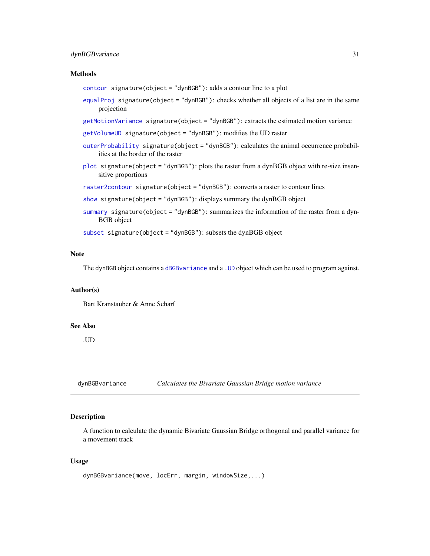# <span id="page-30-0"></span>dynBGBvariance 31

#### Methods

[contour](#page-16-1) signature(object = "dynBGB"): adds a contour line to a plot

- [equalProj](#page-34-1) signature(object = "dynBGB"): checks whether all objects of a list are in the same projection
- [getMotionVariance](#page-38-1) signature(object = "dynBGB"): extracts the estimated motion variance

[getVolumeUD](#page-57-1) signature(object = "dynBGB"): modifies the UD raster

- [outerProbability](#page-83-1) signature(object = "dynBGB"): calculates the animal occurrence probabilities at the border of the raster
- [plot](#page-84-1) signature(object = "dynBGB"): plots the raster from a dynBGB object with re-size insensitive proportions
- [raster2contour](#page-88-1) signature(object = "dynBGB"): converts a raster to contour lines
- [show](#page-93-1) signature(object = "dynBGB"): displays summary the dynBGB object
- [summary](#page-98-1) signature(object = "dynBGB"): summarizes the information of the raster from a dyn-BGB object

[subset](#page-0-0) signature(object = "dynBGB"): subsets the dynBGB object

# Note

The dynBGB object contains a [dBGBvariance](#page-23-1) and a [.UD](#page-4-1) object which can be used to program against.

#### Author(s)

Bart Kranstauber & Anne Scharf

#### See Also

.UD

<span id="page-30-1"></span>dynBGBvariance *Calculates the Bivariate Gaussian Bridge motion variance*

# Description

A function to calculate the dynamic Bivariate Gaussian Bridge orthogonal and parallel variance for a movement track

#### Usage

```
dynBGBvariance(move, locErr, margin, windowSize,...)
```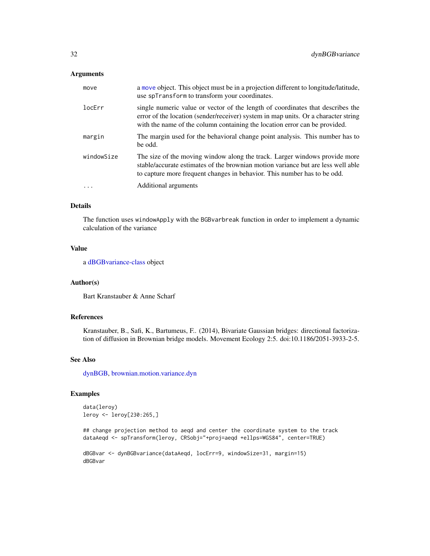#### Arguments

| move       | a move object. This object must be in a projection different to longitude/latitude,<br>use spTransform to transform your coordinates.                                                                                                              |
|------------|----------------------------------------------------------------------------------------------------------------------------------------------------------------------------------------------------------------------------------------------------|
| locErr     | single numeric value or vector of the length of coordinates that describes the<br>error of the location (sender/receiver) system in map units. Or a character string<br>with the name of the column containing the location error can be provided. |
| margin     | The margin used for the behavioral change point analysis. This number has to<br>be odd.                                                                                                                                                            |
| windowSize | The size of the moving window along the track. Larger windows provide more<br>stable/accurate estimates of the brownian motion variance but are less well able<br>to capture more frequent changes in behavior. This number has to be odd.         |
| $\ddots$   | Additional arguments                                                                                                                                                                                                                               |

# Details

The function uses windowApply with the BGBvarbreak function in order to implement a dynamic calculation of the variance

#### Value

a [dBGBvariance-class](#page-23-1) object

# Author(s)

Bart Kranstauber & Anne Scharf

# References

Kranstauber, B., Safi, K., Bartumeus, F.. (2014), Bivariate Gaussian bridges: directional factorization of diffusion in Brownian bridge models. Movement Ecology 2:5. doi:10.1186/2051-3933-2-5.

# See Also

[dynBGB,](#page-27-1) [brownian.motion.variance.dyn](#page-12-1)

# Examples

```
data(leroy)
leroy <- leroy[230:265,]
```
## change projection method to aeqd and center the coordinate system to the track dataAeqd <- spTransform(leroy, CRSobj="+proj=aeqd +ellps=WGS84", center=TRUE)

```
dBGBvar <- dynBGBvariance(dataAeqd, locErr=9, windowSize=31, margin=15)
dBGBvar
```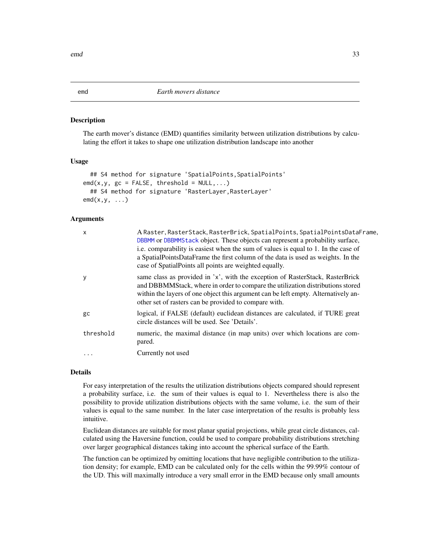#### **Description**

The earth mover's distance (EMD) quantifies similarity between utilization distributions by calculating the effort it takes to shape one utilization distribution landscape into another

#### Usage

```
## S4 method for signature 'SpatialPoints, SpatialPoints'
\text{end}(x,y, g\text{c} = \text{FALSE}, \text{threshold} = \text{NULL}, \dots)## S4 method for signature 'RasterLayer, RasterLayer'
emd(x, y, \ldots)
```
# Arguments

| X         | A Raster, RasterStack, RasterBrick, SpatialPoints, SpatialPointsDataFrame,<br>DBBMM or DBBMMStack object. These objects can represent a probability surface,<br>i.e. comparability is easiest when the sum of values is equal to 1. In the case of<br>a SpatialPointsDataFrame the first column of the data is used as weights. In the<br>case of Spatial Points all points are weighted equally. |
|-----------|---------------------------------------------------------------------------------------------------------------------------------------------------------------------------------------------------------------------------------------------------------------------------------------------------------------------------------------------------------------------------------------------------|
| y         | same class as provided in 'x', with the exception of RasterStack, RasterBrick<br>and DBBMMStack, where in order to compare the utilization distributions stored<br>within the layers of one object this argument can be left empty. Alternatively an-<br>other set of rasters can be provided to compare with.                                                                                    |
| gc        | logical, if FALSE (default) euclidean distances are calculated, if TURE great<br>circle distances will be used. See 'Details'.                                                                                                                                                                                                                                                                    |
| threshold | numeric, the maximal distance (in map units) over which locations are com-<br>pared.                                                                                                                                                                                                                                                                                                              |
| .         | Currently not used                                                                                                                                                                                                                                                                                                                                                                                |

#### Details

For easy interpretation of the results the utilization distributions objects compared should represent a probability surface, i.e. the sum of their values is equal to 1. Nevertheless there is also the possibility to provide utilization distributions objects with the same volume, i.e. the sum of their values is equal to the same number. In the later case interpretation of the results is probably less intuitive.

Euclidean distances are suitable for most planar spatial projections, while great circle distances, calculated using the Haversine function, could be used to compare probability distributions stretching over larger geographical distances taking into account the spherical surface of the Earth.

The function can be optimized by omitting locations that have negligible contribution to the utilization density; for example, EMD can be calculated only for the cells within the 99.99% contour of the UD. This will maximally introduce a very small error in the EMD because only small amounts

<span id="page-32-1"></span><span id="page-32-0"></span>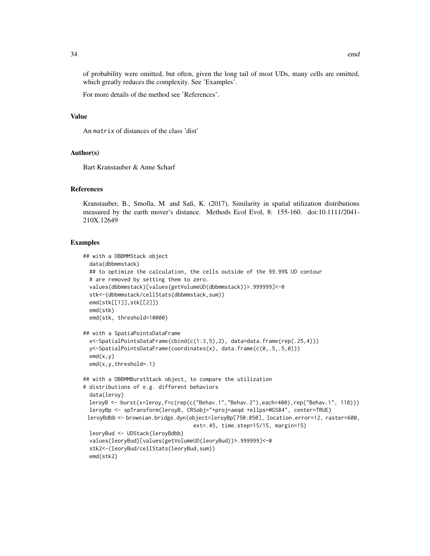of probability were omitted, but often, given the long tail of most UDs, many cells are omitted, which greatly reduces the complexity. See 'Examples'.

For more details of the method see 'References'.

#### Value

An matrix of distances of the class 'dist'

#### Author(s)

Bart Kranstauber & Anne Scharf

# References

Kranstauber, B., Smolla, M. and Safi, K. (2017), Similarity in spatial utilization distributions measured by the earth mover's distance. Methods Ecol Evol, 8: 155-160. doi:10.1111/2041- 210X.12649

```
## with a DBBMMStack object
 data(dbbmmstack)
 ## to optimize the calculation, the cells outside of the 99.99% UD contour
 # are removed by setting them to zero.
 values(dbbmmstack)[values(getVolumeUD(dbbmmstack))>.999999]<-0
 stk<-(dbbmmstack/cellStats(dbbmmstack,sum))
 emd(stk[[1]],stk[[2]])
 emd(stk)
 emd(stk, threshold=10000)
## with a SpatiaPointsDataFrame
 x<-SpatialPointsDataFrame(cbind(c(1:3,5),2), data=data.frame(rep(.25,4)))
 y<-SpatialPointsDataFrame(coordinates(x), data.frame(c(0,.5,.5,0)))
 end(x,y)emd(x,y,threshold=.1)
## with a DBBMMBurstStack object, to compare the utilization
# distributions of e.g. different behaviors
 data(leroy)
 leroyB <- burst(x=leroy,f=c(rep(c("Behav.1","Behav.2"),each=400),rep("Behav.1", 118)))
 leroyBp <- spTransform(leroyB, CRSobj="+proj=aeqd +ellps=WGS84", center=TRUE)
 leroyBdbb <- brownian.bridge.dyn(object=leroyBp[750:850], location.error=12, raster=600,
                                   ext=.45, time.step=15/15, margin=15)
 leoryBud <- UDStack(leroyBdbb)
 values(leoryBud)[values(getVolumeUD(leoryBud))>.999999]<-0
 stk2<-(leoryBud/cellStats(leoryBud,sum))
 emd(stk2)
```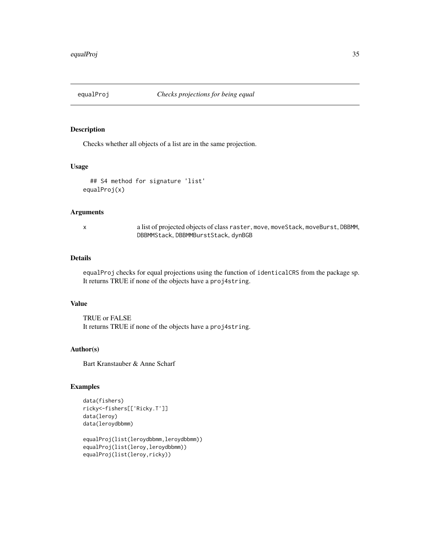<span id="page-34-1"></span><span id="page-34-0"></span>

# Description

Checks whether all objects of a list are in the same projection.

# Usage

```
## S4 method for signature 'list'
equalProj(x)
```
# Arguments

x a list of projected objects of class raster, move, moveStack, moveBurst, DBBMM, DBBMMStack, DBBMMBurstStack, dynBGB

# Details

equalProj checks for equal projections using the function of identicalCRS from the package sp. It returns TRUE if none of the objects have a proj4string.

#### Value

TRUE or FALSE It returns TRUE if none of the objects have a proj4string.

# Author(s)

Bart Kranstauber & Anne Scharf

```
data(fishers)
ricky<-fishers[['Ricky.T']]
data(leroy)
data(leroydbbmm)
```

```
equalProj(list(leroydbbmm,leroydbbmm))
equalProj(list(leroy,leroydbbmm))
equalProj(list(leroy,ricky))
```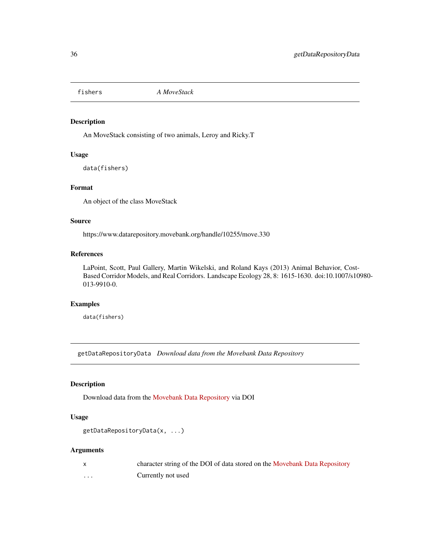<span id="page-35-0"></span>

# Description

An MoveStack consisting of two animals, Leroy and Ricky.T

# Usage

data(fishers)

# Format

An object of the class MoveStack

# Source

https://www.datarepository.movebank.org/handle/10255/move.330

# References

LaPoint, Scott, Paul Gallery, Martin Wikelski, and Roland Kays (2013) Animal Behavior, Cost-Based Corridor Models, and Real Corridors. Landscape Ecology 28, 8: 1615-1630. doi:10.1007/s10980- 013-9910-0.

#### Examples

data(fishers)

getDataRepositoryData *Download data from the Movebank Data Repository*

# Description

Download data from the [Movebank Data Repository](https://www.movebank.org/node/15294) via DOI

# Usage

```
getDataRepositoryData(x, ...)
```
#### Arguments

|   | character string of the DOI of data stored on the Movebank Data Repository |
|---|----------------------------------------------------------------------------|
| . | Currently not used                                                         |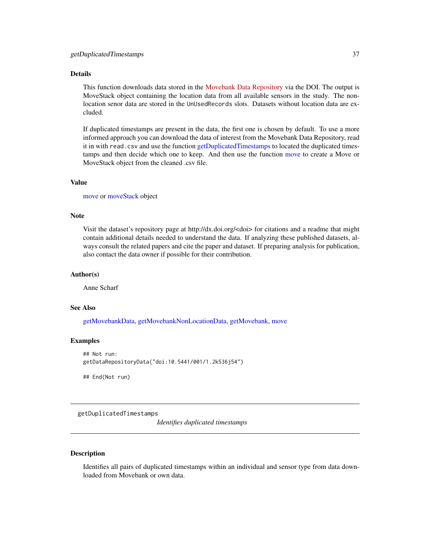# Details

This function downloads data stored in the [Movebank Data Repository](https://www.movebank.org/node/15294) via the DOI. The output is MoveStack object containing the location data from all available sensors in the study. The nonlocation senor data are stored in the UnUsedRecords slots. Datasets without location data are excluded.

If duplicated timestamps are present in the data, the first one is chosen by default. To use a more informed approach you can download the data of interest from the Movebank Data Repository, read it in with read.csv and use the function [getDuplicatedTimestamps](#page-36-0) to located the duplicated timestamps and then decide which one to keep. And then use the function [move](#page-66-0) to create a Move or MoveStack object from the cleaned .csv file.

# Value

[move](#page-70-0) or [moveStack](#page-78-0) object

# Note

Visit the dataset's repository page at http://dx.doi.org/<doi> for citations and a readme that might contain additional details needed to understand the data. If analyzing these published datasets, always consult the related papers and cite the paper and dataset. If preparing analysis for publication, also contact the data owner if possible for their contribution.

## Author(s)

Anne Scharf

## See Also

[getMovebankData,](#page-43-0) [getMovebankNonLocationData,](#page-50-0) [getMovebank,](#page-39-0) [move](#page-66-0)

#### Examples

```
## Not run:
getDataRepositoryData("doi:10.5441/001/1.2k536j54")
```
## End(Not run)

<span id="page-36-0"></span>getDuplicatedTimestamps

*Identifies duplicated timestamps*

#### Description

Identifies all pairs of duplicated timestamps within an individual and sensor type from data downloaded from Movebank or own data.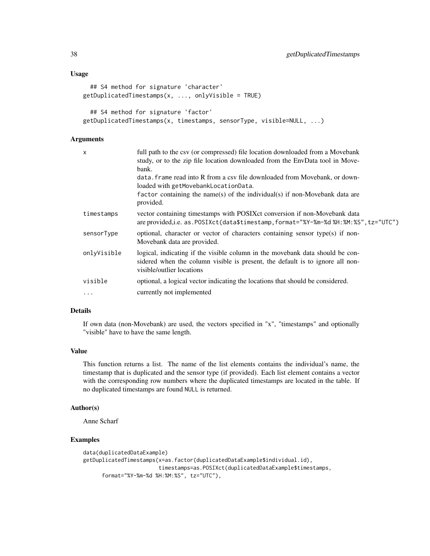```
## S4 method for signature 'character'
getDuplicatedTimestamps(x, ..., onlyVisible = TRUE)## S4 method for signature 'factor'
getDuplicatedTimestamps(x, timestamps, sensorType, visible=NULL, ...)
```
## Arguments

| $\times$    | full path to the csv (or compressed) file location downloaded from a Movebank<br>study, or to the zip file location downloaded from the EnvData tool in Move-<br>bank.<br>data. frame read into R from a csv file downloaded from Movebank, or down-<br>loaded with getMovebankLocationData. |
|-------------|----------------------------------------------------------------------------------------------------------------------------------------------------------------------------------------------------------------------------------------------------------------------------------------------|
|             | factor containing the name(s) of the individual(s) if non-Movebank data are<br>provided.                                                                                                                                                                                                     |
| timestamps  | vector containing timestamps with POSIX ct conversion if non-Movebank data<br>are provided, i.e. as. POSIXct(data\$timestamp, format="%Y-%m-%d %H:%M:%S", tz="UTC")                                                                                                                          |
| sensorType  | optional, character or vector of characters containing sensor type(s) if non-<br>Movebank data are provided.                                                                                                                                                                                 |
| onlyVisible | logical, indicating if the visible column in the movebank data should be con-<br>sidered when the column visible is present, the default is to ignore all non-<br>visible/outlier locations                                                                                                  |
| visible     | optional, a logical vector indicating the locations that should be considered.                                                                                                                                                                                                               |
| $\ddots$    | currently not implemented                                                                                                                                                                                                                                                                    |

### Details

If own data (non-Movebank) are used, the vectors specified in "x", "timestamps" and optionally "visible" have to have the same length.

# Value

This function returns a list. The name of the list elements contains the individual's name, the timestamp that is duplicated and the sensor type (if provided). Each list element contains a vector with the corresponding row numbers where the duplicated timestamps are located in the table. If no duplicated timestamps are found NULL is returned.

## Author(s)

Anne Scharf

# Examples

```
data(duplicatedDataExample)
getDuplicatedTimestamps(x=as.factor(duplicatedDataExample$individual.id),
                        timestamps=as.POSIXct(duplicatedDataExample$timestamps,
     format="%Y-%m-%d %H:%M:%S", tz="UTC"),
```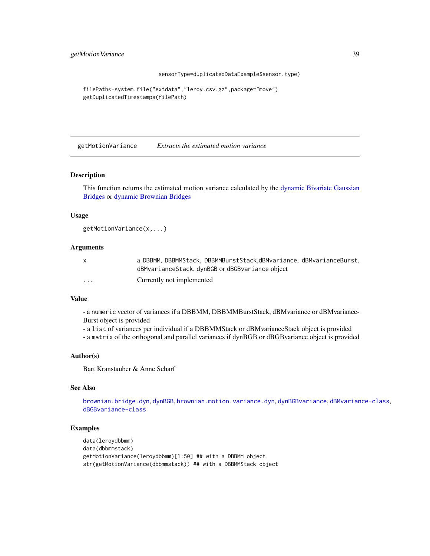sensorType=duplicatedDataExample\$sensor.type)

```
filePath<-system.file("extdata","leroy.csv.gz",package="move")
getDuplicatedTimestamps(filePath)
```
getMotionVariance *Extracts the estimated motion variance*

## Description

This function returns the estimated motion variance calculated by the [dynamic Bivariate Gaussian](#page-27-0) [Bridges](#page-27-0) or [dynamic Brownian Bridges](#page-9-0)

## Usage

```
getMotionVariance(x,...)
```
# Arguments

|         | a DBBMM, DBBMMStack, DBBMMBurstStack, dBMvariance, dBMvarianceBurst, |
|---------|----------------------------------------------------------------------|
|         | dBMvarianceStack, dynBGB or dBGBvariance object                      |
| $\cdot$ | Currently not implemented                                            |

# Value

- a numeric vector of variances if a DBBMM, DBBMMBurstStack, dBMvariance or dBMvariance-Burst object is provided

- a list of variances per individual if a DBBMMStack or dBMvarianceStack object is provided

- a matrix of the orthogonal and parallel variances if dynBGB or dBGBvariance object is provided

## Author(s)

Bart Kranstauber & Anne Scharf

# See Also

[brownian.bridge.dyn](#page-9-0), [dynBGB](#page-27-0), [brownian.motion.variance.dyn](#page-12-0), [dynBGBvariance](#page-30-0), [dBMvariance-class](#page-24-0), [dBGBvariance-class](#page-23-0)

# Examples

```
data(leroydbbmm)
data(dbbmmstack)
getMotionVariance(leroydbbmm)[1:50] ## with a DBBMM object
str(getMotionVariance(dbbmmstack)) ## with a DBBMMStack object
```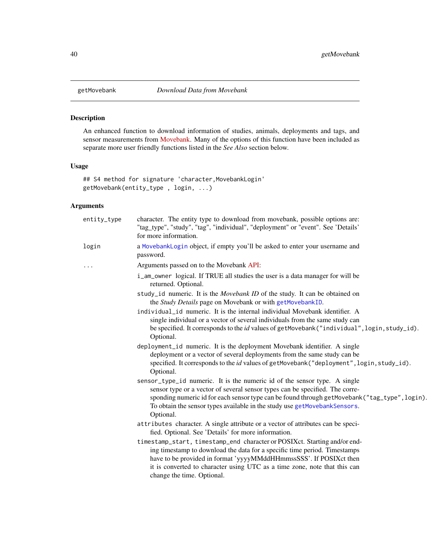<span id="page-39-0"></span>

# Description

An enhanced function to download information of studies, animals, deployments and tags, and sensor measurements from [Movebank.](http://www.movebank.org) Many of the options of this function have been included as separate more user friendly functions listed in the *See Also* section below.

# Usage

```
## S4 method for signature 'character,MovebankLogin'
getMovebank(entity_type , login, ...)
```
# Arguments

| entity_type | character. The entity type to download from movebank, possible options are:<br>"tag_type", "study", "tag", "individual", "deployment" or "event". See 'Details'<br>for more information.                                                                                                                                                |
|-------------|-----------------------------------------------------------------------------------------------------------------------------------------------------------------------------------------------------------------------------------------------------------------------------------------------------------------------------------------|
| login       | a MovebankLogin object, if empty you'll be asked to enter your username and<br>password.                                                                                                                                                                                                                                                |
| .           | Arguments passed on to the Movebank API:                                                                                                                                                                                                                                                                                                |
|             | i_am_owner logical. If TRUE all studies the user is a data manager for will be<br>returned. Optional.                                                                                                                                                                                                                                   |
|             | study_id numeric. It is the Movebank ID of the study. It can be obtained on<br>the Study Details page on Movebank or with getMovebankID.                                                                                                                                                                                                |
|             | individual_id numeric. It is the internal individual Movebank identifier. A                                                                                                                                                                                                                                                             |
|             | single individual or a vector of several individuals from the same study can                                                                                                                                                                                                                                                            |
|             | be specified. It corresponds to the id values of getMovebank ("individual", login, study_id).<br>Optional.                                                                                                                                                                                                                              |
|             | deployment_id numeric. It is the deployment Movebank identifier. A single                                                                                                                                                                                                                                                               |
|             | deployment or a vector of several deployments from the same study can be<br>specified. It corresponds to the <i>id</i> values of getMovebank ("deployment", login, study_id).<br>Optional.                                                                                                                                              |
|             | sensor_type_id numeric. It is the numeric id of the sensor type. A single                                                                                                                                                                                                                                                               |
|             | sensor type or a vector of several sensor types can be specified. The corre-                                                                                                                                                                                                                                                            |
|             | sponding numeric id for each sensor type can be found through getMovebank ("tag_type", login).<br>To obtain the sensor types available in the study use getMovebankSensors.<br>Optional.                                                                                                                                                |
|             | attributes character. A single attribute or a vector of attributes can be speci-<br>fied. Optional. See 'Details' for more information.                                                                                                                                                                                                 |
|             | timestamp_start, timestamp_end character or POSIXct. Starting and/or end-<br>ing timestamp to download the data for a specific time period. Timestamps<br>have to be provided in format 'yyyyMMddHHmmssSSS'. If POSIXct then<br>it is converted to character using UTC as a time zone, note that this can<br>change the time. Optional. |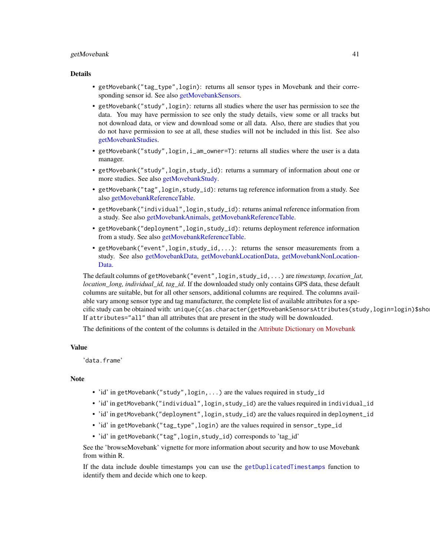#### getMovebank 41

#### Details

- getMovebank("tag\_type",login): returns all sensor types in Movebank and their corresponding sensor id. See also [getMovebankSensors.](#page-53-0)
- getMovebank("study",login): returns all studies where the user has permission to see the data. You may have permission to see only the study details, view some or all tracks but not download data, or view and download some or all data. Also, there are studies that you do not have permission to see at all, these studies will not be included in this list. See also [getMovebankStudies.](#page-55-0)
- getMovebank("study", login, i\_am\_owner=T): returns all studies where the user is a data manager.
- getMovebank("study",login,study\_id): returns a summary of information about one or more studies. See also [getMovebankStudy.](#page-56-0)
- getMovebank("tag",login,study\_id): returns tag reference information from a study. See also [getMovebankReferenceTable.](#page-52-0)
- getMovebank("individual",login,study\_id): returns animal reference information from a study. See also [getMovebankAnimals,](#page-42-0) [getMovebankReferenceTable.](#page-52-0)
- getMovebank("deployment",login,study\_id): returns deployment reference information from a study. See also [getMovebankReferenceTable.](#page-52-0)
- getMovebank("event",login,study\_id,...): returns the sensor measurements from a study. See also [getMovebankData,](#page-43-0) [getMovebankLocationData,](#page-47-0) [getMovebankNonLocation-](#page-50-0)[Data.](#page-50-0)

The default columns of getMovebank("event",login,study\_id,...) are *timestamp, location\_lat, location\_long, individual\_id, tag\_id*. If the downloaded study only contains GPS data, these default columns are suitable, but for all other sensors, additional columns are required. The columns available vary among sensor type and tag manufacturer, the complete list of available attributes for a specific study can be obtained with: unique(c(as.character(getMovebankSensorsAttributes(study,login=login)\$sho If attributes="all" than all attributes that are present in the study will be downloaded.

The definitions of the content of the columns is detailed in the [Attribute Dictionary on Movebank](http://www.movebank.org/node/2381)

# Value

'data.frame'

#### **Note**

- 'id' in getMovebank("study", login, ...) are the values required in study\_id
- 'id' in getMovebank("individual",login,study\_id) are the values required in individual\_id
- 'id' in getMovebank("deployment",login,study\_id) are the values required in deployment\_id
- 'id' in getMovebank("tag\_type",login) are the values required in sensor\_type\_id
- 'id' in getMovebank("tag", login, study\_id) corresponds to 'tag\_id'

See the 'browseMovebank' vignette for more information about security and how to use Movebank from within R.

If the data include double timestamps you can use the [getDuplicatedTimestamps](#page-36-0) function to identify them and decide which one to keep.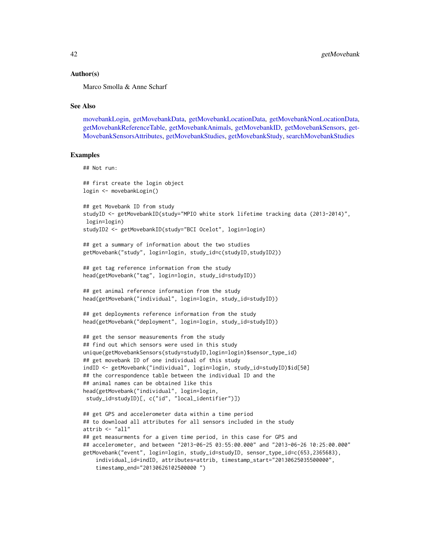#### Author(s)

Marco Smolla & Anne Scharf

#### See Also

[movebankLogin,](#page-73-0) [getMovebankData,](#page-43-0) [getMovebankLocationData,](#page-47-0) [getMovebankNonLocationData,](#page-50-0) [getMovebankReferenceTable,](#page-52-0) [getMovebankAnimals,](#page-42-0) [getMovebankID,](#page-46-0) [getMovebankSensors,](#page-53-0) [get-](#page-54-0)[MovebankSensorsAttributes,](#page-54-0) [getMovebankStudies,](#page-55-0) [getMovebankStudy,](#page-56-0) [searchMovebankStudies](#page-90-0)

#### Examples

## Not run:

```
## first create the login object
login <- movebankLogin()
## get Movebank ID from study
studyID <- getMovebankID(study="MPIO white stork lifetime tracking data (2013-2014)",
login=login)
studyID2 <- getMovebankID(study="BCI Ocelot", login=login)
## get a summary of information about the two studies
getMovebank("study", login=login, study_id=c(studyID,studyID2))
## get tag reference information from the study
head(getMovebank("tag", login=login, study_id=studyID))
## get animal reference information from the study
head(getMovebank("individual", login=login, study_id=studyID))
## get deployments reference information from the study
head(getMovebank("deployment", login=login, study_id=studyID))
## get the sensor measurements from the study
## find out which sensors were used in this study
unique(getMovebankSensors(study=studyID,login=login)$sensor_type_id)
## get movebank ID of one individual of this study
indID <- getMovebank("individual", login=login, study_id=studyID)$id[50]
## the correspondence table between the individual ID and the
## animal names can be obtained like this
head(getMovebank("individual", login=login,
study_id=studyID)[, c("id", "local_identifier")])
## get GPS and accelerometer data within a time period
## to download all attributes for all sensors included in the study
attrib <- "all"
## get measurments for a given time period, in this case for GPS and
## accelerometer, and between "2013-06-25 03:55:00.000" and "2013-06-26 10:25:00.000"
getMovebank("event", login=login, study_id=studyID, sensor_type_id=c(653,2365683),
    individual_id=indID, attributes=attrib, timestamp_start="20130625035500000",
```

```
timestamp_end="20130626102500000 ")
```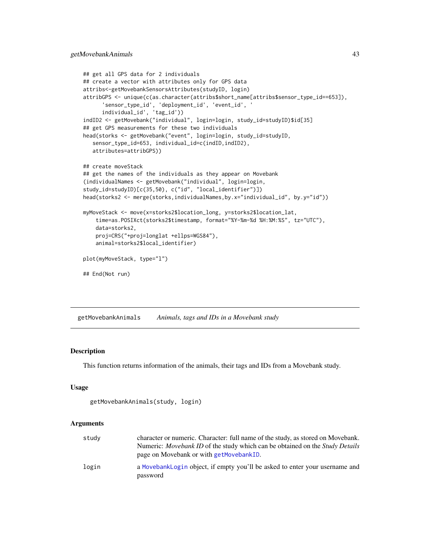```
## get all GPS data for 2 individuals
## create a vector with attributes only for GPS data
attribs<-getMovebankSensorsAttributes(studyID, login)
attribGPS <- unique(c(as.character(attribs$short_name[attribs$sensor_type_id==653]),
      'sensor_type_id', 'deployment_id', 'event_id', '
     individual_id', 'tag_id'))
indID2 <- getMovebank("individual", login=login, study_id=studyID)$id[35]
## get GPS measurements for these two individuals
head(storks <- getMovebank("event", login=login, study_id=studyID,
   sensor_type_id=653, individual_id=c(indID,indID2),
  attributes=attribGPS))
## create moveStack
## get the names of the individuals as they appear on Movebank
(individualNames <- getMovebank("individual", login=login,
study_id=studyID)[c(35,50), c("id", "local_identifier")])
head(storks2 <- merge(storks,individualNames,by.x="individual_id", by.y="id"))
myMoveStack <- move(x=storks2$location_long, y=storks2$location_lat,
    time=as.POSIXct(storks2$timestamp, format="%Y-%m-%d %H:%M:%S", tz="UTC"),
    data=storks2,
   proj=CRS("+proj=longlat +ellps=WGS84"),
    animal=storks2$local_identifier)
plot(myMoveStack, type="l")
## End(Not run)
```
<span id="page-42-0"></span>getMovebankAnimals *Animals, tags and IDs in a Movebank study*

#### Description

This function returns information of the animals, their tags and IDs from a Movebank study.

#### Usage

```
getMovebankAnimals(study, login)
```
#### Arguments

| study | character or numeric. Character: full name of the study, as stored on Movebank.<br>Numeric: <i>Movebank ID</i> of the study which can be obtained on the <i>Study Details</i><br>page on Movebank or with getMovebankID. |
|-------|--------------------------------------------------------------------------------------------------------------------------------------------------------------------------------------------------------------------------|
| login | a MovebankLogin object, if empty you'll be asked to enter your username and<br>password                                                                                                                                  |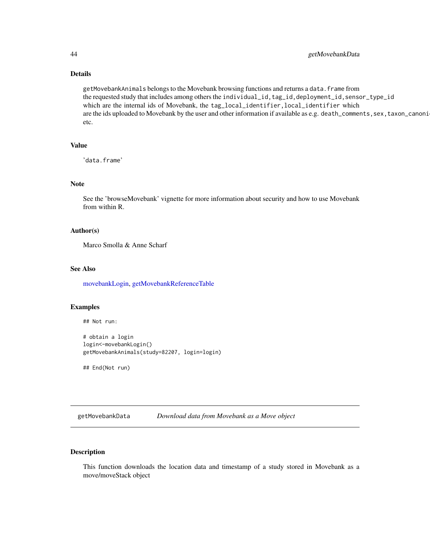# Details

getMovebankAnimals belongs to the Movebank browsing functions and returns a data.frame from the requested study that includes among others the individual\_id,tag\_id,deployment\_id,sensor\_type\_id which are the internal ids of Movebank, the tag\_local\_identifier,local\_identifier which are the ids uploaded to Movebank by the user and other information if available as e.g. death\_comments, sex, taxon\_canoni etc.

# Value

```
'data.frame'
```
## Note

See the 'browseMovebank' vignette for more information about security and how to use Movebank from within R.

## Author(s)

Marco Smolla & Anne Scharf

#### See Also

[movebankLogin,](#page-73-0) [getMovebankReferenceTable](#page-52-0)

#### Examples

```
## Not run:
```

```
# obtain a login
login<-movebankLogin()
getMovebankAnimals(study=82207, login=login)
```
## End(Not run)

<span id="page-43-0"></span>getMovebankData *Download data from Movebank as a Move object*

# Description

This function downloads the location data and timestamp of a study stored in Movebank as a move/moveStack object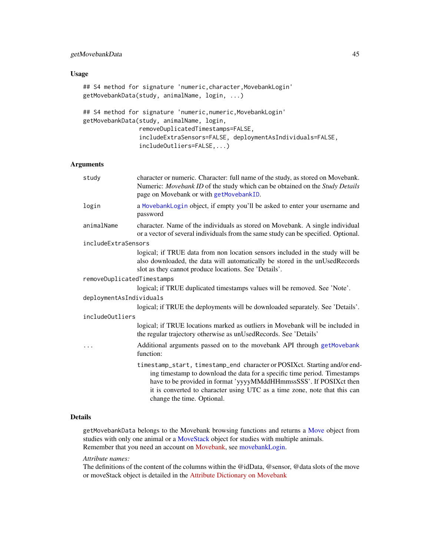# getMovebankData 45

# Usage

```
## S4 method for signature 'numeric, character, MovebankLogin'
getMovebankData(study, animalName, login, ...)
```

```
## S4 method for signature 'numeric,numeric,MovebankLogin'
getMovebankData(study, animalName, login,
                removeDuplicatedTimestamps=FALSE,
                includeExtraSensors=FALSE, deploymentAsIndividuals=FALSE,
                includeOutliers=FALSE,...)
```
# Arguments

| study                      | character or numeric. Character: full name of the study, as stored on Movebank.<br>Numeric: Movebank ID of the study which can be obtained on the Study Details<br>page on Movebank or with getMovebankID.                                                                                                                              |
|----------------------------|-----------------------------------------------------------------------------------------------------------------------------------------------------------------------------------------------------------------------------------------------------------------------------------------------------------------------------------------|
| login                      | a MovebankLogin object, if empty you'll be asked to enter your username and<br>password                                                                                                                                                                                                                                                 |
| animalName                 | character. Name of the individuals as stored on Movebank. A single individual<br>or a vector of several individuals from the same study can be specified. Optional.                                                                                                                                                                     |
| includeExtraSensors        |                                                                                                                                                                                                                                                                                                                                         |
|                            | logical; if TRUE data from non location sensors included in the study will be<br>also downloaded, the data will automatically be stored in the unUsedRecords<br>slot as they cannot produce locations. See 'Details'.                                                                                                                   |
| removeDuplicatedTimestamps |                                                                                                                                                                                                                                                                                                                                         |
|                            | logical; if TRUE duplicated timestamps values will be removed. See 'Note'.                                                                                                                                                                                                                                                              |
| deploymentAsIndividuals    |                                                                                                                                                                                                                                                                                                                                         |
|                            | logical; if TRUE the deployments will be downloaded separately. See 'Details'.                                                                                                                                                                                                                                                          |
| <i>includeOutliers</i>     |                                                                                                                                                                                                                                                                                                                                         |
|                            | logical; if TRUE locations marked as outliers in Movebank will be included in<br>the regular trajectory otherwise as unUsedRecords. See 'Details'                                                                                                                                                                                       |
|                            | Additional arguments passed on to the movebank API through getMovebank<br>function:                                                                                                                                                                                                                                                     |
|                            | timestamp_start, timestamp_end character or POSIXct. Starting and/or end-<br>ing timestamp to download the data for a specific time period. Timestamps<br>have to be provided in format 'yyyyMMddHHmmssSSS'. If POSIXct then<br>it is converted to character using UTC as a time zone, note that this can<br>change the time. Optional. |
|                            |                                                                                                                                                                                                                                                                                                                                         |

# Details

getMovebankData belongs to the Movebank browsing functions and returns a [Move](#page-70-0) object from studies with only one animal or a [MoveStack](#page-78-0) object for studies with multiple animals. Remember that you need an account on [Movebank,](http://www.movebank.org) see [movebankLogin.](#page-73-0)

## *Attribute names:*

The definitions of the content of the columns within the @idData, @sensor, @data slots of the move or moveStack object is detailed in the [Attribute Dictionary on Movebank](http://www.movebank.org/node/2381)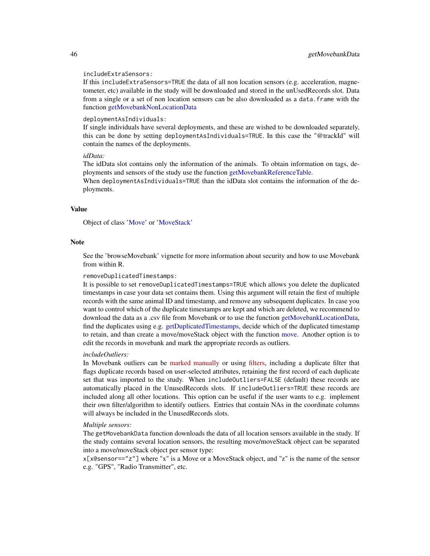#### includeExtraSensors:

If this includeExtraSensors=TRUE the data of all non location sensors (e.g. acceleration, magnetometer, etc) available in the study will be downloaded and stored in the unUsedRecords slot. Data from a single or a set of non location sensors can be also downloaded as a data.frame with the function [getMovebankNonLocationData](#page-50-0)

#### deploymentAsIndividuals:

If single individuals have several deployments, and these are wished to be downloaded separately, this can be done by setting deploymentAsIndividuals=TRUE. In this case the "@trackId" will contain the names of the deployments.

## *idData:*

The idData slot contains only the information of the animals. To obtain information on tags, deployments and sensors of the study use the function [getMovebankReferenceTable.](#page-52-0)

When deploymentAsIndividuals=TRUE than the idData slot contains the information of the deployments.

#### Value

Object of class ['Move'](#page-70-0) or ['MoveStack'](#page-78-0)

#### Note

See the 'browseMovebank' vignette for more information about security and how to use Movebank from within R.

#### removeDuplicatedTimestamps:

It is possible to set removeDuplicatedTimestamps=TRUE which allows you delete the duplicated timestamps in case your data set contains them. Using this argument will retain the first of multiple records with the same animal ID and timestamp, and remove any subsequent duplicates. In case you want to control which of the duplicate timestamps are kept and which are deleted, we recommend to download the data as a .csv file from Movebank or to use the function [getMovebankLocationData,](#page-47-0) find the duplicates using e.g. [getDuplicatedTimestamps,](#page-36-0) decide which of the duplicated timestamp to retain, and than create a move/moveStack object with the function [move.](#page-66-0) Another option is to edit the records in movebank and mark the appropriate records as outliers.

## *includeOutliers:*

In Movebank outliers can be [marked manually](https://www.movebank.org/node/42#mark_outliers) or using [filters,](https://www.movebank.org/node/33529) including a duplicate filter that flags duplicate records based on user-selected attributes, retaining the first record of each duplicate set that was imported to the study. When includeOutliers=FALSE (default) these records are automatically placed in the UnusedRecords slots. If includeOutliers=TRUE these records are included along all other locations. This option can be useful if the user wants to e.g. implement their own filter/algorithm to identify outliers. Entries that contain NAs in the coordinate columns will always be included in the UnusedRecords slots.

#### *Multiple sensors:*

The getMovebankData function downloads the data of all location sensors available in the study. If the study contains several location sensors, the resulting move/moveStack object can be separated into a move/moveStack object per sensor type:

x[x@sensor=="z"] where "x" is a Move or a MoveStack object, and "z" is the name of the sensor e.g. "GPS", "Radio Transmitter", etc.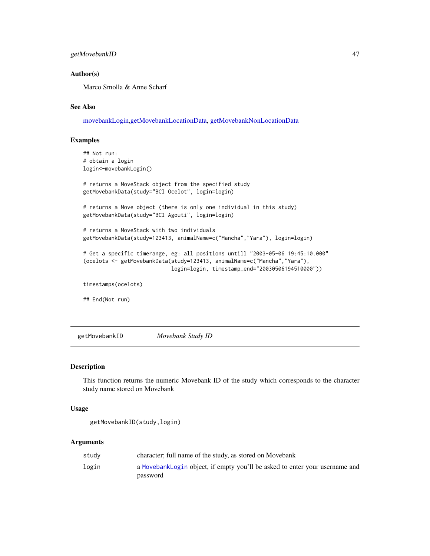# getMovebankID 47

## Author(s)

Marco Smolla & Anne Scharf

# See Also

[movebankLogin](#page-73-0)[,getMovebankLocationData,](#page-47-0) [getMovebankNonLocationData](#page-50-0)

## Examples

```
## Not run:
# obtain a login
login<-movebankLogin()
# returns a MoveStack object from the specified study
getMovebankData(study="BCI Ocelot", login=login)
# returns a Move object (there is only one individual in this study)
getMovebankData(study="BCI Agouti", login=login)
# returns a MoveStack with two individuals
getMovebankData(study=123413, animalName=c("Mancha","Yara"), login=login)
# Get a specific timerange, eg: all positions untill "2003-05-06 19:45:10.000"
(ocelots <- getMovebankData(study=123413, animalName=c("Mancha","Yara"),
                            login=login, timestamp_end="20030506194510000"))
timestamps(ocelots)
## End(Not run)
```
<span id="page-46-0"></span>getMovebankID *Movebank Study ID*

# Description

This function returns the numeric Movebank ID of the study which corresponds to the character study name stored on Movebank

## Usage

```
getMovebankID(study,login)
```
## Arguments

| studv | character; full name of the study, as stored on Movebank                    |
|-------|-----------------------------------------------------------------------------|
| login | a MovebankLogin object, if empty you'll be asked to enter your username and |
|       | password                                                                    |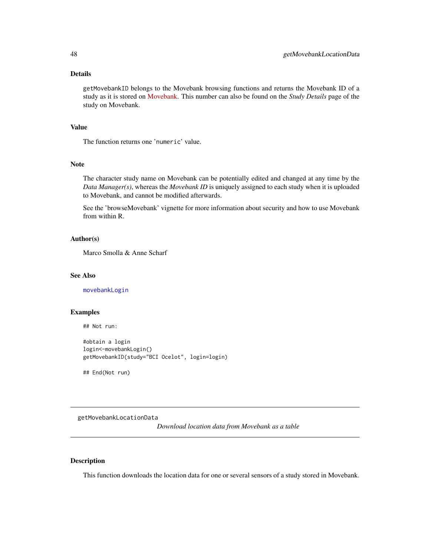# Details

getMovebankID belongs to the Movebank browsing functions and returns the Movebank ID of a study as it is stored on [Movebank.](http://www.movebank.org) This number can also be found on the *Study Details* page of the study on Movebank.

# Value

The function returns one 'numeric' value.

## Note

The character study name on Movebank can be potentially edited and changed at any time by the *Data Manager(s)*, whereas the *Movebank ID* is uniquely assigned to each study when it is uploaded to Movebank, and cannot be modified afterwards.

See the 'browseMovebank' vignette for more information about security and how to use Movebank from within R.

## Author(s)

Marco Smolla & Anne Scharf

## See Also

[movebankLogin](#page-73-0)

# Examples

## Not run:

#obtain a login login<-movebankLogin() getMovebankID(study="BCI Ocelot", login=login)

## End(Not run)

<span id="page-47-0"></span>getMovebankLocationData

*Download location data from Movebank as a table*

## Description

This function downloads the location data for one or several sensors of a study stored in Movebank.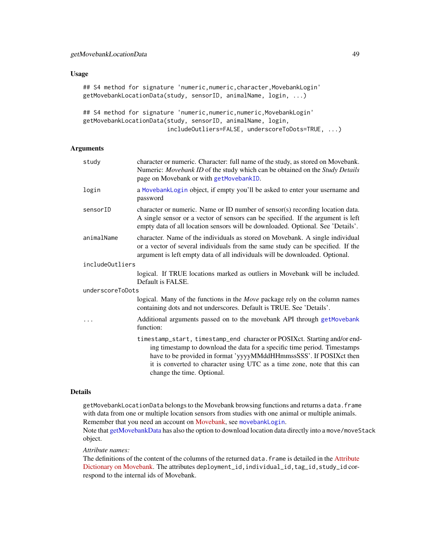# Usage

```
## S4 method for signature 'numeric,numeric,character,MovebankLogin'
getMovebankLocationData(study, sensorID, animalName, login, ...)
```

```
## S4 method for signature 'numeric,numeric,numeric,MovebankLogin'
getMovebankLocationData(study, sensorID, animalName, login,
                        includeOutliers=FALSE, underscoreToDots=TRUE, ...)
```
## Arguments

| study                  | character or numeric. Character: full name of the study, as stored on Movebank.<br>Numeric: Movebank ID of the study which can be obtained on the Study Details<br>page on Movebank or with getMovebankID.                                                                                                                              |
|------------------------|-----------------------------------------------------------------------------------------------------------------------------------------------------------------------------------------------------------------------------------------------------------------------------------------------------------------------------------------|
| login                  | a MovebankLogin object, if empty you'll be asked to enter your username and<br>password                                                                                                                                                                                                                                                 |
| sensorID               | character or numeric. Name or ID number of sensor(s) recording location data.<br>A single sensor or a vector of sensors can be specified. If the argument is left<br>empty data of all location sensors will be downloaded. Optional. See 'Details'.                                                                                    |
| animalName             | character. Name of the individuals as stored on Movebank. A single individual<br>or a vector of several individuals from the same study can be specified. If the<br>argument is left empty data of all individuals will be downloaded. Optional.                                                                                        |
| <i>includeOutliers</i> |                                                                                                                                                                                                                                                                                                                                         |
|                        | logical. If TRUE locations marked as outliers in Movebank will be included.<br>Default is FALSE.                                                                                                                                                                                                                                        |
| underscoreToDots       |                                                                                                                                                                                                                                                                                                                                         |
|                        | logical. Many of the functions in the Move package rely on the column names<br>containing dots and not underscores. Default is TRUE. See 'Details'.                                                                                                                                                                                     |
| .                      | Additional arguments passed on to the movebank API through getMovebank<br>function:                                                                                                                                                                                                                                                     |
|                        | timestamp_start, timestamp_end character or POSIXct. Starting and/or end-<br>ing timestamp to download the data for a specific time period. Timestamps<br>have to be provided in format 'yyyyMMddHHmmssSSS'. If POSIXct then<br>it is converted to character using UTC as a time zone, note that this can<br>change the time. Optional. |

# Details

getMovebankLocationData belongs to the Movebank browsing functions and returns a data.frame with data from one or multiple location sensors from studies with one animal or multiple animals. Remember that you need an account on [Movebank,](http://www.movebank.org) see [movebankLogin](#page-73-0).

Note that [getMovebankData](#page-43-0) has also the option to download location data directly into a move/moveStack object.

*Attribute names:*

The definitions of the content of the columns of the returned data. frame is detailed in the [Attribute](http://www.movebank.org/node/2381) [Dictionary on Movebank.](http://www.movebank.org/node/2381) The attributes deployment\_id, individual\_id, tag\_id, study\_id correspond to the internal ids of Movebank.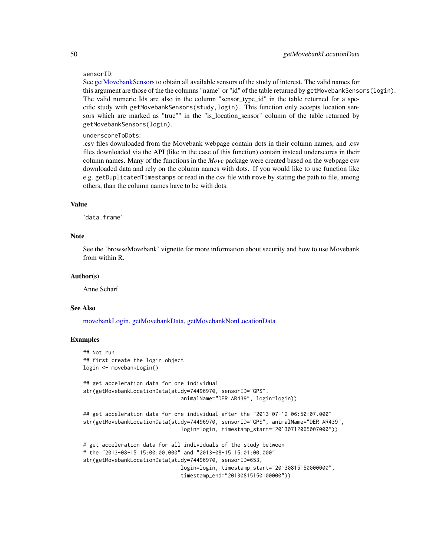#### sensorID:

See [getMovebankSensors](#page-53-0) to obtain all available sensors of the study of interest. The valid names for this argument are those of the the columns "name" or "id" of the table returned by getMovebankSensors(login). The valid numeric Ids are also in the column "sensor\_type\_id" in the table returned for a specific study with getMovebankSensors(study,login). This function only accepts location sensors which are marked as "true"" in the "is\_location\_sensor" column of the table returned by getMovebankSensors(login).

## underscoreToDots:

.csv files downloaded from the Movebank webpage contain dots in their column names, and .csv files downloaded via the API (like in the case of this function) contain instead underscores in their column names. Many of the functions in the *Move* package were created based on the webpage csv downloaded data and rely on the column names with dots. If you would like to use function like e.g. getDuplicatedTimestamps or read in the csv file with move by stating the path to file, among others, than the column names have to be with dots.

# Value

'data.frame'

## Note

See the 'browseMovebank' vignette for more information about security and how to use Movebank from within R.

## Author(s)

Anne Scharf

## See Also

[movebankLogin,](#page-73-0) [getMovebankData,](#page-43-0) [getMovebankNonLocationData](#page-50-0)

# Examples

```
## Not run:
## first create the login object
login <- movebankLogin()
## get acceleration data for one individual
str(getMovebankLocationData(study=74496970, sensorID="GPS",
                               animalName="DER AR439", login=login))
## get acceleration data for one individual after the "2013-07-12 06:50:07.000"
str(getMovebankLocationData(study=74496970, sensorID="GPS", animalName="DER AR439",
                               login=login, timestamp_start="20130712065007000"))
# get acceleration data for all individuals of the study between
# the "2013-08-15 15:00:00.000" and "2013-08-15 15:01:00.000"
str(getMovebankLocationData(study=74496970, sensorID=653,
                               login=login, timestamp_start="20130815150000000",
                               timestamp_end="20130815150100000"))
```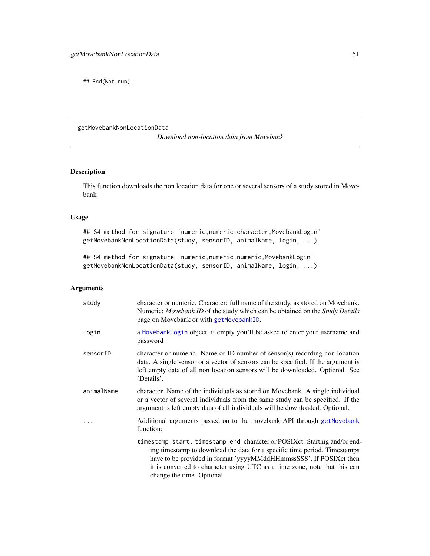## End(Not run)

<span id="page-50-0"></span>getMovebankNonLocationData

*Download non-location data from Movebank*

# Description

This function downloads the non location data for one or several sensors of a study stored in Movebank

# Usage

## S4 method for signature 'numeric, numeric, character, MovebankLogin' getMovebankNonLocationData(study, sensorID, animalName, login, ...)

## S4 method for signature 'numeric,numeric,numeric,MovebankLogin' getMovebankNonLocationData(study, sensorID, animalName, login, ...)

# Arguments

| study      | character or numeric. Character: full name of the study, as stored on Movebank.<br>Numeric: <i>Movebank ID</i> of the study which can be obtained on the <i>Study Details</i><br>page on Movebank or with getMovebankID.                                                                                                                |
|------------|-----------------------------------------------------------------------------------------------------------------------------------------------------------------------------------------------------------------------------------------------------------------------------------------------------------------------------------------|
| login      | a MovebankLogin object, if empty you'll be asked to enter your username and<br>password                                                                                                                                                                                                                                                 |
| sensorID   | character or numeric. Name or ID number of sensor(s) recording non location<br>data. A single sensor or a vector of sensors can be specified. If the argument is<br>left empty data of all non location sensors will be downloaded. Optional. See<br>'Details'.                                                                         |
| animalName | character. Name of the individuals as stored on Movebank. A single individual<br>or a vector of several individuals from the same study can be specified. If the<br>argument is left empty data of all individuals will be downloaded. Optional.                                                                                        |
|            | Additional arguments passed on to the movebank API through get Movebank<br>function:                                                                                                                                                                                                                                                    |
|            | timestamp_start, timestamp_end character or POSIXct. Starting and/or end-<br>ing timestamp to download the data for a specific time period. Timestamps<br>have to be provided in format 'yyyyMMddHHmmssSSS'. If POSIXct then<br>it is converted to character using UTC as a time zone, note that this can<br>change the time. Optional. |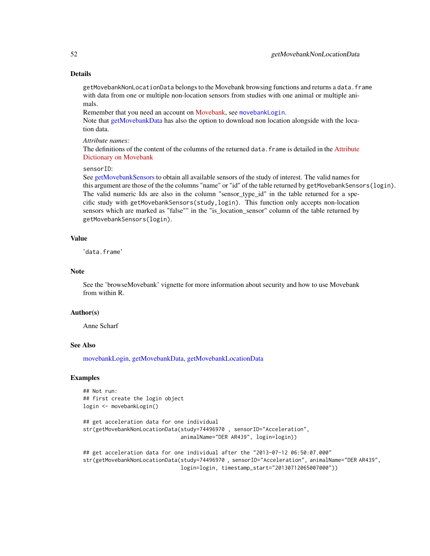# Details

getMovebankNonLocationData belongs to the Movebank browsing functions and returns a data. frame with data from one or multiple non-location sensors from studies with one animal or multiple animals.

Remember that you need an account on [Movebank,](http://www.movebank.org) see [movebankLogin](#page-73-0).

Note that [getMovebankData](#page-43-0) has also the option to download non location alongside with the location data.

#### *Attribute names:*

The definitions of the content of the columns of the returned data. frame is detailed in the [Attribute](http://www.movebank.org/node/2381) [Dictionary on Movebank](http://www.movebank.org/node/2381)

## sensorID:

See [getMovebankSensors](#page-53-0) to obtain all available sensors of the study of interest. The valid names for this argument are those of the the columns "name" or "id" of the table returned by getMovebankSensors(login). The valid numeric Ids are also in the column "sensor type id" in the table returned for a specific study with getMovebankSensors(study,login). This function only accepts non-location sensors which are marked as "false"" in the "is\_location\_sensor" column of the table returned by getMovebankSensors(login).

#### Value

'data.frame'

# Note

See the 'browseMovebank' vignette for more information about security and how to use Movebank from within R.

## Author(s)

Anne Scharf

# See Also

[movebankLogin,](#page-73-0) [getMovebankData,](#page-43-0) [getMovebankLocationData](#page-47-0)

#### Examples

## Not run: ## first create the login object login <- movebankLogin()

```
## get acceleration data for one individual
str(getMovebankNonLocationData(study=74496970 , sensorID="Acceleration",
                               animalName="DER AR439", login=login))
```

```
## get acceleration data for one individual after the "2013-07-12 06:50:07.000"
str(getMovebankNonLocationData(study=74496970 , sensorID="Acceleration", animalName="DER AR439",
                               login=login, timestamp_start="20130712065007000"))
```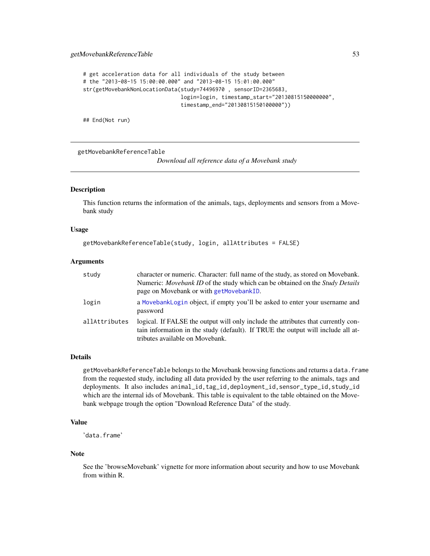```
# get acceleration data for all individuals of the study between
# the "2013-08-15 15:00:00.000" and "2013-08-15 15:01:00.000"
str(getMovebankNonLocationData(study=74496970 , sensorID=2365683,
                               login=login, timestamp_start="20130815150000000",
                               timestamp_end="20130815150100000"))
```
## End(Not run)

<span id="page-52-0"></span>getMovebankReferenceTable

*Download all reference data of a Movebank study*

# Description

This function returns the information of the animals, tags, deployments and sensors from a Movebank study

## Usage

```
getMovebankReferenceTable(study, login, allAttributes = FALSE)
```
#### Arguments

| study         | character or numeric. Character: full name of the study, as stored on Movebank.<br>Numeric: Movebank ID of the study which can be obtained on the Study Details<br>page on Movebank or with getMovebankID. |
|---------------|------------------------------------------------------------------------------------------------------------------------------------------------------------------------------------------------------------|
| login         | a MovebankLogin object, if empty you'll be asked to enter your username and<br>password                                                                                                                    |
| allAttributes | logical. If FALSE the output will only include the attributes that currently con-<br>tain information in the study (default). If TRUE the output will include all at-<br>tributes available on Movebank.   |

# Details

getMovebankReferenceTable belongs to the Movebank browsing functions and returns a data.frame from the requested study, including all data provided by the user referring to the animals, tags and deployments. It also includes animal\_id,tag\_id,deployment\_id,sensor\_type\_id,study\_id which are the internal ids of Movebank. This table is equivalent to the table obtained on the Movebank webpage trough the option "Download Reference Data" of the study.

# Value

'data.frame'

#### Note

See the 'browseMovebank' vignette for more information about security and how to use Movebank from within R.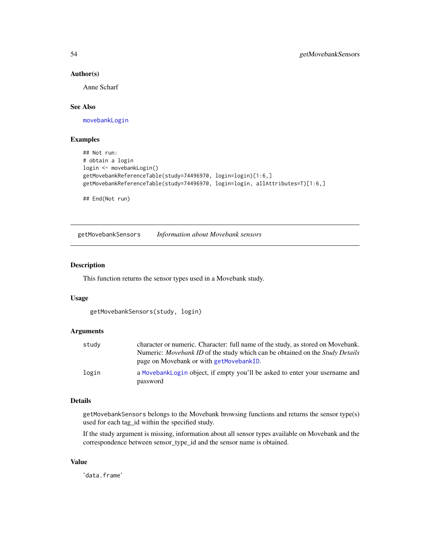# Author(s)

Anne Scharf

# See Also

[movebankLogin](#page-73-0)

# Examples

```
## Not run:
# obtain a login
login <- movebankLogin()
getMovebankReferenceTable(study=74496970, login=login)[1:6,]
getMovebankReferenceTable(study=74496970, login=login, allAttributes=T)[1:6,]
```
## End(Not run)

<span id="page-53-0"></span>getMovebankSensors *Information about Movebank sensors*

## Description

This function returns the sensor types used in a Movebank study.

## Usage

getMovebankSensors(study, login)

## Arguments

| character or numeric. Character: full name of the study, as stored on Movebank.            |
|--------------------------------------------------------------------------------------------|
| Numeric: <i>Movebank ID</i> of the study which can be obtained on the <i>Study Details</i> |
| page on Movebank or with getMovebankID.                                                    |
| a MovebankLogin object, if empty you'll be asked to enter your username and<br>password    |
|                                                                                            |

#### Details

getMovebankSensors belongs to the Movebank browsing functions and returns the sensor type(s) used for each tag\_id within the specified study.

If the study argument is missing, information about all sensor types available on Movebank and the correspondence between sensor\_type\_id and the sensor name is obtained.

# Value

'data.frame'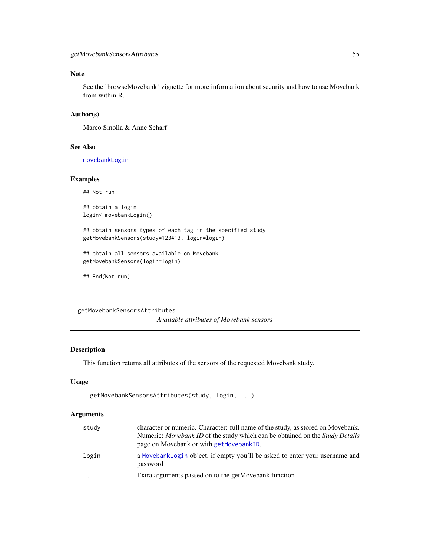# Note

See the 'browseMovebank' vignette for more information about security and how to use Movebank from within R.

## Author(s)

Marco Smolla & Anne Scharf

# See Also

[movebankLogin](#page-73-0)

# Examples

## Not run:

## obtain a login login<-movebankLogin()

## obtain sensors types of each tag in the specified study getMovebankSensors(study=123413, login=login)

```
## obtain all sensors available on Movebank
getMovebankSensors(login=login)
```
## End(Not run)

<span id="page-54-0"></span>getMovebankSensorsAttributes

*Available attributes of Movebank sensors*

# Description

This function returns all attributes of the sensors of the requested Movebank study.

# Usage

```
getMovebankSensorsAttributes(study, login, ...)
```
# Arguments

| study | character or numeric. Character: full name of the study, as stored on Movebank.<br>Numeric: <i>Movebank ID</i> of the study which can be obtained on the <i>Study Details</i><br>page on Movebank or with getMovebankID. |
|-------|--------------------------------------------------------------------------------------------------------------------------------------------------------------------------------------------------------------------------|
| login | a MovebankLogin object, if empty you'll be asked to enter your username and<br>password                                                                                                                                  |
| .     | Extra arguments passed on to the getMovebank function                                                                                                                                                                    |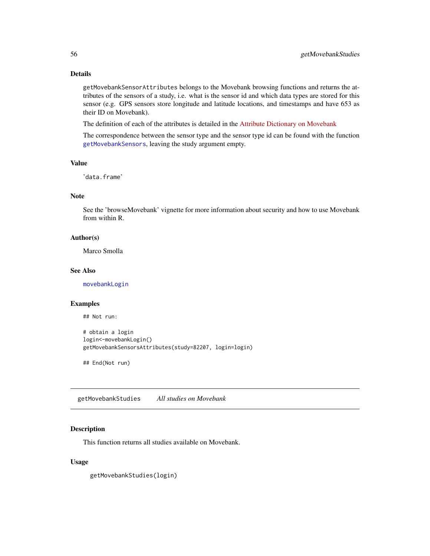# Details

getMovebankSensorAttributes belongs to the Movebank browsing functions and returns the attributes of the sensors of a study, i.e. what is the sensor id and which data types are stored for this sensor (e.g. GPS sensors store longitude and latitude locations, and timestamps and have 653 as their ID on Movebank).

The definition of each of the attributes is detailed in the [Attribute Dictionary on Movebank](http://www.movebank.org/node/2381)

The correspondence between the sensor type and the sensor type id can be found with the function [getMovebankSensors](#page-53-0), leaving the study argument empty.

# Value

'data.frame'

## Note

See the 'browseMovebank' vignette for more information about security and how to use Movebank from within R.

# Author(s)

Marco Smolla

# See Also

[movebankLogin](#page-73-0)

## Examples

## Not run:

```
# obtain a login
login<-movebankLogin()
getMovebankSensorsAttributes(study=82207, login=login)
```
## End(Not run)

<span id="page-55-0"></span>getMovebankStudies *All studies on Movebank*

# Description

This function returns all studies available on Movebank.

# Usage

getMovebankStudies(login)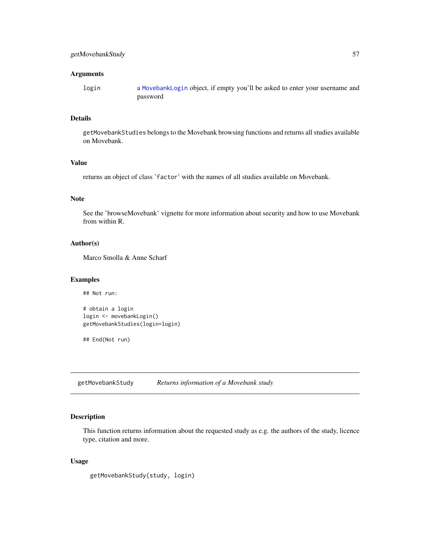# Arguments

login a [MovebankLogin](#page-74-0) object, if empty you'll be asked to enter your username and password

## Details

getMovebankStudies belongs to the Movebank browsing functions and returns all studies available on Movebank.

# Value

returns an object of class 'factor' with the names of all studies available on Movebank.

# Note

See the 'browseMovebank' vignette for more information about security and how to use Movebank from within R.

# Author(s)

Marco Smolla & Anne Scharf

#### Examples

```
# obtain a login
login <- movebankLogin()
getMovebankStudies(login=login)
```
## End(Not run)

## Not run:

<span id="page-56-0"></span>getMovebankStudy *Returns information of a Movebank study*

# Description

This function returns information about the requested study as e.g. the authors of the study, licence type, citation and more.

## Usage

getMovebankStudy(study, login)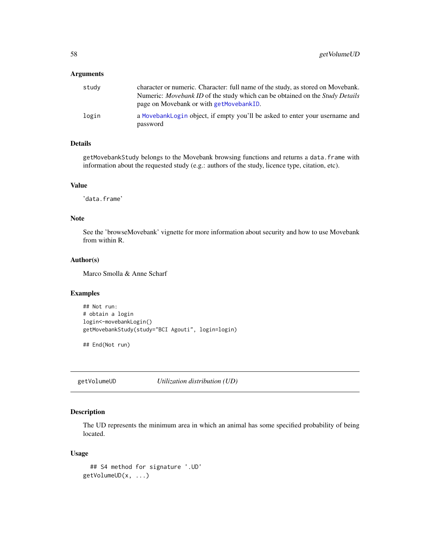#### Arguments

| study | character or numeric. Character: full name of the study, as stored on Movebank.            |
|-------|--------------------------------------------------------------------------------------------|
|       | Numeric: <i>Movebank ID</i> of the study which can be obtained on the <i>Study Details</i> |
|       | page on Movebank or with getMovebankID.                                                    |
| login | a MovebankLogin object, if empty you'll be asked to enter your username and<br>password    |

# Details

getMovebankStudy belongs to the Movebank browsing functions and returns a data.frame with information about the requested study (e.g.: authors of the study, licence type, citation, etc).

## Value

'data.frame'

## Note

See the 'browseMovebank' vignette for more information about security and how to use Movebank from within R.

# Author(s)

Marco Smolla & Anne Scharf

# Examples

```
## Not run:
# obtain a login
login<-movebankLogin()
getMovebankStudy(study="BCI Agouti", login=login)
```
## End(Not run)

getVolumeUD *Utilization distribution (UD)*

# Description

The UD represents the minimum area in which an animal has some specified probability of being located.

## Usage

```
## S4 method for signature '.UD'
getVolumeUD(x, ...)
```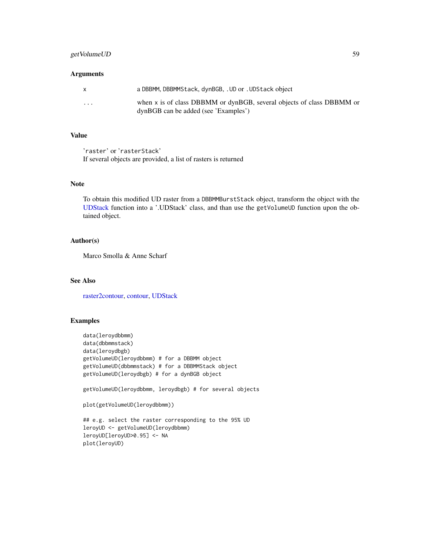# getVolumeUD 59

## Arguments

| X        | a DBBMM, DBBMMStack, dynBGB, .UD or .UDStack object                                                           |
|----------|---------------------------------------------------------------------------------------------------------------|
| $\cdots$ | when x is of class DBBMM or dynBGB, several objects of class DBBMM or<br>dynBGB can be added (see 'Examples') |

# Value

'raster' or 'rasterStack' If several objects are provided, a list of rasters is returned

# Note

To obtain this modified UD raster from a DBBMMBurstStack object, transform the object with the [UDStack](#page-105-0) function into a '.UDStack' class, and than use the getVolumeUD function upon the obtained object.

## Author(s)

Marco Smolla & Anne Scharf

# See Also

[raster2contour,](#page-88-0) [contour,](#page-16-0) [UDStack](#page-105-0)

# Examples

```
data(leroydbbmm)
data(dbbmmstack)
data(leroydbgb)
getVolumeUD(leroydbbmm) # for a DBBMM object
getVolumeUD(dbbmmstack) # for a DBBMMStack object
getVolumeUD(leroydbgb) # for a dynBGB object
getVolumeUD(leroydbbmm, leroydbgb) # for several objects
plot(getVolumeUD(leroydbbmm))
## e.g. select the raster corresponding to the 95% UD
leroyUD <- getVolumeUD(leroydbbmm)
leroyUD[leroyUD>0.95] <- NA
plot(leroyUD)
```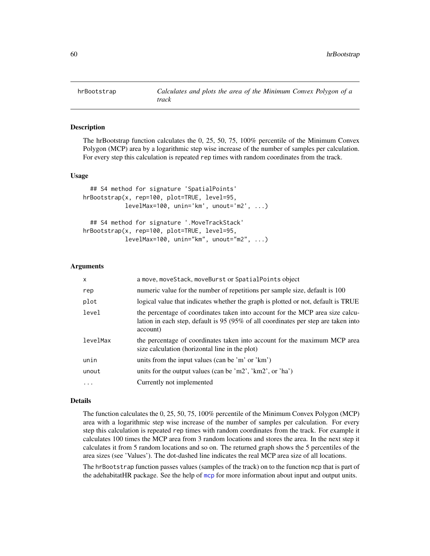<span id="page-59-0"></span>

# **Description**

The hrBootstrap function calculates the 0, 25, 50, 75, 100% percentile of the Minimum Convex Polygon (MCP) area by a logarithmic step wise increase of the number of samples per calculation. For every step this calculation is repeated rep times with random coordinates from the track.

#### Usage

```
## S4 method for signature 'SpatialPoints'
hrBootstrap(x, rep=100, plot=TRUE, level=95,
            levelMax=100, unin='km', unout='m2', ...)
  ## S4 method for signature '.MoveTrackStack'
hrBootstrap(x, rep=100, plot=TRUE, level=95,
            levelMax=100, unin="km", unout="m2", ...)
```
## Arguments

| $\mathsf{x}$ | a move, moveStack, moveBurst or SpatialPoints object                                                                                                                            |
|--------------|---------------------------------------------------------------------------------------------------------------------------------------------------------------------------------|
| rep          | numeric value for the number of repetitions per sample size, default is 100                                                                                                     |
| plot         | logical value that indicates whether the graph is plotted or not, default is TRUE                                                                                               |
| level        | the percentage of coordinates taken into account for the MCP area size calcu-<br>lation in each step, default is 95 (95% of all coordinates per step are taken into<br>account) |
| levelMax     | the percentage of coordinates taken into account for the maximum MCP area<br>size calculation (horizontal line in the plot)                                                     |
| unin         | units from the input values (can be 'm' or 'km')                                                                                                                                |
| unout        | units for the output values (can be 'm2', ' $km2$ ', or 'ha')                                                                                                                   |
| $\ddotsc$    | Currently not implemented                                                                                                                                                       |

#### Details

The function calculates the 0, 25, 50, 75, 100% percentile of the Minimum Convex Polygon (MCP) area with a logarithmic step wise increase of the number of samples per calculation. For every step this calculation is repeated rep times with random coordinates from the track. For example it calculates 100 times the MCP area from 3 random locations and stores the area. In the next step it calculates it from 5 random locations and so on. The returned graph shows the 5 percentiles of the area sizes (see 'Values'). The dot-dashed line indicates the real MCP area size of all locations.

The hrBootstrap function passes values (samples of the track) on to the function mcp that is part of the adehabitatHR package. See the help of [mcp](#page-0-0) for more information about input and output units.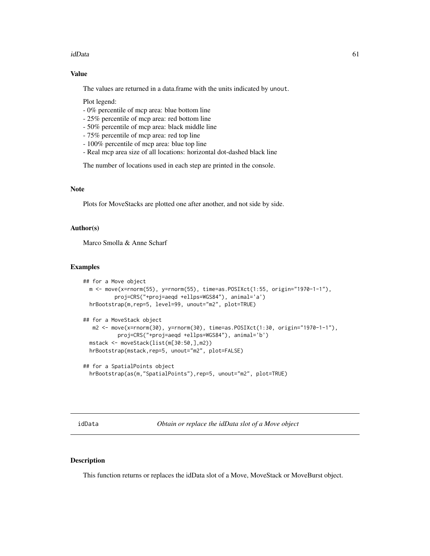#### idData 61

# Value

The values are returned in a data.frame with the units indicated by unout.

Plot legend:

- 0% percentile of mcp area: blue bottom line
- 25% percentile of mcp area: red bottom line
- 50% percentile of mcp area: black middle line
- 75% percentile of mcp area: red top line
- 100% percentile of mcp area: blue top line
- Real mcp area size of all locations: horizontal dot-dashed black line

The number of locations used in each step are printed in the console.

# Note

Plots for MoveStacks are plotted one after another, and not side by side.

# Author(s)

Marco Smolla & Anne Scharf

## Examples

```
## for a Move object
 m <- move(x=rnorm(55), y=rnorm(55), time=as.POSIXct(1:55, origin="1970-1-1"),
          proj=CRS("+proj=aeqd +ellps=WGS84"), animal='a')
 hrBootstrap(m,rep=5, level=99, unout="m2", plot=TRUE)
## for a MoveStack object
  m2 <- move(x=rnorm(30), y=rnorm(30), time=as.POSIXct(1:30, origin="1970-1-1"),
          proj=CRS("+proj=aeqd +ellps=WGS84"), animal='b')
 mstack <- moveStack(list(m[30:50,],m2))
 hrBootstrap(mstack,rep=5, unout="m2", plot=FALSE)
## for a SpatialPoints object
```

```
hrBootstrap(as(m,"SpatialPoints"),rep=5, unout="m2", plot=TRUE)
```
<span id="page-60-0"></span>idData *Obtain or replace the idData slot of a Move object*

#### Description

This function returns or replaces the idData slot of a Move, MoveStack or MoveBurst object.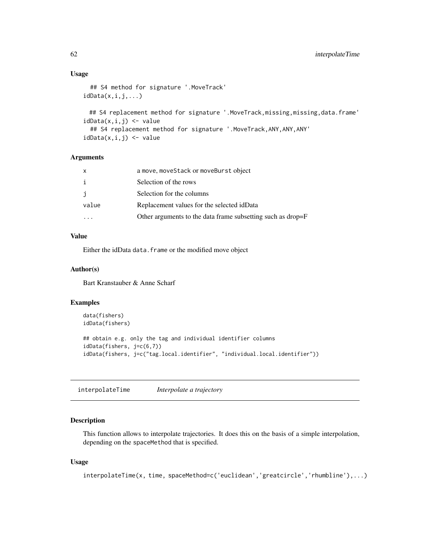## Usage

```
## S4 method for signature '.MoveTrack'
idData(x, i, j, \ldots)
```

```
## S4 replacement method for signature '.MoveTrack,missing,missing,data.frame'
idData(x, i, j) \leq value## S4 replacement method for signature '.MoveTrack,ANY,ANY,ANY'
idData(x, i, j) \leq value
```
## Arguments

| a move, moveStack or moveBurst object                       |
|-------------------------------------------------------------|
| Selection of the rows                                       |
| Selection for the columns                                   |
| Replacement values for the selected idData                  |
| Other arguments to the data frame subsetting such as drop=F |
|                                                             |

# Value

Either the idData data. frame or the modified move object

# Author(s)

Bart Kranstauber & Anne Scharf

## Examples

```
data(fishers)
idData(fishers)
## obtain e.g. only the tag and individual identifier columns
idData(fishers, j=c(6,7))
idData(fishers, j=c("tag.local.identifier", "individual.local.identifier"))
```
<span id="page-61-0"></span>interpolateTime *Interpolate a trajectory*

# Description

This function allows to interpolate trajectories. It does this on the basis of a simple interpolation, depending on the spaceMethod that is specified.

# Usage

interpolateTime(x, time, spaceMethod=c('euclidean','greatcircle','rhumbline'),...)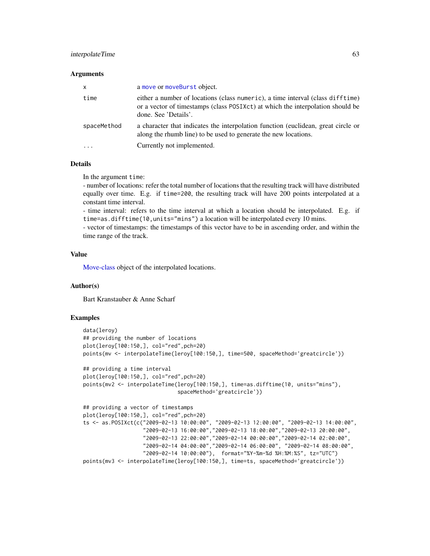# interpolateTime 63

#### Arguments

| $\mathsf{x}$ | a move or moveBurst object.                                                                                                                                                              |
|--------------|------------------------------------------------------------------------------------------------------------------------------------------------------------------------------------------|
| time         | either a number of locations (class numeric), a time interval (class difftime)<br>or a vector of timestamps (class POSIXct) at which the interpolation should be<br>done. See 'Details'. |
| spaceMethod  | a character that indicates the interpolation function (euclidean, great circle or<br>along the rhumb line) to be used to generate the new locations.                                     |
|              | Currently not implemented.                                                                                                                                                               |

#### Details

In the argument time:

- number of locations: refer the total number of locations that the resulting track will have distributed equally over time. E.g. if time=200, the resulting track will have 200 points interpolated at a constant time interval.

- time interval: refers to the time interval at which a location should be interpolated. E.g. if time=as.difftime(10,units="mins") a location will be interpolated every 10 mins.

- vector of timestamps: the timestamps of this vector have to be in ascending order, and within the time range of the track.

# Value

[Move-class](#page-70-0) object of the interpolated locations.

#### Author(s)

Bart Kranstauber & Anne Scharf

#### Examples

```
data(leroy)
## providing the number of locations
plot(leroy[100:150,], col="red",pch=20)
points(mv <- interpolateTime(leroy[100:150,], time=500, spaceMethod='greatcircle'))
## providing a time interval
plot(leroy[100:150,], col="red",pch=20)
points(mv2 <- interpolateTime(leroy[100:150,], time=as.difftime(10, units="mins"),
                              spaceMethod='greatcircle'))
## providing a vector of timestamps
plot(leroy[100:150,], col="red",pch=20)
ts <- as.POSIXct(c("2009-02-13 10:00:00", "2009-02-13 12:00:00", "2009-02-13 14:00:00",
                   "2009-02-13 16:00:00","2009-02-13 18:00:00","2009-02-13 20:00:00",
                   "2009-02-13 22:00:00","2009-02-14 00:00:00","2009-02-14 02:00:00",
                   "2009-02-14 04:00:00","2009-02-14 06:00:00", "2009-02-14 08:00:00",
                   "2009-02-14 10:00:00"), format="%Y-%m-%d %H:%M:%S", tz="UTC")
points(mv3 <- interpolateTime(leroy[100:150,], time=ts, spaceMethod='greatcircle'))
```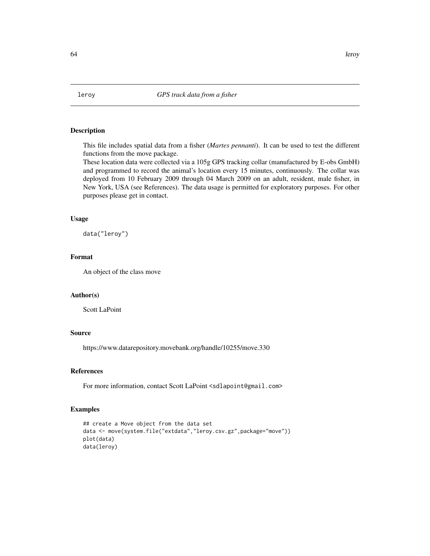# Description

This file includes spatial data from a fisher (*Martes pennanti*). It can be used to test the different functions from the move package.

These location data were collected via a 105g GPS tracking collar (manufactured by E-obs GmbH) and programmed to record the animal's location every 15 minutes, continuously. The collar was deployed from 10 February 2009 through 04 March 2009 on an adult, resident, male fisher, in New York, USA (see References). The data usage is permitted for exploratory purposes. For other purposes please get in contact.

## Usage

data("leroy")

# Format

An object of the class move

## Author(s)

Scott LaPoint

## Source

https://www.datarepository.movebank.org/handle/10255/move.330

# References

For more information, contact Scott LaPoint <sdlapoint@gmail.com>

## Examples

```
## create a Move object from the data set
data <- move(system.file("extdata","leroy.csv.gz",package="move"))
plot(data)
data(leroy)
```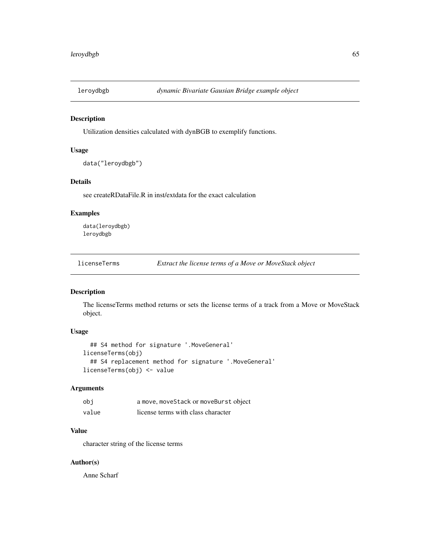## Description

Utilization densities calculated with dynBGB to exemplify functions.

# Usage

```
data("leroydbgb")
```
# Details

see createRDataFile.R in inst/extdata for the exact calculation

# Examples

data(leroydbgb) leroydbgb

licenseTerms *Extract the license terms of a Move or MoveStack object*

# Description

The licenseTerms method returns or sets the license terms of a track from a Move or MoveStack object.

# Usage

```
## S4 method for signature '.MoveGeneral'
licenseTerms(obj)
  ## S4 replacement method for signature '.MoveGeneral'
licenseTerms(obj) <- value
```
# Arguments

| obi   | a move, moveStack or moveBurst object |
|-------|---------------------------------------|
| value | license terms with class character    |

# Value

character string of the license terms

# Author(s)

Anne Scharf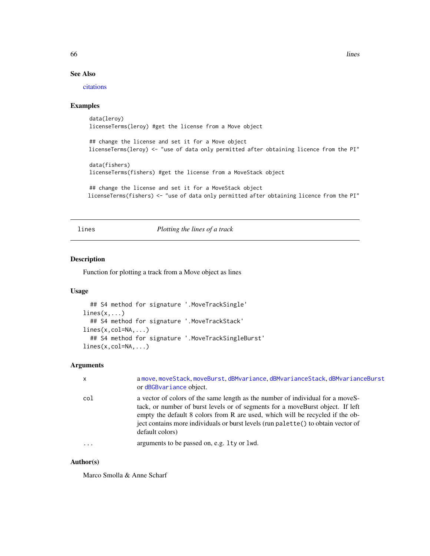66 lines and the set of the set of the set of the set of the set of the set of the set of the set of the set of the set of the set of the set of the set of the set of the set of the set of the set of the set of the set of

# See Also

[citations](#page-15-0)

## Examples

data(leroy) licenseTerms(leroy) #get the license from a Move object

## change the license and set it for a Move object licenseTerms(leroy) <- "use of data only permitted after obtaining licence from the PI"

data(fishers) licenseTerms(fishers) #get the license from a MoveStack object

```
## change the license and set it for a MoveStack object
licenseTerms(fishers) <- "use of data only permitted after obtaining licence from the PI"
```
<span id="page-65-0"></span>lines *Plotting the lines of a track*

# Description

Function for plotting a track from a Move object as lines

## Usage

```
## S4 method for signature '.MoveTrackSingle'
lines(x,...)## S4 method for signature '.MoveTrackStack'
lines(x,col=NA,...)
  ## S4 method for signature '.MoveTrackSingleBurst'
lines(x,col=NA,...)
```
## **Arguments**

| $\mathsf{x}$ | a move moveStack moveBurst dBMvariance dBMvarianceStack dBMvarianceBurst<br>or dBGBvariance object.                                                                                                                                                                                                                                                       |
|--------------|-----------------------------------------------------------------------------------------------------------------------------------------------------------------------------------------------------------------------------------------------------------------------------------------------------------------------------------------------------------|
| col          | a vector of colors of the same length as the number of individual for a moveS-<br>tack, or number of burst levels or of segments for a moveBurst object. If left<br>empty the default 8 colors from R are used, which will be recycled if the ob-<br>ject contains more individuals or burst levels (run palette() to obtain vector of<br>default colors) |
| $\ddotsc$    | arguments to be passed on, e.g. 1ty or 1wd.                                                                                                                                                                                                                                                                                                               |

# Author(s)

Marco Smolla & Anne Scharf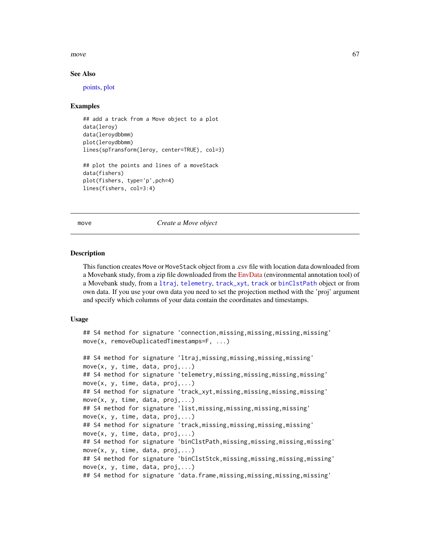#### move  $\sim$  67

## See Also

[points,](#page-86-0) [plot](#page-84-0)

#### Examples

```
## add a track from a Move object to a plot
data(leroy)
data(leroydbbmm)
plot(leroydbbmm)
lines(spTransform(leroy, center=TRUE), col=3)
## plot the points and lines of a moveStack
data(fishers)
plot(fishers, type='p',pch=4)
lines(fishers, col=3:4)
```
<span id="page-66-0"></span>move *Create a Move object*

#### Description

This function creates Move or MoveStack object from a .csv file with location data downloaded from a Movebank study, from a zip file downloaded from the [EnvData](https://www.movebank.org/node/6607) (environmental annotation tool) of a Movebank study, from a [ltraj](#page-0-0), [telemetry](#page-0-0), [track\\_xyt](#page-0-0), [track](#page-0-0) or [binClstPath](#page-0-0) object or from own data. If you use your own data you need to set the projection method with the 'proj' argument and specify which columns of your data contain the coordinates and timestamps.

#### Usage

```
## S4 method for signature 'connection,missing,missing,missing,missing'
move(x, removeDuplicatedTimestamps=F, ...)
```

```
## S4 method for signature 'ltraj,missing,missing,missing,missing'
move(x, y, time, data, proj,...)
## S4 method for signature 'telemetry,missing,missing,missing,missing'
move(x, y, time, data, proj,...)## S4 method for signature 'track_xyt,missing,missing,missing,missing'
move(x, y, time, data, proj,...)
## S4 method for signature 'list,missing,missing,missing,missing'
move(x, y, time, data, proj,...)
## S4 method for signature 'track,missing,missing,missing,missing'
move(x, y, time, data, proj,...)
## S4 method for signature 'binClstPath,missing,missing,missing,missing'
move(x, y, time, data, proj,...)
## S4 method for signature 'binClstStck,missing,missing,missing,missing'
move(x, y, time, data, proj,...)
## S4 method for signature 'data.frame,missing,missing,missing,missing'
```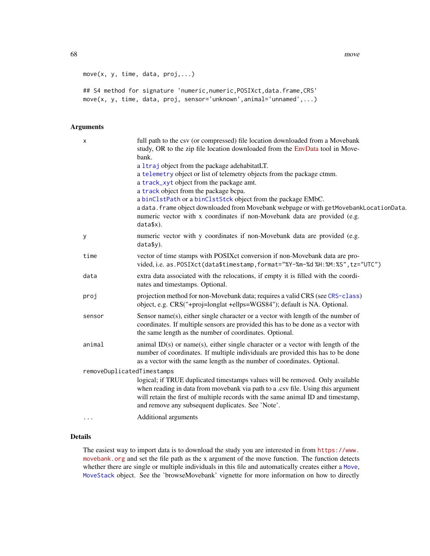68 move move move to the control of the control of the control of the control of the control of the control of the control of the control of the control of the control of the control of the control of the control of the co

```
move(x, y, time, data, proj,...)
## S4 method for signature 'numeric,numeric,POSIXct,data.frame,CRS'
```
move(x, y, time, data, proj, sensor='unknown',animal='unnamed',...)

# Arguments

| X                          | full path to the csv (or compressed) file location downloaded from a Movebank<br>study, OR to the zip file location downloaded from the EnvData tool in Move-<br>bank.                                                                                                                                                                                                                                                                                           |
|----------------------------|------------------------------------------------------------------------------------------------------------------------------------------------------------------------------------------------------------------------------------------------------------------------------------------------------------------------------------------------------------------------------------------------------------------------------------------------------------------|
|                            | a 1traj object from the package adehabitatLT.<br>a telemetry object or list of telemetry objects from the package ctmm.<br>a track_xyt object from the package amt.<br>a track object from the package bcpa.<br>a binClstPath or a binClstStck object from the package EMbC.<br>a data. frame object downloaded from Movebank webpage or with getMovebankLocationData.<br>numeric vector with x coordinates if non-Movebank data are provided (e.g.<br>data\$x). |
| У                          | numeric vector with y coordinates if non-Movebank data are provided (e.g.<br>data\$y).                                                                                                                                                                                                                                                                                                                                                                           |
| time                       | vector of time stamps with POSIXct conversion if non-Movebank data are pro-<br>vided, i.e. as. POSIXct(data\$timestamp, format="%Y-%m-%d %H:%M:%S", tz="UTC")                                                                                                                                                                                                                                                                                                    |
| data                       | extra data associated with the relocations, if empty it is filled with the coordi-<br>nates and timestamps. Optional.                                                                                                                                                                                                                                                                                                                                            |
| proj                       | projection method for non-Movebank data; requires a valid CRS (see CRS-class)<br>object, e.g. CRS("+proj=longlat +ellps=WGS84"); default is NA. Optional.                                                                                                                                                                                                                                                                                                        |
| sensor                     | Sensor name $(s)$ , either single character or a vector with length of the number of<br>coordinates. If multiple sensors are provided this has to be done as a vector with<br>the same length as the number of coordinates. Optional.                                                                                                                                                                                                                            |
| animal                     | animal $ID(s)$ or name(s), either single character or a vector with length of the<br>number of coordinates. If multiple individuals are provided this has to be done<br>as a vector with the same length as the number of coordinates. Optional.                                                                                                                                                                                                                 |
| removeDuplicatedTimestamps |                                                                                                                                                                                                                                                                                                                                                                                                                                                                  |
|                            | logical; if TRUE duplicated timestamps values will be removed. Only available<br>when reading in data from movebank via path to a .csv file. Using this argument<br>will retain the first of multiple records with the same animal ID and timestamp,<br>and remove any subsequent duplicates. See 'Note'.                                                                                                                                                        |
| $\cdots$                   | Additional arguments                                                                                                                                                                                                                                                                                                                                                                                                                                             |

# Details

The easiest way to import data is to download the study you are interested in from [https://www.](https://www.movebank.org) [movebank.org](https://www.movebank.org) and set the file path as the x argument of the move function. The function detects whether there are single or multiple individuals in this file and automatically creates either a [Move](#page-70-0), [MoveStack](#page-78-0) object. See the 'browseMovebank' vignette for more information on how to directly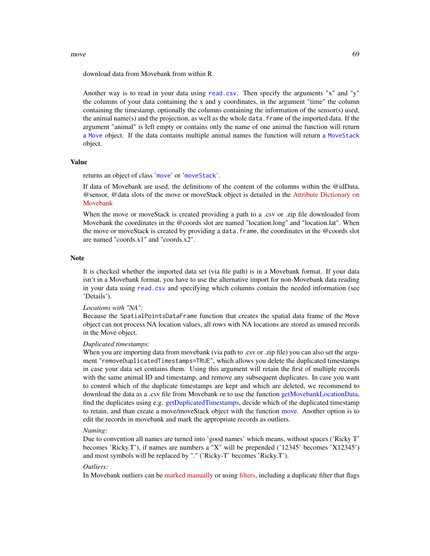#### $move$  69

download data from Movebank from within R.

Another way is to read in your data using [read.csv](#page-0-0). Then specify the arguments "x" and "y" the columns of your data containing the x and y coordinates, in the argument "time" the column containing the timestamp, optionally the columns containing the information of the sensor(s) used, the animal name(s) and the projection, as well as the whole data.frame of the imported data. If the argument "animal" is left empty or contains only the name of one animal the function will return a [Move](#page-70-0) object. If the data contains multiple animal names the function will return a [MoveStack](#page-78-0) object.

# Value

returns an object of class '[move](#page-70-0)' or '[moveStack](#page-78-0)'.

If data of Movebank are used, the definitions of the content of the columns within the @idData, @sensor, @data slots of the move or moveStack object is detailed in the [Attribute Dictionary on](http://www.movebank.org/node/2381) [Movebank](http://www.movebank.org/node/2381)

When the move or moveStack is created providing a path to a .csv or .zip file downloaded from Movebank the coordinates in the @coords slot are named "location.long" and "location.lat". When the move or moveStack is created by providing a data.frame, the coordinates in the @coords slot are named "coords.x1" and "coords.x2".

# Note

It is checked whether the imported data set (via file path) is in a Movebank format. If your data isn't in a Movebank format, you have to use the alternative import for non-Movebank data reading in your data using [read.csv](#page-0-0) and specifying which columns contain the needed information (see 'Details').

*Locations with "NA":*

Because the SpatialPointsDataFrame function that creates the spatial data frame of the Move object can not process NA location values, all rows with NA locations are stored as unused records in the Move object.

#### *Duplicated timestamps:*

When you are importing data from movebank (via path to .csv or .zip file) you can also set the argument "removeDuplicatedTimestamps=TRUE", which allows you delete the duplicated timestamps in case your data set contains them. Using this argument will retain the first of multiple records with the same animal ID and timestamp, and remove any subsequent duplicates. In case you want to control which of the duplicate timestamps are kept and which are deleted, we recommend to download the data as a .csv file from Movebank or to use the function [getMovebankLocationData,](#page-47-0) find the duplicates using e.g. [getDuplicatedTimestamps,](#page-36-0) decide which of the duplicated timestamp to retain, and than create a move/moveStack object with the function [move.](#page-66-0) Another option is to edit the records in movebank and mark the appropriate records as outliers.

#### *Naming:*

Due to convention all names are turned into 'good names' which means, without spaces ('Ricky T' becomes 'Ricky.T'), if names are numbers a "X" will be prepended ('12345' becomes 'X12345') and most symbols will be replaced by "." ('Ricky-T' becomes 'Ricky.T').

#### *Outliers:*

In Movebank outliers can be [marked manually](https://www.movebank.org/node/42#mark_outliers) or using [filters,](https://www.movebank.org/node/33529) including a duplicate filter that flags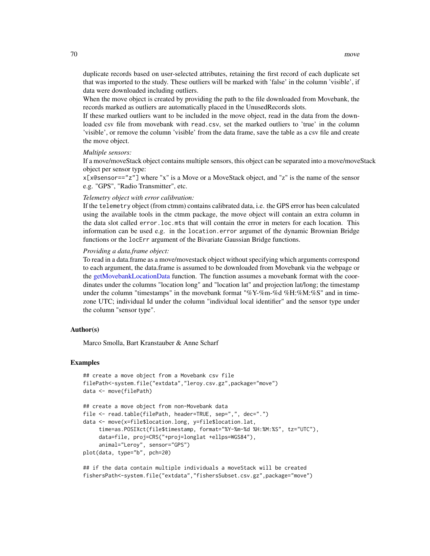duplicate records based on user-selected attributes, retaining the first record of each duplicate set that was imported to the study. These outliers will be marked with 'false' in the column 'visible', if data were downloaded including outliers.

When the move object is created by providing the path to the file downloaded from Movebank, the records marked as outliers are automatically placed in the UnusedRecords slots.

If these marked outliers want to be included in the move object, read in the data from the downloaded csv file from movebank with read.csv, set the marked outliers to 'true' in the column 'visible', or remove the column 'visible' from the data frame, save the table as a csv file and create the move object.

# *Multiple sensors:*

If a move/moveStack object contains multiple sensors, this object can be separated into a move/moveStack object per sensor type:

x[x@sensor=="z"] where "x" is a Move or a MoveStack object, and "z" is the name of the sensor e.g. "GPS", "Radio Transmitter", etc.

#### *Telemetry object with error calibration:*

If the telemetry object (from ctmm) contains calibrated data, i.e. the GPS error has been calculated using the available tools in the ctmm package, the move object will contain an extra column in the data slot called error.loc.mts that will contain the error in meters for each location. This information can be used e.g. in the location.error argumet of the dynamic Brownian Bridge functions or the locErr argument of the Bivariate Gaussian Bridge functions.

#### *Providing a data.frame object:*

To read in a data.frame as a move/movestack object without specifying which arguments correspond to each argument, the data.frame is assumed to be downloaded from Movebank via the webpage or the [getMovebankLocationData](#page-47-0) function. The function assumes a movebank format with the coordinates under the columns "location long" and "location lat" and projection lat/long; the timestamp under the column "timestamps" in the movebank format "%Y-%m-%d %H:%M:%S" and in timezone UTC; individual Id under the column "individual local identifier" and the sensor type under the column "sensor type".

#### Author(s)

Marco Smolla, Bart Kranstauber & Anne Scharf

#### Examples

```
## create a move object from a Movebank csv file
filePath<-system.file("extdata","leroy.csv.gz",package="move")
data <- move(filePath)
## create a move object from non-Movebank data
file <- read.table(filePath, header=TRUE, sep=",", dec=".")
data <- move(x=file$location.long, y=file$location.lat,
     time=as.POSIXct(file$timestamp, format="%Y-%m-%d %H:%M:%S", tz="UTC"),
     data=file, proj=CRS("+proj=longlat +ellps=WGS84"),
     animal="Leroy", sensor="GPS")
plot(data, type="b", pch=20)
```
## if the data contain multiple individuals a moveStack will be created fishersPath<-system.file("extdata","fishersSubset.csv.gz",package="move")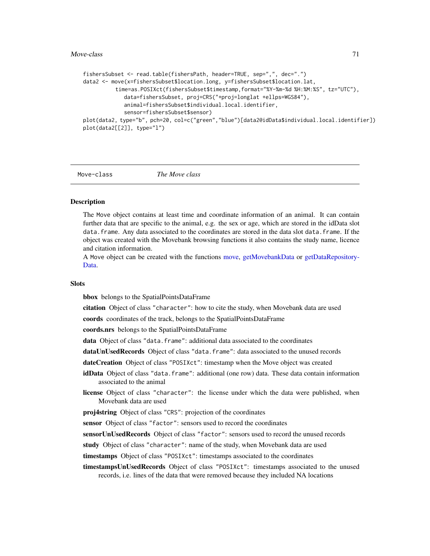#### $M$ ove-class  $71$

```
fishersSubset <- read.table(fishersPath, header=TRUE, sep=",", dec=".")
data2 <- move(x=fishersSubset$location.long, y=fishersSubset$location.lat,
          time=as.POSIXct(fishersSubset$timestamp,format="%Y-%m-%d %H:%M:%S", tz="UTC"),
            data=fishersSubset, proj=CRS("+proj=longlat +ellps=WGS84"),
            animal=fishersSubset$individual.local.identifier,
            sensor=fishersSubset$sensor)
plot(data2, type="b", pch=20, col=c("green","blue")[data2@idData$individual.local.identifier])
plot(data2[[2]], type="l")
```
<span id="page-70-0"></span>

Move-class *The Move class*

# Description

The Move object contains at least time and coordinate information of an animal. It can contain further data that are specific to the animal, e.g. the sex or age, which are stored in the idData slot data.frame. Any data associated to the coordinates are stored in the data slot data.frame. If the object was created with the Movebank browsing functions it also contains the study name, licence and citation information.

A Move object can be created with the functions [move,](#page-66-0) [getMovebankData](#page-43-0) or [getDataRepository-](#page-35-0)[Data.](#page-35-0)

#### **Slots**

bbox belongs to the SpatialPointsDataFrame

citation Object of class "character": how to cite the study, when Movebank data are used

coords coordinates of the track, belongs to the SpatialPointsDataFrame

coords.nrs belongs to the SpatialPointsDataFrame

data Object of class "data.frame": additional data associated to the coordinates

dataUnUsedRecords Object of class "data.frame": data associated to the unused records

dateCreation Object of class "POSIXct": timestamp when the Move object was created

- idData Object of class "data.frame": additional (one row) data. These data contain information associated to the animal
- license Object of class "character": the license under which the data were published, when Movebank data are used
- proj4string Object of class "CRS": projection of the coordinates

sensor Object of class "factor": sensors used to record the coordinates

sensorUnUsedRecords Object of class "factor": sensors used to record the unused records

study Object of class "character": name of the study, when Movebank data are used

timestamps Object of class "POSIXct": timestamps associated to the coordinates

timestampsUnUsedRecords Object of class "POSIXct": timestamps associated to the unused records, i.e. lines of the data that were removed because they included NA locations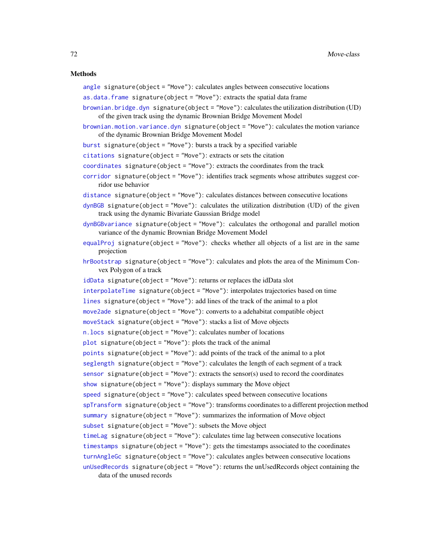#### Methods

[angle](#page-6-0) signature(object = "Move"): calculates angles between consecutive locations

- [as.data.frame](#page-7-0) signature(object = "Move"): extracts the spatial data frame
- [brownian.bridge.dyn](#page-9-0) signature(object = "Move"): calculates the utilization distribution (UD) of the given track using the dynamic Brownian Bridge Movement Model
- [brownian.motion.variance.dyn](#page-12-0) signature(object = "Move"): calculates the motion variance of the dynamic Brownian Bridge Movement Model
- [burst](#page-13-0) signature(object = "Move"): bursts a track by a specified variable
- [citations](#page-15-0) signature(object = "Move"): extracts or sets the citation
- [coordinates](#page-17-0) signature(object = "Move"): extracts the coordinates from the track
- [corridor](#page-17-1) signature(object = "Move"): identifies track segments whose attributes suggest corridor use behavior

[distance](#page-25-0) signature(object = "Move"): calculates distances between consecutive locations

- [dynBGB](#page-27-0) signature(object = "Move"): calculates the utilization distribution (UD) of the given track using the dynamic Bivariate Gaussian Bridge model
- [dynBGBvariance](#page-30-0) signature(object = "Move"): calculates the orthogonal and parallel motion variance of the dynamic Brownian Bridge Movement Model
- [equalProj](#page-34-0) signature(object = "Move"): checks whether all objects of a list are in the same projection
- [hrBootstrap](#page-59-0) signature(object = "Move"): calculates and plots the area of the Minimum Convex Polygon of a track
- [idData](#page-60-0) signature(object = "Move"): returns or replaces the idData slot
- [interpolateTime](#page-61-0) signature(object = "Move"): interpolates trajectories based on time
- [lines](#page-65-0) signature(object = "Move"): add lines of the track of the animal to a plot
- [move2ade](#page-72-0) signature(object = "Move"): converts to a adehabitat compatible object
- [moveStack](#page-77-0) signature(object = "Move"): stacks a list of Move objects
- [n.locs](#page-81-0) signature(object = "Move"): calculates number of locations
- [plot](#page-84-0) signature(object = "Move"): plots the track of the animal
- [points](#page-86-0) signature(object = "Move"): add points of the track of the animal to a plot
- [seglength](#page-91-0) signature(object = "Move"): calculates the length of each segment of a track
- [sensor](#page-92-0) signature(object = "Move"): extracts the sensor(s) used to record the coordinates
- [show](#page-93-0) signature(object = "Move"): displays summary the Move object
- [speed](#page-94-0) signature(object = "Move"): calculates speed between consecutive locations
- [spTransform](#page-96-0) signature(object = "Move"): transforms coordinates to a different projection method
- [summary](#page-98-0) signature(object = "Move"): summarizes the information of Move object
- [subset](#page-0-0) signature(object = "Move"): subsets the Move object

```
timeLag signature(object = "Move"): calculates time lag between consecutive locations
```
[timestamps](#page-102-0) signature(object = "Move"): gets the timestamps associated to the coordinates

- [turnAngleGc](#page-104-0) signature(object = "Move"): calculates angles between consecutive locations
- [unUsedRecords](#page-106-0) signature(object = "Move"): returns the unUsedRecords object containing the data of the unused records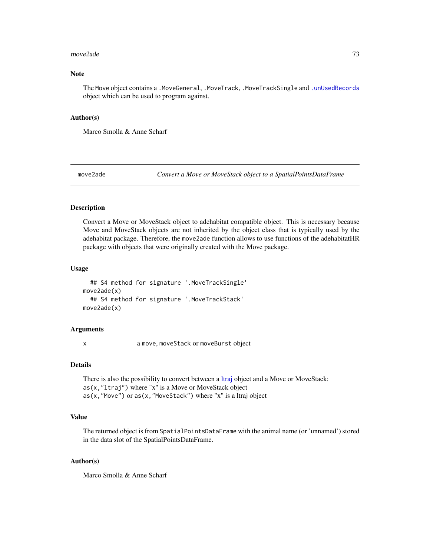#### $\mu$ move2ade  $\alpha$

# Note

The Move object contains a .MoveGeneral, .MoveTrack, .MoveTrackSingle and [.unUsedRecords](#page-5-0) object which can be used to program against.

### Author(s)

Marco Smolla & Anne Scharf

<span id="page-72-0"></span>move2ade *Convert a Move or MoveStack object to a SpatialPointsDataFrame*

# Description

Convert a Move or MoveStack object to adehabitat compatible object. This is necessary because Move and MoveStack objects are not inherited by the object class that is typically used by the adehabitat package. Therefore, the move2ade function allows to use functions of the adehabitatHR package with objects that were originally created with the Move package.

### Usage

```
## S4 method for signature '.MoveTrackSingle'
move2ade(x)
  ## S4 method for signature '.MoveTrackStack'
move2ade(x)
```
### Arguments

x a move, moveStack or moveBurst object

# Details

There is also the possibility to convert between a [ltraj](#page-0-0) object and a Move or MoveStack: as(x,"ltraj") where "x" is a Move or MoveStack object as(x,"Move") or as(x,"MoveStack") where "x" is a ltraj object

# Value

The returned object is from SpatialPointsDataFrame with the animal name (or 'unnamed') stored in the data slot of the SpatialPointsDataFrame.

### Author(s)

Marco Smolla & Anne Scharf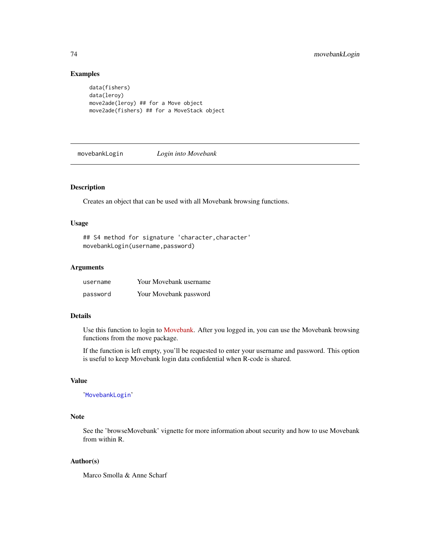# Examples

```
data(fishers)
data(leroy)
move2ade(leroy) ## for a Move object
move2ade(fishers) ## for a MoveStack object
```
<span id="page-73-0"></span>movebankLogin *Login into Movebank*

#### Description

Creates an object that can be used with all Movebank browsing functions.

#### Usage

```
## S4 method for signature 'character,character'
movebankLogin(username,password)
```
## Arguments

| username | Your Movebank username |
|----------|------------------------|
| password | Your Movebank password |

# Details

Use this function to login to [Movebank.](http://www.movebank.org) After you logged in, you can use the Movebank browsing functions from the move package.

If the function is left empty, you'll be requested to enter your username and password. This option is useful to keep Movebank login data confidential when R-code is shared.

# Value

'[MovebankLogin](#page-74-0)'

### Note

See the 'browseMovebank' vignette for more information about security and how to use Movebank from within R.

### Author(s)

Marco Smolla & Anne Scharf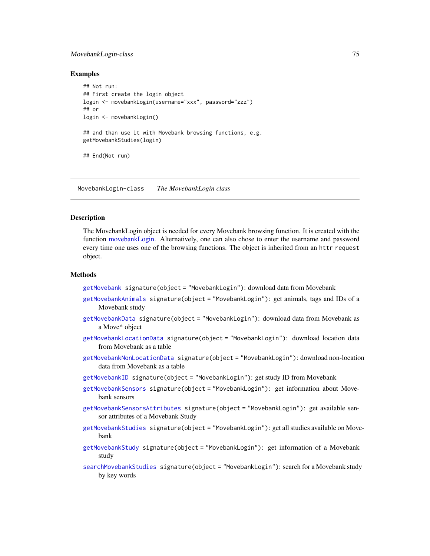#### MovebankLogin-class 75

## Examples

```
## Not run:
## First create the login object
login <- movebankLogin(username="xxx", password="zzz")
## or
login <- movebankLogin()
## and than use it with Movebank browsing functions, e.g.
getMovebankStudies(login)
## End(Not run)
```
<span id="page-74-0"></span>MovebankLogin-class *The MovebankLogin class*

#### Description

The MovebankLogin object is needed for every Movebank browsing function. It is created with the function [movebankLogin.](#page-73-0) Alternatively, one can also chose to enter the username and password every time one uses one of the browsing functions. The object is inherited from an httr request object.

# Methods

[getMovebank](#page-39-0) signature(object = "MovebankLogin"): download data from Movebank

- [getMovebankAnimals](#page-42-0) signature(object = "MovebankLogin"): get animals, tags and IDs of a Movebank study
- [getMovebankData](#page-43-0) signature(object = "MovebankLogin"): download data from Movebank as a Move\* object
- [getMovebankLocationData](#page-47-0) signature(object = "MovebankLogin"): download location data from Movebank as a table
- [getMovebankNonLocationData](#page-50-0) signature(object = "MovebankLogin"): download non-location data from Movebank as a table
- [getMovebankID](#page-46-0) signature(object = "MovebankLogin"): get study ID from Movebank
- [getMovebankSensors](#page-53-0) signature(object = "MovebankLogin"): get information about Movebank sensors
- [getMovebankSensorsAttributes](#page-54-0) signature(object = "MovebankLogin"): get available sensor attributes of a Movebank Study
- [getMovebankStudies](#page-55-0) signature(object = "MovebankLogin"): get all studies available on Movebank
- [getMovebankStudy](#page-56-0) signature(object = "MovebankLogin"): get information of a Movebank study
- [searchMovebankStudies](#page-90-0) signature(object = "MovebankLogin"): search for a Movebank study by key words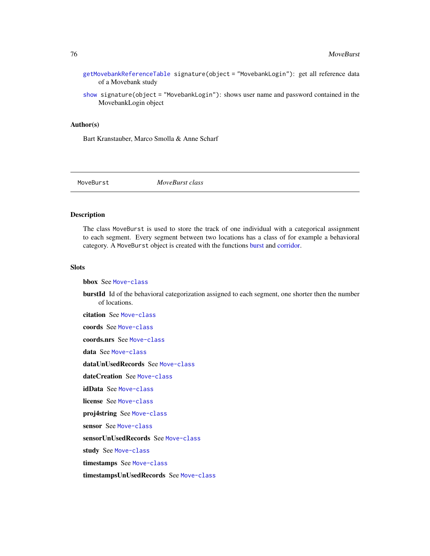[getMovebankReferenceTable](#page-52-0) signature(object = "MovebankLogin"): get all reference data of a Movebank study

[show](#page-93-0) signature(object = "MovebankLogin"): shows user name and password contained in the MovebankLogin object

# Author(s)

Bart Kranstauber, Marco Smolla & Anne Scharf

MoveBurst *MoveBurst class*

## <span id="page-75-0"></span>Description

The class MoveBurst is used to store the track of one individual with a categorical assignment to each segment. Every segment between two locations has a class of for example a behavioral category. A MoveBurst object is created with the functions [burst](#page-13-0) and [corridor.](#page-17-0)

## **Slots**

bbox See [Move-class](#page-70-0)

burstId Id of the behavioral categorization assigned to each segment, one shorter then the number of locations.

citation See [Move-class](#page-70-0)

coords See [Move-class](#page-70-0)

coords.nrs See [Move-class](#page-70-0)

data See [Move-class](#page-70-0)

dataUnUsedRecords See [Move-class](#page-70-0)

dateCreation See [Move-class](#page-70-0)

idData See [Move-class](#page-70-0)

license See [Move-class](#page-70-0)

proj4string See [Move-class](#page-70-0)

sensor See [Move-class](#page-70-0)

sensorUnUsedRecords See [Move-class](#page-70-0)

study See [Move-class](#page-70-0)

timestamps See [Move-class](#page-70-0)

timestampsUnUsedRecords See [Move-class](#page-70-0)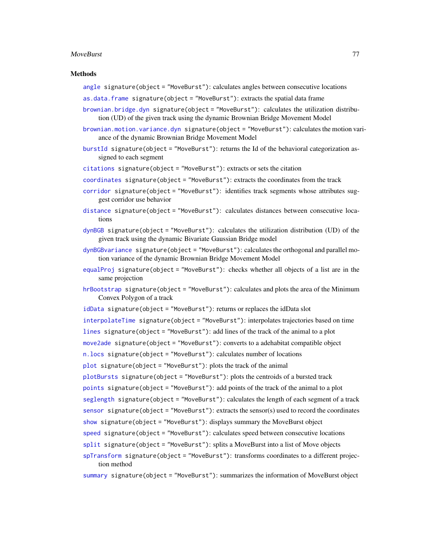#### MoveBurst 77

#### Methods

[angle](#page-6-0) signature(object = "MoveBurst"): calculates angles between consecutive locations

- [as.data.frame](#page-7-0) signature(object = "MoveBurst"): extracts the spatial data frame
- [brownian.bridge.dyn](#page-9-0) signature(object = "MoveBurst"): calculates the utilization distribution (UD) of the given track using the dynamic Brownian Bridge Movement Model
- [brownian.motion.variance.dyn](#page-12-0) signature(object = "MoveBurst"): calculates the motion variance of the dynamic Brownian Bridge Movement Model
- [burstId](#page-14-0) signature(object = "MoveBurst"): returns the Id of the behavioral categorization assigned to each segment
- [citations](#page-15-0) signature(object = "MoveBurst"): extracts or sets the citation
- [coordinates](#page-17-1) signature(object = "MoveBurst"): extracts the coordinates from the track
- [corridor](#page-17-0) signature(object = "MoveBurst"): identifies track segments whose attributes suggest corridor use behavior
- [distance](#page-25-0) signature(object = "MoveBurst"): calculates distances between consecutive locations
- [dynBGB](#page-27-0) signature(object = "MoveBurst"): calculates the utilization distribution (UD) of the given track using the dynamic Bivariate Gaussian Bridge model
- [dynBGBvariance](#page-30-0) signature(object = "MoveBurst"): calculates the orthogonal and parallel motion variance of the dynamic Brownian Bridge Movement Model
- [equalProj](#page-34-0) signature(object = "MoveBurst"): checks whether all objects of a list are in the same projection
- [hrBootstrap](#page-59-0) signature(object = "MoveBurst"): calculates and plots the area of the Minimum Convex Polygon of a track
- [idData](#page-60-0) signature(object = "MoveBurst"): returns or replaces the idData slot
- [interpolateTime](#page-61-0) signature(object = "MoveBurst"): interpolates trajectories based on time
- [lines](#page-65-0) signature(object = "MoveBurst"): add lines of the track of the animal to a plot

[move2ade](#page-72-0) signature(object = "MoveBurst"): converts to a adehabitat compatible object

[n.locs](#page-81-0) signature(object = "MoveBurst"): calculates number of locations

 $plot$  signature(object = "MoveBurst"): plots the track of the animal

[plotBursts](#page-85-0) signature(object = "MoveBurst"): plots the centroids of a bursted track

[points](#page-86-0) signature(object = "MoveBurst"): add points of the track of the animal to a plot

[seglength](#page-91-0) signature(object = "MoveBurst"): calculates the length of each segment of a track

[sensor](#page-92-0) signature(object = "MoveBurst"): extracts the sensor(s) used to record the coordinates

- [show](#page-93-0) signature(object = "MoveBurst"): displays summary the MoveBurst object
- [speed](#page-94-0) signature(object = "MoveBurst"): calculates speed between consecutive locations
- [split](#page-95-0) signature(object = "MoveBurst"): splits a MoveBurst into a list of Move objects
- [spTransform](#page-96-0) signature(object = "MoveBurst"): transforms coordinates to a different projection method

[summary](#page-98-0) signature(object = "MoveBurst"): summarizes the information of MoveBurst object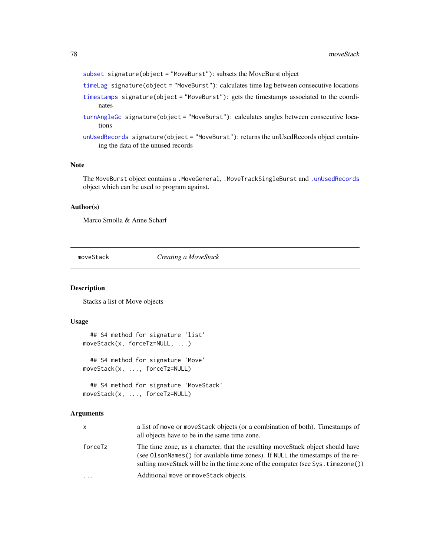[subset](#page-0-0) signature(object = "MoveBurst"): subsets the MoveBurst object

- [timeLag](#page-101-0) signature(object = "MoveBurst"): calculates time lag between consecutive locations
- [timestamps](#page-102-0) signature(object = "MoveBurst"): gets the timestamps associated to the coordinates
- [turnAngleGc](#page-104-0) signature(object = "MoveBurst"): calculates angles between consecutive locations
- [unUsedRecords](#page-106-0) signature(object = "MoveBurst"): returns the unUsedRecords object containing the data of the unused records

### Note

The MoveBurst object contains a .MoveGeneral, .MoveTrackSingleBurst and [.unUsedRecords](#page-5-0) object which can be used to program against.

### Author(s)

Marco Smolla & Anne Scharf

<span id="page-77-0"></span>moveStack *Creating a MoveStack*

# Description

Stacks a list of Move objects

# Usage

```
## S4 method for signature 'list'
moveStack(x, forceTz=NULL, ...)
  ## S4 method for signature 'Move'
moveStack(x, ..., forceTz=NULL)
```

```
## S4 method for signature 'MoveStack'
moveStack(x, ..., forceTz=NULL)
```
# Arguments

| X.      | a list of move or move Stack objects (or a combination of both). Timestamps of<br>all objects have to be in the same time zone.                                                                                                                         |
|---------|---------------------------------------------------------------------------------------------------------------------------------------------------------------------------------------------------------------------------------------------------------|
| forceTz | The time zone, as a character, that the resulting move Stack object should have<br>(see 01 sonNames () for available time zones). If NULL the timestamps of the re-<br>sulting moveStack will be in the time zone of the computer (see Sys. timezone()) |
| .       | Additional move or move Stack objects.                                                                                                                                                                                                                  |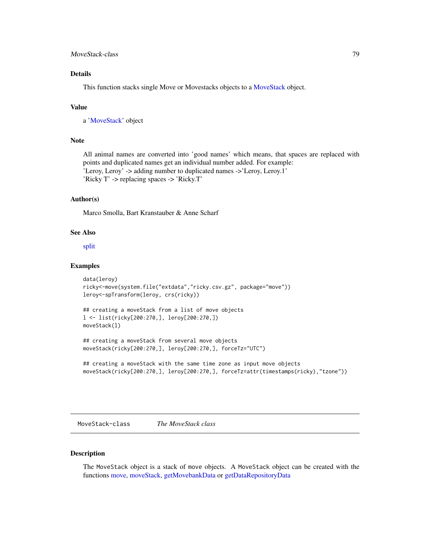# MoveStack-class 79

# Details

This function stacks single Move or Movestacks objects to a [MoveStack](#page-78-0) object.

## Value

a ['MoveStack'](#page-78-0) object

# **Note**

All animal names are converted into 'good names' which means, that spaces are replaced with points and duplicated names get an individual number added. For example: 'Leroy, Leroy' -> adding number to duplicated names ->'Leroy, Leroy.1' 'Ricky T' -> replacing spaces -> 'Ricky.T'

## Author(s)

Marco Smolla, Bart Kranstauber & Anne Scharf

# See Also

[split](#page-95-0)

#### Examples

```
data(leroy)
ricky<-move(system.file("extdata","ricky.csv.gz", package="move"))
leroy<-spTransform(leroy, crs(ricky))
## creating a moveStack from a list of move objects
l <- list(ricky[200:270,], leroy[200:270,])
moveStack(l)
## creating a moveStack from several move objects
moveStack(ricky[200:270,], leroy[200:270,], forceTz="UTC")
## creating a moveStack with the same time zone as input move objects
```
moveStack(ricky[200:270,], leroy[200:270,], forceTz=attr(timestamps(ricky),"tzone"))

<span id="page-78-0"></span>MoveStack-class *The MoveStack class*

#### Description

The MoveStack object is a stack of move objects. A MoveStack object can be created with the functions [move,](#page-66-0) [moveStack,](#page-77-0) [getMovebankData](#page-43-0) or [getDataRepositoryData](#page-35-0)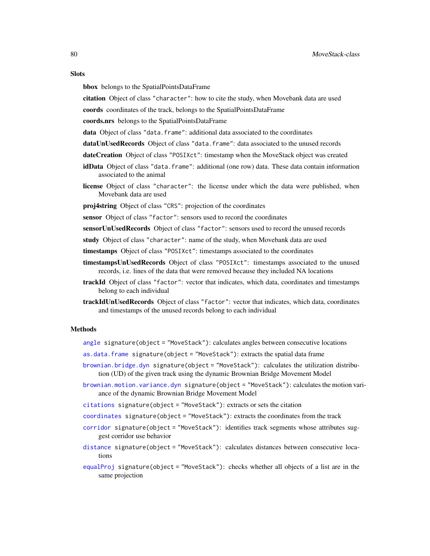#### **Slots**

bbox belongs to the SpatialPointsDataFrame

citation Object of class "character": how to cite the study, when Movebank data are used

coords coordinates of the track, belongs to the SpatialPointsDataFrame

coords.nrs belongs to the SpatialPointsDataFrame

- data Object of class "data.frame": additional data associated to the coordinates
- dataUnUsedRecords Object of class "data.frame": data associated to the unused records
- dateCreation Object of class "POSIXct": timestamp when the MoveStack object was created
- idData Object of class "data.frame": additional (one row) data. These data contain information associated to the animal
- license Object of class "character": the license under which the data were published, when Movebank data are used
- proj4string Object of class "CRS": projection of the coordinates
- sensor Object of class "factor": sensors used to record the coordinates
- sensorUnUsedRecords Object of class "factor": sensors used to record the unused records
- study Object of class "character": name of the study, when Movebank data are used
- timestamps Object of class "POSIXct": timestamps associated to the coordinates
- timestampsUnUsedRecords Object of class "POSIXct": timestamps associated to the unused records, i.e. lines of the data that were removed because they included NA locations
- trackId Object of class "factor": vector that indicates, which data, coordinates and timestamps belong to each individual
- trackIdUnUsedRecords Object of class "factor": vector that indicates, which data, coordinates and timestamps of the unused records belong to each individual

#### Methods

- [angle](#page-6-0) signature(object = "MoveStack"): calculates angles between consecutive locations
- [as.data.frame](#page-7-0) signature(object = "MoveStack"): extracts the spatial data frame
- [brownian.bridge.dyn](#page-9-0) signature(object = "MoveStack"): calculates the utilization distribution (UD) of the given track using the dynamic Brownian Bridge Movement Model
- [brownian.motion.variance.dyn](#page-12-0) signature(object = "MoveStack"): calculates the motion variance of the dynamic Brownian Bridge Movement Model
- [citations](#page-15-0) signature(object = "MoveStack"): extracts or sets the citation
- [coordinates](#page-17-1) signature(object = "MoveStack"): extracts the coordinates from the track
- [corridor](#page-17-0) signature(object = "MoveStack"): identifies track segments whose attributes suggest corridor use behavior
- [distance](#page-25-0) signature(object = "MoveStack"): calculates distances between consecutive locations
- [equalProj](#page-34-0) signature(object = "MoveStack"): checks whether all objects of a list are in the same projection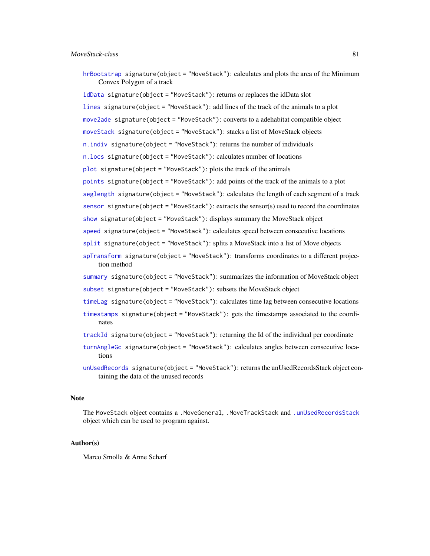[hrBootstrap](#page-59-0) signature(object = "MoveStack"): calculates and plots the area of the Minimum Convex Polygon of a track

[idData](#page-60-0) signature(object = "MoveStack"): returns or replaces the idData slot

[lines](#page-65-0) signature(object = "MoveStack"): add lines of the track of the animals to a plot [move2ade](#page-72-0) signature(object = "MoveStack"): converts to a adehabitat compatible object [moveStack](#page-77-0) signature(object = "MoveStack"): stacks a list of MoveStack objects [n.indiv](#page-81-1) signature(object = "MoveStack"): returns the number of individuals [n.locs](#page-81-0) signature(object = "MoveStack"): calculates number of locations  $plot$  signature(object = "MoveStack"): plots the track of the animals [points](#page-86-0) signature(object = "MoveStack"): add points of the track of the animals to a plot [seglength](#page-91-0) signature(object = "MoveStack"): calculates the length of each segment of a track [sensor](#page-92-0) signature(object = "MoveStack"): extracts the sensor(s) used to record the coordinates

[show](#page-93-0) signature(object = "MoveStack"): displays summary the MoveStack object

[speed](#page-94-0) signature(object = "MoveStack"): calculates speed between consecutive locations

[split](#page-95-0) signature(object = "MoveStack"): splits a MoveStack into a list of Move objects

[spTransform](#page-96-0) signature(object = "MoveStack"): transforms coordinates to a different projection method

[summary](#page-98-0) signature(object = "MoveStack"): summarizes the information of MoveStack object [subset](#page-0-0) signature(object = "MoveStack"): subsets the MoveStack object

[timeLag](#page-101-0) signature(object = "MoveStack"): calculates time lag between consecutive locations

[timestamps](#page-102-0) signature(object = "MoveStack"): gets the timestamps associated to the coordinates

[trackId](#page-103-0) signature(object = "MoveStack"): returning the Id of the individual per coordinate

- [turnAngleGc](#page-104-0) signature(object = "MoveStack"): calculates angles between consecutive locations
- [unUsedRecords](#page-106-0) signature(object = "MoveStack"): returns the unUsedRecordsStack object containing the data of the unused records

# Note

The MoveStack object contains a .MoveGeneral, .MoveTrackStack and [.unUsedRecordsStack](#page-5-0) object which can be used to program against.

### Author(s)

Marco Smolla & Anne Scharf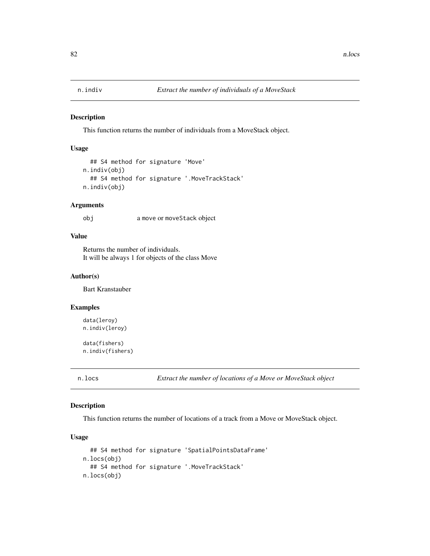<span id="page-81-1"></span>

This function returns the number of individuals from a MoveStack object.

# Usage

```
## S4 method for signature 'Move'
n.indiv(obj)
  ## S4 method for signature '.MoveTrackStack'
n.indiv(obj)
```
## Arguments

obj a move or moveStack object

# Value

Returns the number of individuals. It will be always 1 for objects of the class Move

### Author(s)

Bart Kranstauber

## Examples

```
data(leroy)
n.indiv(leroy)
```
data(fishers) n.indiv(fishers)

<span id="page-81-0"></span>n.locs *Extract the number of locations of a Move or MoveStack object*

## Description

This function returns the number of locations of a track from a Move or MoveStack object.

# Usage

```
## S4 method for signature 'SpatialPointsDataFrame'
n.locs(obj)
  ## S4 method for signature '.MoveTrackStack'
n.locs(obj)
```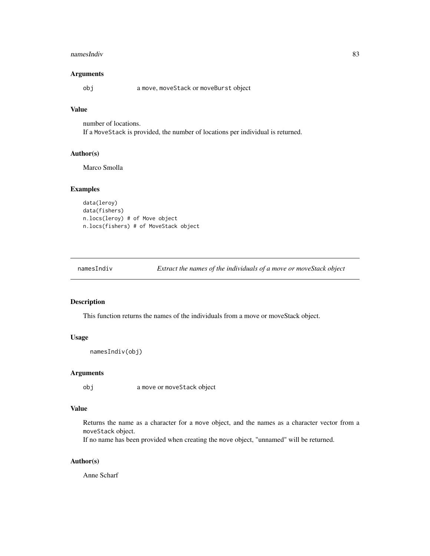#### namesIndiv 83

# Arguments

obj a move, moveStack or moveBurst object

# Value

number of locations. If a MoveStack is provided, the number of locations per individual is returned.

## Author(s)

Marco Smolla

# Examples

```
data(leroy)
data(fishers)
n.locs(leroy) # of Move object
n.locs(fishers) # of MoveStack object
```

| Extract the names of the individuals of a move or moveStack object<br>$n$ ames $Indiv$ |  |
|----------------------------------------------------------------------------------------|--|
|----------------------------------------------------------------------------------------|--|

# Description

This function returns the names of the individuals from a move or moveStack object.

### Usage

```
namesIndiv(obj)
```
# Arguments

obj a move or moveStack object

# Value

Returns the name as a character for a move object, and the names as a character vector from a moveStack object.

If no name has been provided when creating the move object, "unnamed" will be returned.

### Author(s)

Anne Scharf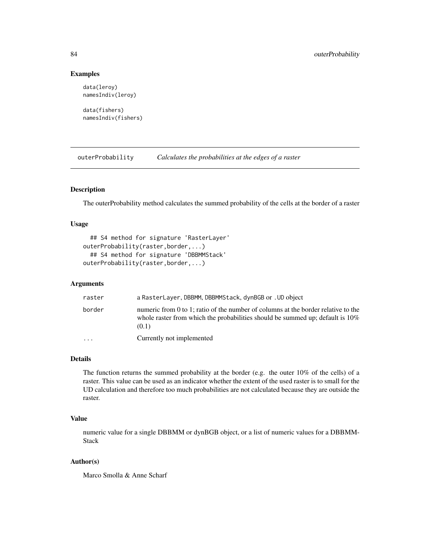## Examples

```
data(leroy)
namesIndiv(leroy)
```
data(fishers) namesIndiv(fishers)

<span id="page-83-0"></span>outerProbability *Calculates the probabilities at the edges of a raster*

# Description

The outerProbability method calculates the summed probability of the cells at the border of a raster

## Usage

```
## S4 method for signature 'RasterLayer'
outerProbability(raster,border,...)
  ## S4 method for signature 'DBBMMStack'
outerProbability(raster,border,...)
```
## Arguments

| raster                  | a RasterLayer, DBBMM, DBBMMStack, dynBGB or . UD object                                                                                                                        |
|-------------------------|--------------------------------------------------------------------------------------------------------------------------------------------------------------------------------|
| border                  | numeric from 0 to 1; ratio of the number of columns at the border relative to the<br>whole raster from which the probabilities should be summed up; default is $10\%$<br>(0.1) |
| $\cdot$ $\cdot$ $\cdot$ | Currently not implemented                                                                                                                                                      |

# Details

The function returns the summed probability at the border (e.g. the outer 10% of the cells) of a raster. This value can be used as an indicator whether the extent of the used raster is to small for the UD calculation and therefore too much probabilities are not calculated because they are outside the raster.

# Value

numeric value for a single DBBMM or dynBGB object, or a list of numeric values for a DBBMM-Stack

## Author(s)

Marco Smolla & Anne Scharf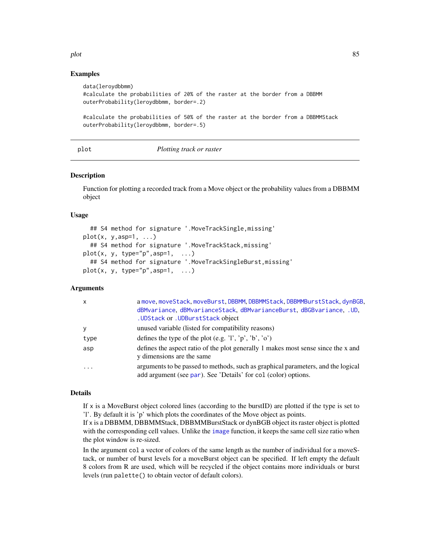#### plot the state of the state of the state of the state of the state of the state of the state of the state of the state of the state of the state of the state of the state of the state of the state of the state of the state

# Examples

```
data(leroydbbmm)
#calculate the probabilities of 20% of the raster at the border from a DBBMM
outerProbability(leroydbbmm, border=.2)
#calculate the probabilities of 50% of the raster at the border from a DBBMMStack
outerProbability(leroydbbmm, border=.5)
```
plot *Plotting track or raster*

#### **Description**

Function for plotting a recorded track from a Move object or the probability values from a DBBMM object

### Usage

```
## S4 method for signature '.MoveTrackSingle,missing'
plot(x, y, asp=1, ...)## S4 method for signature '.MoveTrackStack,missing'
plot(x, y, type="p", asp=1, ...)## S4 method for signature '.MoveTrackSingleBurst,missing'
plot(x, y, type="p", asp=1, ...)
```
## Arguments

| $\mathsf{x}$ | a move, moveStack, moveBurst, DBBMM, DBBMMStack, DBBMMBurstStack, dynBGB,<br>dBMvariance, dBMvarianceStack, dBMvarianceBurst, dBGBvariance, .UD.<br>. UDStack or . UDBurstStack object |
|--------------|----------------------------------------------------------------------------------------------------------------------------------------------------------------------------------------|
| У            | unused variable (listed for compatibility reasons)                                                                                                                                     |
| type         | defines the type of the plot (e.g. 'l', 'p', 'b', 'o')                                                                                                                                 |
| asp          | defines the aspect ratio of the plot generally 1 makes most sense since the x and<br>y dimensions are the same                                                                         |
| $\ddotsc$    | arguments to be passed to methods, such as graphical parameters, and the logical<br>add argument (see par). See 'Details' for col (color) options.                                     |

# Details

If  $x$  is a MoveBurst object colored lines (according to the burstID) are plotted if the type is set to 'l'. By default it is 'p' which plots the coordinates of the Move object as points.

If x is a DBBMM, DBBMMStack, DBBMMBurstStack or dynBGB object its raster object is plotted with the corresponding cell values. Unlike the [image](#page-0-0) function, it keeps the same cell size ratio when the plot window is re-sized.

In the argument col a vector of colors of the same length as the number of individual for a moveStack, or number of burst levels for a moveBurst object can be specified. If left empty the default 8 colors from R are used, which will be recycled if the object contains more individuals or burst levels (run palette() to obtain vector of default colors).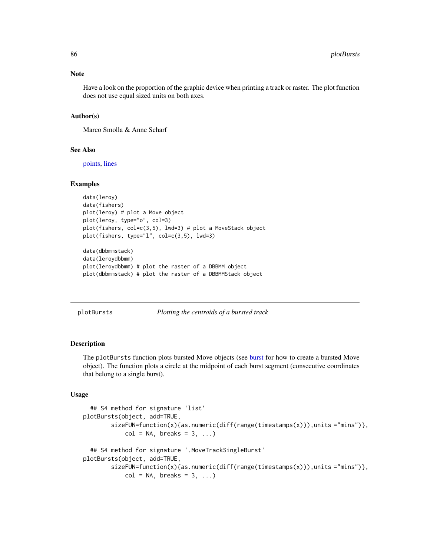#### Note

Have a look on the proportion of the graphic device when printing a track or raster. The plot function does not use equal sized units on both axes.

## Author(s)

Marco Smolla & Anne Scharf

### See Also

[points,](#page-86-0) [lines](#page-65-0)

#### Examples

```
data(leroy)
data(fishers)
plot(leroy) # plot a Move object
plot(leroy, type="o", col=3)
plot(fishers, col=c(3,5), lwd=3) # plot a MoveStack object
plot(fishers, type="l", col=c(3,5), lwd=3)
data(dbbmmstack)
data(leroydbbmm)
plot(leroydbbmm) # plot the raster of a DBBMM object
plot(dbbmmstack) # plot the raster of a DBBMMStack object
```
<span id="page-85-0"></span>plotBursts *Plotting the centroids of a bursted track*

## Description

The plotBursts function plots bursted Move objects (see [burst](#page-13-0) for how to create a bursted Move object). The function plots a circle at the midpoint of each burst segment (consecutive coordinates that belong to a single burst).

# Usage

```
## S4 method for signature 'list'
plotBursts(object, add=TRUE,
       sizeFUN=function(x){as.numeric(diff(range(timestamps(x))),units ="mins")},
            col = NA, breaks = 3, ...)
  ## S4 method for signature '.MoveTrackSingleBurst'
plotBursts(object, add=TRUE,
       sizeFUN=function(x){as.numeric(diff(range(timestamps(x))),units ="mins")},
            col = NA, breaks = 3, ...)
```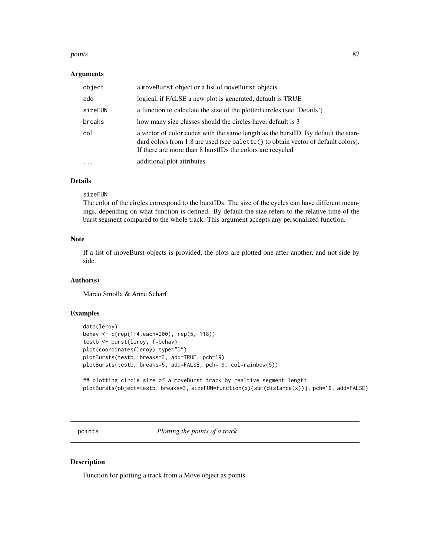#### points and the set of the set of the set of the set of the set of the set of the set of the set of the set of the set of the set of the set of the set of the set of the set of the set of the set of the set of the set of th

#### Arguments

| object    | a moveBurst object or a list of moveBurst objects                                                                                                                                                                                    |
|-----------|--------------------------------------------------------------------------------------------------------------------------------------------------------------------------------------------------------------------------------------|
| add       | logical, if FALSE a new plot is generated, default is TRUE                                                                                                                                                                           |
| sizeFUN   | a function to calculate the size of the plotted circles (see 'Details')                                                                                                                                                              |
| breaks    | how many size classes should the circles have, default is 3                                                                                                                                                                          |
| col       | a vector of color codes with the same length as the burst ID. By default the stan-<br>dard colors from 1:8 are used (see palette() to obtain vector of default colors).<br>If there are more than 8 burstIDs the colors are recycled |
| $\ddotsc$ | additional plot attributes                                                                                                                                                                                                           |

# Details

#### sizeFUN

The color of the circles correspond to the burstIDs. The size of the cycles can have different meanings, depending on what function is defined. By default the size refers to the relative time of the burst segment compared to the whole track. This argument accepts any personalized function.

# Note

If a list of moveBurst objects is provided, the plots are plotted one after another, and not side by side.

## Author(s)

Marco Smolla & Anne Scharf

# Examples

```
data(leroy)
behav <- c(rep(1:4,each=200), rep(5, 118))
testb <- burst(leroy, f=behav)
plot(coordinates(leroy), type="l")
plotBursts(testb, breaks=3, add=TRUE, pch=19)
plotBursts(testb, breaks=5, add=FALSE, pch=19, col=rainbow(5))
## plotting circle size of a moveBurst track by realtive segment length
```

```
plotBursts(object=testb, breaks=3, sizeFUN=function(x){sum(distance(x))}, pch=19, add=FALSE)
```
<span id="page-86-0"></span>points *Plotting the points of a track*

# Description

Function for plotting a track from a Move object as points.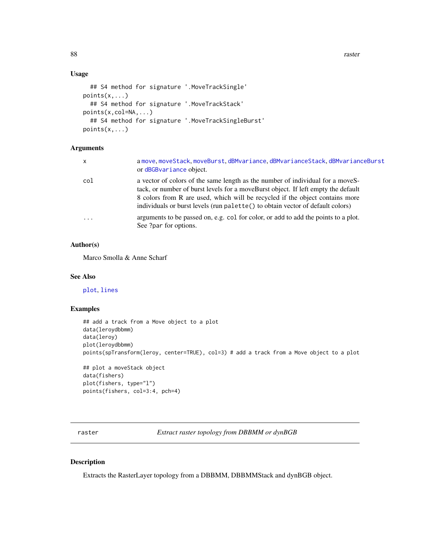88 raster and the set of the set of the set of the set of the set of the set of the set of the set of the set of the set of the set of the set of the set of the set of the set of the set of the set of the set of the set of

# Usage

```
## S4 method for signature '.MoveTrackSingle'
points(x,...)
  ## S4 method for signature '.MoveTrackStack'
points(x,col=NA,...)
  ## S4 method for signature '.MoveTrackSingleBurst'
points(x,...)
```
# Arguments

| x          | a move moveStack moveBurst dBMvariance dBMvarianceStack dBMvarianceBurst<br>or dBGBvariance object.                                                                                                                                                                                                                                   |
|------------|---------------------------------------------------------------------------------------------------------------------------------------------------------------------------------------------------------------------------------------------------------------------------------------------------------------------------------------|
| col        | a vector of colors of the same length as the number of individual for a moveS-<br>tack, or number of burst levels for a moveBurst object. If left empty the default<br>8 colors from R are used, which will be recycled if the object contains more<br>individuals or burst levels (run palette() to obtain vector of default colors) |
| $\ddots$ . | arguments to be passed on, e.g. col for color, or add to add the points to a plot.<br>See ?par for options.                                                                                                                                                                                                                           |

## Author(s)

Marco Smolla & Anne Scharf

# See Also

[plot](#page-84-0), [lines](#page-65-0)

# Examples

```
## add a track from a Move object to a plot
data(leroydbbmm)
data(leroy)
plot(leroydbbmm)
points(spTransform(leroy, center=TRUE), col=3) # add a track from a Move object to a plot
## plot a moveStack object
data(fishers)
plot(fishers, type="l")
```

```
points(fishers, col=3:4, pch=4)
```
raster *Extract raster topology from DBBMM or dynBGB*

## Description

Extracts the RasterLayer topology from a DBBMM, DBBMMStack and dynBGB object.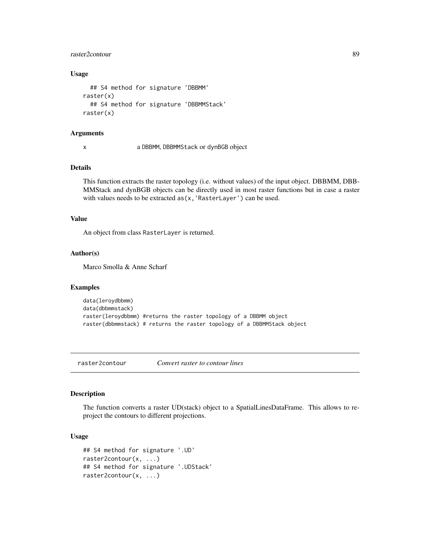# raster2contour 89

# Usage

```
## S4 method for signature 'DBBMM'
raster(x)
  ## S4 method for signature 'DBBMMStack'
raster(x)
```
### **Arguments**

x a DBBMM, DBBMMStack or dynBGB object

# Details

This function extracts the raster topology (i.e. without values) of the input object. DBBMM, DBB-MMStack and dynBGB objects can be directly used in most raster functions but in case a raster with values needs to be extracted as(x,'RasterLayer') can be used.

#### Value

An object from class RasterLayer is returned.

## Author(s)

Marco Smolla & Anne Scharf

#### Examples

```
data(leroydbbmm)
data(dbbmmstack)
raster(leroydbbmm) #returns the raster topology of a DBBMM object
raster(dbbmmstack) # returns the raster topology of a DBBMMStack object
```
raster2contour *Convert raster to contour lines*

# Description

The function converts a raster UD(stack) object to a SpatialLinesDataFrame. This allows to reproject the contours to different projections.

# Usage

```
## S4 method for signature '.UD'
raster2contour(x, ...)
## S4 method for signature '.UDStack'
raster2contour(x, ...)
```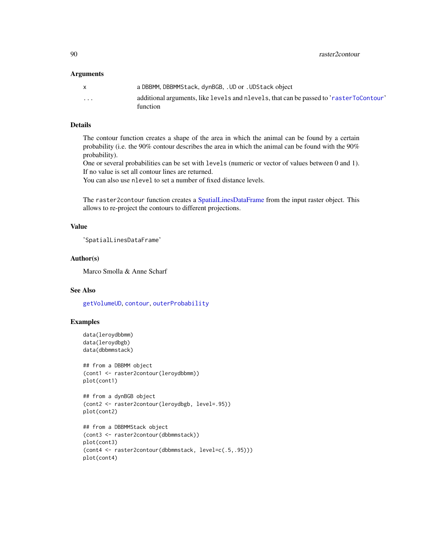90 raster2contour

## **Arguments**

|                         | a DBBMM, DBBMMStack, dynBGB, . UD or . UDStack object                                             |
|-------------------------|---------------------------------------------------------------------------------------------------|
| $\cdot$ $\cdot$ $\cdot$ | additional arguments, like levels and nevels, that can be passed to 'rasterToContour'<br>function |

# Details

The contour function creates a shape of the area in which the animal can be found by a certain probability (i.e. the 90% contour describes the area in which the animal can be found with the 90% probability).

One or several probabilities can be set with levels (numeric or vector of values between 0 and 1). If no value is set all contour lines are returned.

You can also use nlevel to set a number of fixed distance levels.

The raster2contour function creates a [SpatialLinesDataFrame](#page-0-0) from the input raster object. This allows to re-project the contours to different projections.

# Value

'SpatialLinesDataFrame'

# Author(s)

Marco Smolla & Anne Scharf

# See Also

[getVolumeUD](#page-57-0), [contour](#page-16-0), [outerProbability](#page-83-0)

```
data(leroydbbmm)
data(leroydbgb)
data(dbbmmstack)
```

```
## from a DBBMM object
(cont1 <- raster2contour(leroydbbmm))
plot(cont1)
```

```
## from a dynBGB object
(cont2 <- raster2contour(leroydbgb, level=.95))
plot(cont2)
```

```
## from a DBBMMStack object
(cont3 <- raster2contour(dbbmmstack))
plot(cont3)
(cont4 <- raster2contour(dbbmmstack, level=c(.5,.95)))
plot(cont4)
```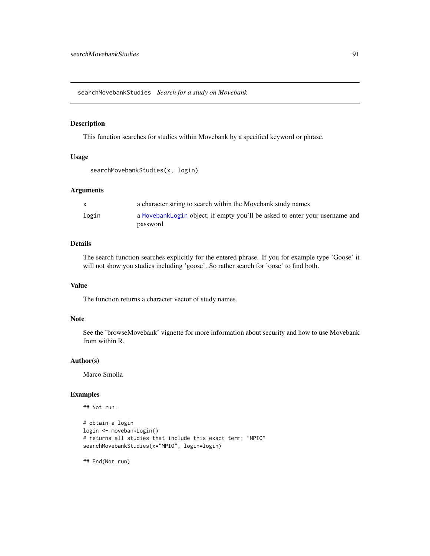<span id="page-90-0"></span>searchMovebankStudies *Search for a study on Movebank*

# Description

This function searches for studies within Movebank by a specified keyword or phrase.

### Usage

```
searchMovebankStudies(x, login)
```
### Arguments

|       | a character string to search within the Movebank study names                |
|-------|-----------------------------------------------------------------------------|
| login | a MovebankLogin object, if empty you'll be asked to enter your username and |
|       | password                                                                    |

# Details

The search function searches explicitly for the entered phrase. If you for example type 'Goose' it will not show you studies including 'goose'. So rather search for 'oose' to find both.

# Value

The function returns a character vector of study names.

#### Note

See the 'browseMovebank' vignette for more information about security and how to use Movebank from within R.

#### Author(s)

Marco Smolla

## Examples

## Not run:

```
# obtain a login
login <- movebankLogin()
# returns all studies that include this exact term: "MPIO"
searchMovebankStudies(x="MPIO", login=login)
```
## End(Not run)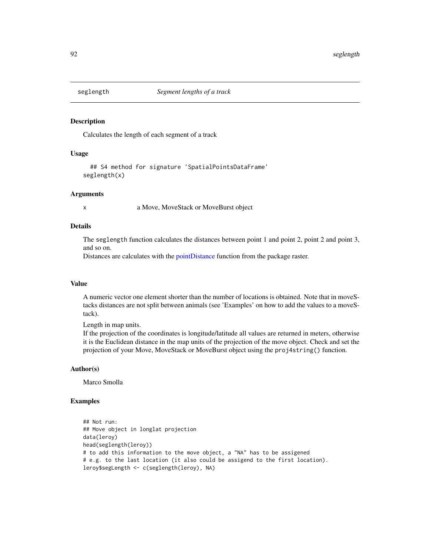<span id="page-91-0"></span>

Calculates the length of each segment of a track

## Usage

```
## S4 method for signature 'SpatialPointsDataFrame'
seglength(x)
```
#### Arguments

x a Move, MoveStack or MoveBurst object

## Details

The seglength function calculates the distances between point 1 and point 2, point 2 and point 3, and so on.

Distances are calculates with the [pointDistance](#page-0-0) function from the package raster.

#### Value

A numeric vector one element shorter than the number of locations is obtained. Note that in moveStacks distances are not split between animals (see 'Examples' on how to add the values to a moveStack).

Length in map units.

If the projection of the coordinates is longitude/latitude all values are returned in meters, otherwise it is the Euclidean distance in the map units of the projection of the move object. Check and set the projection of your Move, MoveStack or MoveBurst object using the proj4string() function.

#### Author(s)

Marco Smolla

```
## Not run:
## Move object in longlat projection
data(leroy)
head(seglength(leroy))
# to add this information to the move object, a "NA" has to be assigened
# e.g. to the last location (it also could be assigend to the first location).
leroy$segLength <- c(seglength(leroy), NA)
```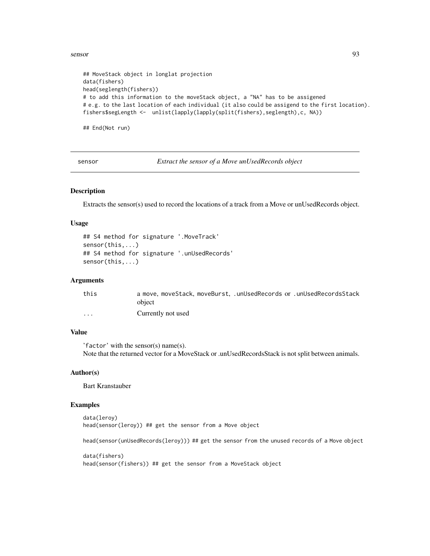#### sensor 93

```
## MoveStack object in longlat projection
data(fishers)
head(seglength(fishers))
# to add this information to the moveStack object, a "NA" has to be assigened
# e.g. to the last location of each individual (it also could be assigend to the first location).
fishers$segLength <- unlist(lapply(lapply(split(fishers),seglength),c, NA))
```
## End(Not run)

<span id="page-92-0"></span>sensor *Extract the sensor of a Move unUsedRecords object*

# Description

Extracts the sensor(s) used to record the locations of a track from a Move or unUsedRecords object.

## Usage

```
## S4 method for signature '.MoveTrack'
sensor(this,...)
## S4 method for signature '.unUsedRecords'
sensor(this,...)
```
## Arguments

| this                    | a move, moveStack, moveBurst, .unUsedRecords or .unUsedRecordsStack |
|-------------------------|---------------------------------------------------------------------|
|                         | object                                                              |
| $\cdot$ $\cdot$ $\cdot$ | Currently not used                                                  |

# Value

'factor' with the sensor(s) name(s). Note that the returned vector for a MoveStack or .unUsedRecordsStack is not split between animals.

### Author(s)

Bart Kranstauber

# Examples

```
data(leroy)
head(sensor(leroy)) ## get the sensor from a Move object
```
head(sensor(unUsedRecords(leroy))) ## get the sensor from the unused records of a Move object

```
data(fishers)
head(sensor(fishers)) ## get the sensor from a MoveStack object
```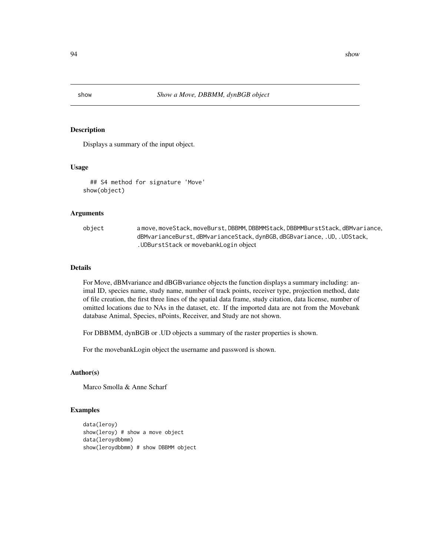<span id="page-93-0"></span>

Displays a summary of the input object.

### Usage

```
## S4 method for signature 'Move'
show(object)
```
# Arguments

object a move, moveStack, moveBurst, DBBMM, DBBMMStack, DBBMMBurstStack, dBMvariance, dBMvarianceBurst, dBMvarianceStack, dynBGB, dBGBvariance, .UD, .UDStack, .UDBurstStack or movebankLogin object

# Details

For Move, dBMvariance and dBGBvariance objects the function displays a summary including: animal ID, species name, study name, number of track points, receiver type, projection method, date of file creation, the first three lines of the spatial data frame, study citation, data license, number of omitted locations due to NAs in the dataset, etc. If the imported data are not from the Movebank database Animal, Species, nPoints, Receiver, and Study are not shown.

For DBBMM, dynBGB or .UD objects a summary of the raster properties is shown.

For the movebankLogin object the username and password is shown.

### Author(s)

Marco Smolla & Anne Scharf

```
data(leroy)
show(leroy) # show a move object
data(leroydbbmm)
show(leroydbbmm) # show DBBMM object
```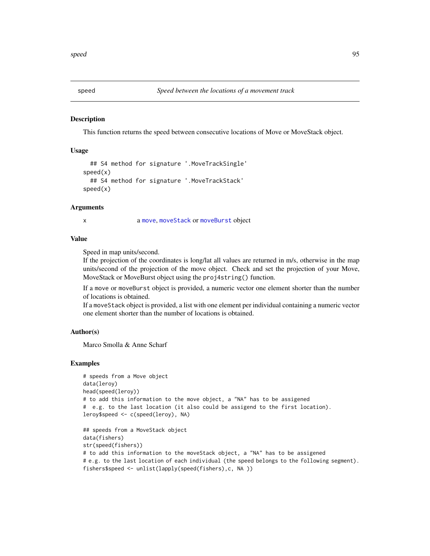<span id="page-94-0"></span>

This function returns the speed between consecutive locations of Move or MoveStack object.

# Usage

```
## S4 method for signature '.MoveTrackSingle'
speed(x)
  ## S4 method for signature '.MoveTrackStack'
speed(x)
```
## Arguments

x a [move](#page-70-0), [moveStack](#page-78-0) or [moveBurst](#page-75-0) object

#### Value

Speed in map units/second.

If the projection of the coordinates is long/lat all values are returned in m/s, otherwise in the map units/second of the projection of the move object. Check and set the projection of your Move, MoveStack or MoveBurst object using the proj4string() function.

If a move or moveBurst object is provided, a numeric vector one element shorter than the number of locations is obtained.

If a moveStack object is provided, a list with one element per individual containing a numeric vector one element shorter than the number of locations is obtained.

# Author(s)

Marco Smolla & Anne Scharf

```
# speeds from a Move object
data(leroy)
head(speed(leroy))
# to add this information to the move object, a "NA" has to be assigened
# e.g. to the last location (it also could be assigend to the first location).
leroy$speed <- c(speed(leroy), NA)
## speeds from a MoveStack object
data(fishers)
str(speed(fishers))
# to add this information to the moveStack object, a "NA" has to be assigened
# e.g. to the last location of each individual (the speed belongs to the following segment).
fishers$speed <- unlist(lapply(speed(fishers),c, NA ))
```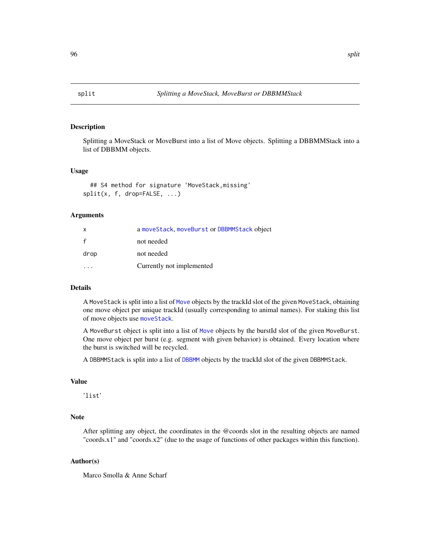<span id="page-95-0"></span>

Splitting a MoveStack or MoveBurst into a list of Move objects. Splitting a DBBMMStack into a list of DBBMM objects.

## Usage

## S4 method for signature 'MoveStack,missing' split(x, f, drop=FALSE, ...)

## Arguments

| x    | a moveStack, moveBurst or DBBMMStack object |
|------|---------------------------------------------|
| f    | not needed                                  |
| drop | not needed                                  |
|      | Currently not implemented                   |

# Details

A MoveStack is split into a list of [Move](#page-70-0) objects by the trackId slot of the given MoveStack, obtaining one move object per unique trackId (usually corresponding to animal names). For staking this list of move objects use [moveStack](#page-77-0).

A MoveBurst object is split into a list of [Move](#page-70-0) objects by the burstId slot of the given MoveBurst. One move object per burst (e.g. segment with given behavior) is obtained. Every location where the burst is switched will be recycled.

A DBBMMStack is split into a list of [DBBMM](#page-19-0) objects by the trackId slot of the given DBBMMStack.

# Value

'list'

# **Note**

After splitting any object, the coordinates in the @coords slot in the resulting objects are named "coords.x1" and "coords.x2" (due to the usage of functions of other packages within this function).

#### Author(s)

Marco Smolla & Anne Scharf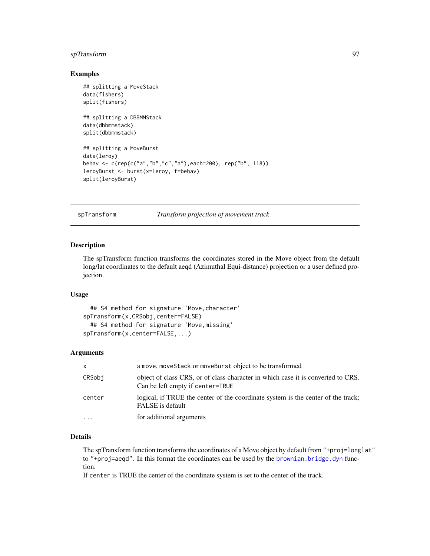# spTransform 97

## Examples

```
## splitting a MoveStack
data(fishers)
split(fishers)
## splitting a DBBMMStack
data(dbbmmstack)
split(dbbmmstack)
## splitting a MoveBurst
data(leroy)
behav <- c(rep(c("a","b","c","a"),each=200), rep("b", 118))
leroyBurst <- burst(x=leroy, f=behav)
split(leroyBurst)
```
<span id="page-96-0"></span>

spTransform *Transform projection of movement track*

# Description

The spTransform function transforms the coordinates stored in the Move object from the default long/lat coordinates to the default aeqd (Azimuthal Equi-distance) projection or a user defined projection.

### Usage

```
## S4 method for signature 'Move,character'
spTransform(x,CRSobj,center=FALSE)
  ## S4 method for signature 'Move,missing'
spTransform(x,center=FALSE,...)
```
# Arguments

| X      | a move, moveStack or moveBurst object to be transformed                                                              |
|--------|----------------------------------------------------------------------------------------------------------------------|
| CRSobj | object of class CRS, or of class character in which case it is converted to CRS.<br>Can be left empty if center=TRUE |
| center | logical, if TRUE the center of the coordinate system is the center of the track;<br>FALSE is default                 |
| .      | for additional arguments                                                                                             |

# Details

The spTransform function transforms the coordinates of a Move object by default from "+proj=longlat" to "+proj=aeqd". In this format the coordinates can be used by the [brownian.bridge.dyn](#page-9-0) function.

If center is TRUE the center of the coordinate system is set to the center of the track.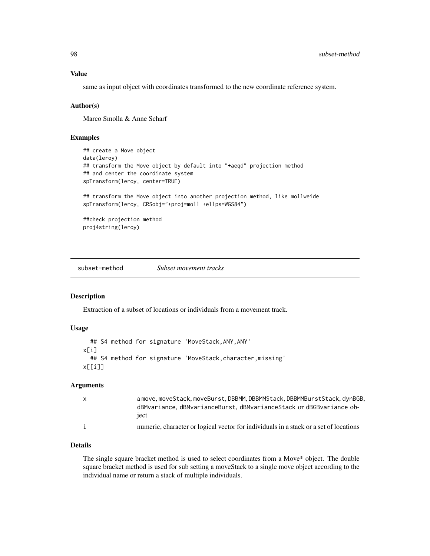same as input object with coordinates transformed to the new coordinate reference system.

## Author(s)

Marco Smolla & Anne Scharf

# Examples

```
## create a Move object
data(leroy)
## transform the Move object by default into "+aeqd" projection method
## and center the coordinate system
spTransform(leroy, center=TRUE)
## transform the Move object into another projection method, like mollweide
spTransform(leroy, CRSobj="+proj=moll +ellps=WGS84")
##check projection method
proj4string(leroy)
```
subset-method *Subset movement tracks*

### Description

Extraction of a subset of locations or individuals from a movement track.

# Usage

```
## S4 method for signature 'MoveStack,ANY,ANY'
x[i]
  ## S4 method for signature 'MoveStack, character, missing'
x[[i]]
```
## **Arguments**

| X | a move, moveStack, moveBurst, DBBMM, DBBMMStack, DBBMMBurstStack, dynBGB,<br>dBMvariance, dBMvarianceBurst, dBMvarianceStack or dBGBvariance ob-<br>iect |
|---|----------------------------------------------------------------------------------------------------------------------------------------------------------|
| i | numeric, character or logical vector for individuals in a stack or a set of locations                                                                    |

# Details

The single square bracket method is used to select coordinates from a Move\* object. The double square bracket method is used for sub setting a moveStack to a single move object according to the individual name or return a stack of multiple individuals.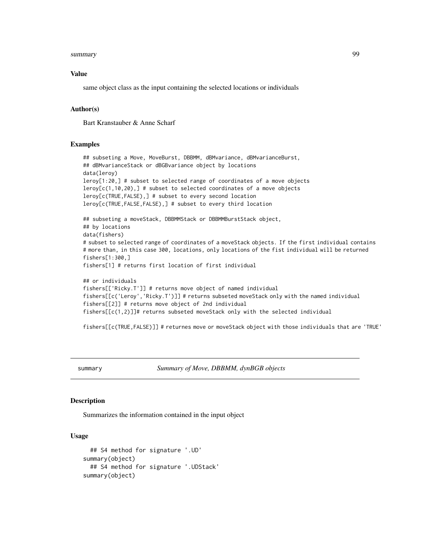#### summary 2008 and 2008 and 2008 and 2008 and 2008 and 2008 and 2008 and 2008 and 2008 and 2008 and 2008 and 200

#### Value

same object class as the input containing the selected locations or individuals

## Author(s)

Bart Kranstauber & Anne Scharf

### Examples

```
## subseting a Move, MoveBurst, DBBMM, dBMvariance, dBMvarianceBurst,
## dBMvarianceStack or dBGBvariance object by locations
data(leroy)
leroy[1:20,] # subset to selected range of coordinates of a move objects
leroy[c(1,10,20),] # subset to selected coordinates of a move objects
leroy[c(TRUE,FALSE),] # subset to every second location
leroy[c(TRUE,FALSE,FALSE),] # subset to every third location
## subseting a moveStack, DBBMMStack or DBBMMBurstStack object,
## by locations
data(fishers)
# subset to selected range of coordinates of a moveStack objects. If the first individual contains
# more than, in this case 300, locations, only locations of the fist individual will be returned
fishers[1:300,]
fishers[1] # returns first location of first individual
## or individuals
fishers[['Ricky.T']] # returns move object of named individual
fishers[[c('Leroy','Ricky.T')]] # returns subseted moveStack only with the named individual
fishers[[2]] # returns move object of 2nd individual
```
fishers[[c(1,2)]]# returns subseted moveStack only with the selected individual

fishers[[c(TRUE,FALSE)]] # returnes move or moveStack object with those individuals that are 'TRUE'

<span id="page-98-0"></span>summary *Summary of Move, DBBMM, dynBGB objects*

## **Description**

Summarizes the information contained in the input object

# Usage

```
## S4 method for signature '.UD'
summary(object)
  ## S4 method for signature '.UDStack'
summary(object)
```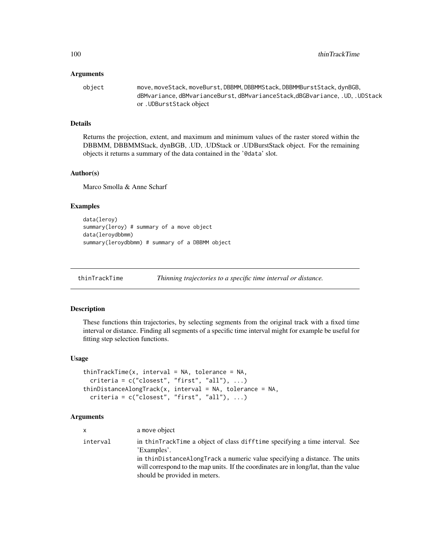#### **Arguments**

object move, moveStack, moveBurst, DBBMM, DBBMMStack, DBBMMBurstStack, dynBGB, dBMvariance, dBMvarianceBurst, dBMvarianceStack,dBGBvariance, .UD, .UDStack or .UDBurstStack object

# Details

Returns the projection, extent, and maximum and minimum values of the raster stored within the DBBMM, DBBMMStack, dynBGB, .UD, .UDStack or .UDBurstStack object. For the remaining objects it returns a summary of the data contained in the '@data' slot.

#### Author(s)

Marco Smolla & Anne Scharf

## Examples

```
data(leroy)
summary(leroy) # summary of a move object
data(leroydbbmm)
summary(leroydbbmm) # summary of a DBBMM object
```
thinTrackTime *Thinning trajectories to a specific time interval or distance.*

# **Description**

These functions thin trajectories, by selecting segments from the original track with a fixed time interval or distance. Finding all segments of a specific time interval might for example be useful for fitting step selection functions.

# Usage

```
thinTrackTime(x, interval = NA, tolerance = NA,criterion = c("closest", "first", "all"), ...)thinDistanceAlongTrack(x, interval = NA, tolerance = NA,
  criterion = c("closest", "first", "all"), ...)
```
# Arguments

| <b>X</b> | a move object                                                                                                                                                               |
|----------|-----------------------------------------------------------------------------------------------------------------------------------------------------------------------------|
| interval | in thinTrackTime a object of class difftime specifying a time interval. See<br>'Examples'.<br>in thin Distance Along Track a numeric value specifying a distance. The units |
|          | will correspond to the map units. If the coordinates are in long/lat, than the value<br>should be provided in meters.                                                       |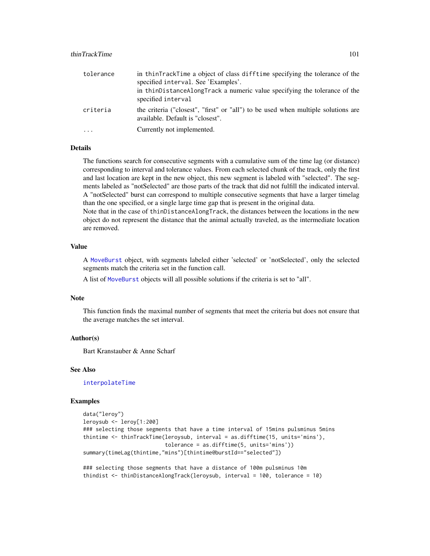# thinTrackTime 101

| tolerance | in thinTrackTime a object of class difftime specifying the tolerance of the<br>specified interval. See 'Examples'.<br>in thin Distance Along Track a numeric value specifying the tolerance of the<br>specified interval |
|-----------|--------------------------------------------------------------------------------------------------------------------------------------------------------------------------------------------------------------------------|
| criteria  | the criteria ("closest", "first" or "all") to be used when multiple solutions are<br>available. Default is "closest".                                                                                                    |
|           | Currently not implemented.                                                                                                                                                                                               |

#### Details

The functions search for consecutive segments with a cumulative sum of the time lag (or distance) corresponding to interval and tolerance values. From each selected chunk of the track, only the first and last location are kept in the new object, this new segment is labeled with "selected". The segments labeled as "notSelected" are those parts of the track that did not fulfill the indicated interval. A "notSelected" burst can correspond to multiple consecutive segments that have a larger timelag than the one specified, or a single large time gap that is present in the original data.

Note that in the case of thinDistanceAlongTrack, the distances between the locations in the new object do not represent the distance that the animal actually traveled, as the intermediate location are removed.

## Value

A [MoveBurst](#page-75-0) object, with segments labeled either 'selected' or 'notSelected', only the selected segments match the criteria set in the function call.

A list of [MoveBurst](#page-75-0) objects will all possible solutions if the criteria is set to "all".

## Note

This function finds the maximal number of segments that meet the criteria but does not ensure that the average matches the set interval.

### Author(s)

Bart Kranstauber & Anne Scharf

## See Also

[interpolateTime](#page-61-0)

#### Examples

```
data("leroy")
leroysub <- leroy[1:200]
### selecting those segments that have a time interval of 15mins pulsminus 5mins
thintime <- thinTrackTime(leroysub, interval = as.difftime(15, units='mins'),
                          tolerance = as.difftime(5, units='mins'))
summary(timeLag(thintime,"mins")[thintime@burstId=="selected"])
```
### selecting those segments that have a distance of 100m pulsminus 10m thindist <- thinDistanceAlongTrack(leroysub, interval = 100, tolerance = 10)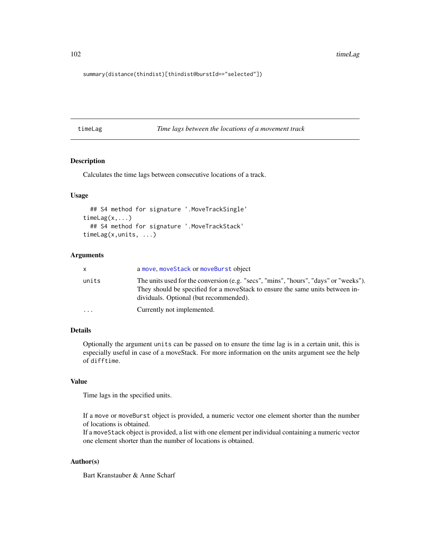102 timeLag

summary(distance(thindist)[thindist@burstId=="selected"])

<span id="page-101-0"></span>timeLag *Time lags between the locations of a movement track*

## Description

Calculates the time lags between consecutive locations of a track.

## Usage

```
## S4 method for signature '.MoveTrackSingle'
timeLag(x,...)
  ## S4 method for signature '.MoveTrackStack'
timeLag(x,units, ...)
```
## Arguments

| x.        | a move, moveStack or moveBurst object                                                                                                                                                                            |
|-----------|------------------------------------------------------------------------------------------------------------------------------------------------------------------------------------------------------------------|
| units     | The units used for the conversion (e.g. "secs", "mins", "hours", "days" or "weeks").<br>They should be specified for a move Stack to ensure the same units between in-<br>dividuals. Optional (but recommended). |
| $\ddotsc$ | Currently not implemented.                                                                                                                                                                                       |

# Details

Optionally the argument units can be passed on to ensure the time lag is in a certain unit, this is especially useful in case of a moveStack. For more information on the units argument see the help of difftime.

# Value

Time lags in the specified units.

If a move or moveBurst object is provided, a numeric vector one element shorter than the number of locations is obtained.

If a moveStack object is provided, a list with one element per individual containing a numeric vector one element shorter than the number of locations is obtained.

# Author(s)

Bart Kranstauber & Anne Scharf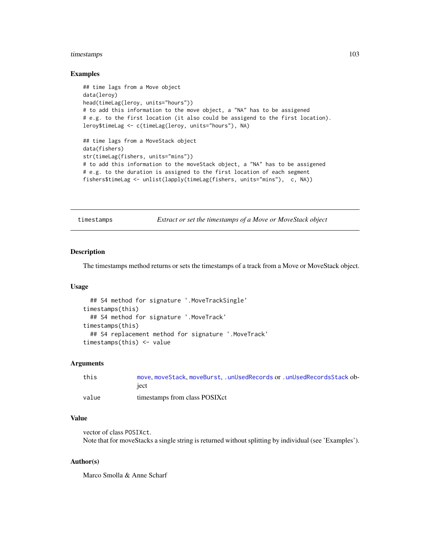# timestamps 103

### Examples

```
## time lags from a Move object
data(leroy)
head(timeLag(leroy, units="hours"))
# to add this information to the move object, a "NA" has to be assigened
# e.g. to the first location (it also could be assigend to the first location).
leroy$timeLag <- c(timeLag(leroy, units="hours"), NA)
## time lags from a MoveStack object
data(fishers)
str(timeLag(fishers, units="mins"))
# to add this information to the moveStack object, a "NA" has to be assigened
# e.g. to the duration is assigned to the first location of each segment
fishers$timeLag <- unlist(lapply(timeLag(fishers, units="mins"), c, NA))
```
<span id="page-102-0"></span>timestamps *Extract or set the timestamps of a Move or MoveStack object*

#### Description

The timestamps method returns or sets the timestamps of a track from a Move or MoveStack object.

### Usage

```
## S4 method for signature '.MoveTrackSingle'
timestamps(this)
  ## S4 method for signature '.MoveTrack'
timestamps(this)
  ## S4 replacement method for signature '.MoveTrack'
timestamps(this) <- value
```
### Arguments

| this  | move.moveStack.moveBurstunUsedRecords or .unUsedRecordsStack ob- |
|-------|------------------------------------------------------------------|
|       | iect                                                             |
| value | timestamps from class POSIXct                                    |

#### Value

vector of class POSIXct. Note that for moveStacks a single string is returned without splitting by individual (see 'Examples').

## Author(s)

Marco Smolla & Anne Scharf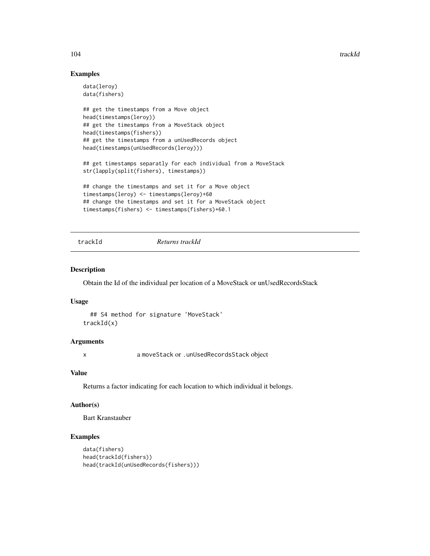104 trackId

# Examples

```
data(leroy)
data(fishers)
## get the timestamps from a Move object
head(timestamps(leroy))
## get the timestamps from a MoveStack object
head(timestamps(fishers))
## get the timestamps from a unUsedRecords object
head(timestamps(unUsedRecords(leroy)))
## get timestamps separatly for each individual from a MoveStack
str(lapply(split(fishers), timestamps))
## change the timestamps and set it for a Move object
timestamps(leroy) <- timestamps(leroy)+60
## change the timestamps and set it for a MoveStack object
timestamps(fishers) <- timestamps(fishers)+60.1
```
trackId *Returns trackId*

# Description

Obtain the Id of the individual per location of a MoveStack or unUsedRecordsStack

## Usage

```
## S4 method for signature 'MoveStack'
trackId(x)
```
# Arguments

x a moveStack or .unUsedRecordsStack object

# Value

Returns a factor indicating for each location to which individual it belongs.

# Author(s)

Bart Kranstauber

```
data(fishers)
head(trackId(fishers))
head(trackId(unUsedRecords(fishers)))
```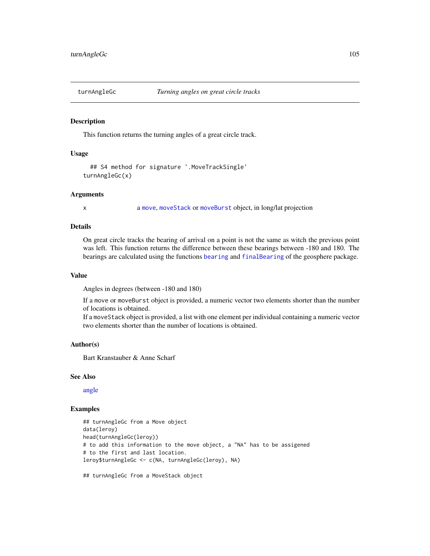<span id="page-104-0"></span>

This function returns the turning angles of a great circle track.

## Usage

```
## S4 method for signature '.MoveTrackSingle'
turnAngleGc(x)
```
### Arguments

x a [move](#page-70-0), [moveStack](#page-78-0) or [moveBurst](#page-75-0) object, in long/lat projection

# **Details**

On great circle tracks the bearing of arrival on a point is not the same as witch the previous point was left. This function returns the difference between these bearings between -180 and 180. The bearings are calculated using the functions [bearing](#page-0-0) and [finalBearing](#page-0-0) of the geosphere package.

#### Value

Angles in degrees (between -180 and 180)

If a move or moveBurst object is provided, a numeric vector two elements shorter than the number of locations is obtained.

If a moveStack object is provided, a list with one element per individual containing a numeric vector two elements shorter than the number of locations is obtained.

#### Author(s)

Bart Kranstauber & Anne Scharf

## See Also

[angle](#page-6-0)

```
## turnAngleGc from a Move object
data(leroy)
head(turnAngleGc(leroy))
# to add this information to the move object, a "NA" has to be assigened
# to the first and last location.
leroy$turnAngleGc <- c(NA, turnAngleGc(leroy), NA)
```

```
## turnAngleGc from a MoveStack object
```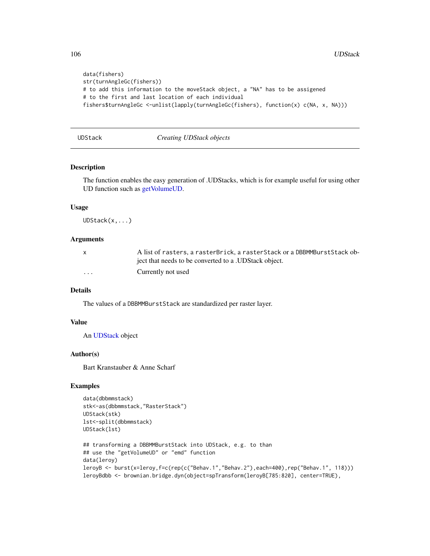```
data(fishers)
str(turnAngleGc(fishers))
# to add this information to the moveStack object, a "NA" has to be assigened
# to the first and last location of each individual
fishers$turnAngleGc <-unlist(lapply(turnAngleGc(fishers), function(x) c(NA, x, NA)))
```
## UDStack *Creating UDStack objects*

## Description

The function enables the easy generation of .UDStacks, which is for example useful for using other UD function such as [getVolumeUD.](#page-57-0)

### Usage

UDStack(x,...)

# Arguments

|         | A list of rasters, a rasterBrick, a rasterStack or a DBBMMBurstStack ob- |
|---------|--------------------------------------------------------------------------|
|         | ject that needs to be converted to a .UDStack object.                    |
| $\cdot$ | Currently not used                                                       |

# Details

The values of a DBBMMBurstStack are standardized per raster layer.

#### Value

An [UDStack](#page-4-0) object

### Author(s)

Bart Kranstauber & Anne Scharf

```
data(dbbmmstack)
stk<-as(dbbmmstack,"RasterStack")
UDStack(stk)
lst<-split(dbbmmstack)
UDStack(lst)
## transforming a DBBMMBurstStack into UDStack, e.g. to than
## use the "getVolumeUD" or "emd" function
data(leroy)
leroyB <- burst(x=leroy,f=c(rep(c("Behav.1","Behav.2"),each=400),rep("Behav.1", 118)))
leroyBdbb <- brownian.bridge.dyn(object=spTransform(leroyB[785:820], center=TRUE),
```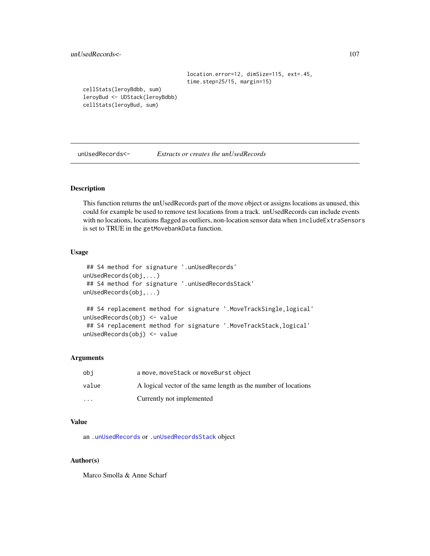unUsedRecords<- 107

```
location.error=12, dimSize=115, ext=.45,
time.step=25/15, margin=15)
```
cellStats(leroyBdbb, sum) leroyBud <- UDStack(leroyBdbb) cellStats(leroyBud, sum)

unUsedRecords<- *Extracts or creates the unUsedRecords*

## <span id="page-106-0"></span>Description

This function returns the unUsedRecords part of the move object or assigns locations as unused, this could for example be used to remove test locations from a track. unUsedRecords can include events with no locations, locations flagged as outliers, non-location sensor data when includeExtraSensors is set to TRUE in the getMovebankData function.

### Usage

```
## S4 method for signature '.unUsedRecords'
unUsedRecords(obj,...)
## S4 method for signature '.unUsedRecordsStack'
unUsedRecords(obj,...)
## S4 replacement method for signature '.MoveTrackSingle,logical'
unUsedRecords(obj) <- value
## S4 replacement method for signature '.MoveTrackStack,logical'
unUsedRecords(obj) <- value
```
## Arguments

| obi     | a move, moveStack or moveBurst object                          |
|---------|----------------------------------------------------------------|
| value   | A logical vector of the same length as the number of locations |
| $\cdot$ | Currently not implemented                                      |

## Value

an [.unUsedRecords](#page-5-0) or [.unUsedRecordsStack](#page-5-0) object

# Author(s)

Marco Smolla & Anne Scharf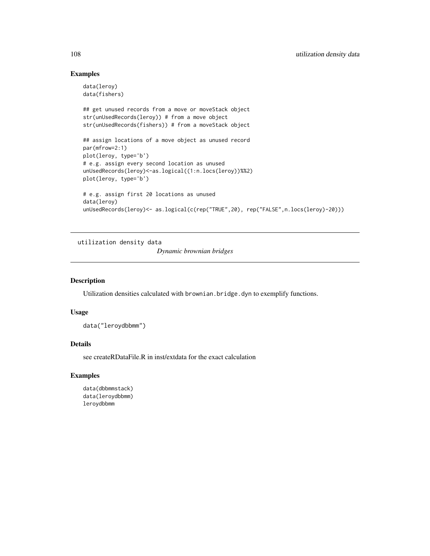# Examples

```
data(leroy)
data(fishers)
## get unused records from a move or moveStack object
str(unUsedRecords(leroy)) # from a move object
str(unUsedRecords(fishers)) # from a moveStack object
## assign locations of a move object as unused record
par(mfrow=2:1)
plot(leroy, type='b')
# e.g. assign every second location as unused
unUsedRecords(leroy)<-as.logical((1:n.locs(leroy))%%2)
plot(leroy, type='b')
# e.g. assign first 20 locations as unused
data(leroy)
unUsedRecords(leroy)<- as.logical(c(rep("TRUE",20), rep("FALSE",n.locs(leroy)-20)))
```
utilization density data *Dynamic brownian bridges*

#### Description

Utilization densities calculated with brownian.bridge.dyn to exemplify functions.

# Usage

data("leroydbbmm")

# Details

see createRDataFile.R in inst/extdata for the exact calculation

# Examples

data(dbbmmstack) data(leroydbbmm) leroydbbmm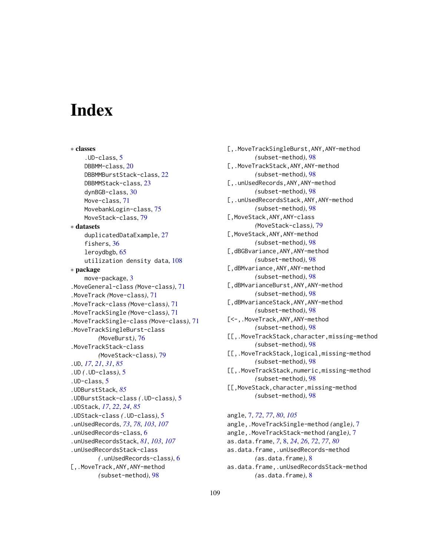# **Index**

∗ classes .UD-class, [5](#page-4-0) DBBMM-class, [20](#page-19-0) DBBMMBurstStack-class, [22](#page-21-0) DBBMMStack-class, [23](#page-22-0) dynBGB-class, [30](#page-29-0) Move-class, [71](#page-70-0) MovebankLogin-class, [75](#page-74-0) MoveStack-class, [79](#page-78-0) ∗ datasets duplicatedDataExample, [27](#page-26-0) fishers, [36](#page-35-0) leroydbgb, [65](#page-64-0) utilization density data, [108](#page-107-0) ∗ package move-package, [3](#page-2-0) .MoveGeneral-class *(*Move-class*)*, [71](#page-70-0) .MoveTrack *(*Move-class*)*, [71](#page-70-0) .MoveTrack-class *(*Move-class*)*, [71](#page-70-0) .MoveTrackSingle *(*Move-class*)*, [71](#page-70-0) .MoveTrackSingle-class *(*Move-class*)*, [71](#page-70-0) .MoveTrackSingleBurst-class *(*MoveBurst*)*, [76](#page-75-0) .MoveTrackStack-class *(*MoveStack-class*)*, [79](#page-78-0) .UD, *[17](#page-16-0)*, *[21](#page-20-0)*, *[31](#page-30-0)*, *[85](#page-84-0)* .UD *(*.UD-class*)*, [5](#page-4-0) .UD-class, [5](#page-4-0) .UDBurstStack, *[85](#page-84-0)* .UDBurstStack-class *(*.UD-class*)*, [5](#page-4-0) .UDStack, *[17](#page-16-0)*, *[22](#page-21-0)*, *[24](#page-23-0)*, *[85](#page-84-0)* .UDStack-class *(*.UD-class*)*, [5](#page-4-0) .unUsedRecords, *[73](#page-72-0)*, *[78](#page-77-0)*, *[103](#page-102-0)*, *[107](#page-106-0)* .unUsedRecords-class, [6](#page-5-0) .unUsedRecordsStack, *[81](#page-80-0)*, *[103](#page-102-0)*, *[107](#page-106-0)* .unUsedRecordsStack-class *(*.unUsedRecords-class*)*, [6](#page-5-0) [,.MoveTrack,ANY,ANY-method *(*subset-method*)*, [98](#page-97-0)

[,.MoveTrackSingleBurst,ANY,ANY-method *(*subset-method*)*, [98](#page-97-0) [,.MoveTrackStack,ANY,ANY-method *(*subset-method*)*, [98](#page-97-0) [,.unUsedRecords,ANY,ANY-method *(*subset-method*)*, [98](#page-97-0) [,.unUsedRecordsStack,ANY,ANY-method *(*subset-method*)*, [98](#page-97-0) [,MoveStack,ANY,ANY-class *(*MoveStack-class*)*, [79](#page-78-0) [,MoveStack,ANY,ANY-method *(*subset-method*)*, [98](#page-97-0) [,dBGBvariance,ANY,ANY-method *(*subset-method*)*, [98](#page-97-0) [,dBMvariance,ANY,ANY-method *(*subset-method*)*, [98](#page-97-0) [,dBMvarianceBurst,ANY,ANY-method *(*subset-method*)*, [98](#page-97-0) [,dBMvarianceStack,ANY,ANY-method *(*subset-method*)*, [98](#page-97-0) [<-,.MoveTrack,ANY,ANY-method *(*subset-method*)*, [98](#page-97-0) [[,.MoveTrackStack,character,missing-method *(*subset-method*)*, [98](#page-97-0) [[,.MoveTrackStack,logical,missing-method *(*subset-method*)*, [98](#page-97-0) [[,.MoveTrackStack,numeric,missing-method *(*subset-method*)*, [98](#page-97-0) [[,MoveStack,character,missing-method *(*subset-method*)*, [98](#page-97-0) angle, [7,](#page-6-0) *[72](#page-71-0)*, *[77](#page-76-0)*, *[80](#page-79-0)*, *[105](#page-104-0)* angle,.MoveTrackSingle-method *(*angle*)*, [7](#page-6-0)

angle,.MoveTrackStack-method *(*angle*)*, [7](#page-6-0) as.data.frame, *[7](#page-6-0)*, [8,](#page-7-0) *[24](#page-23-0)*, *[26](#page-25-0)*, *[72](#page-71-0)*, *[77](#page-76-0)*, *[80](#page-79-0)* as.data.frame,.unUsedRecords-method *(*as.data.frame*)*, [8](#page-7-0) as.data.frame,.unUsedRecordsStack-method *(*as.data.frame*)*, [8](#page-7-0)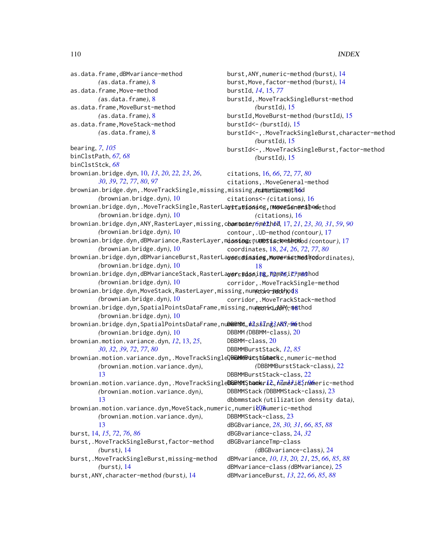as.data.frame,dBMvariance-method *(*as.data.frame*)*, [8](#page-7-0) as.data.frame,Move-method *(*as.data.frame*)*, [8](#page-7-0) as.data.frame,MoveBurst-method *(*as.data.frame*)*, [8](#page-7-0) as.data.frame,MoveStack-method *(*as.data.frame*)*, [8](#page-7-0) bearing, *[7](#page-6-0)*, *[105](#page-104-0)* binClstPath, *[67,](#page-66-0) [68](#page-67-0)* binClstStck, *[68](#page-67-0)* brownian.bridge.dyn, [10,](#page-9-0) *[13](#page-12-0)*, *[20](#page-19-0)*, *[22,](#page-21-0) [23](#page-22-0)*, *[26](#page-25-0)*, *[30](#page-29-0)*, *[39](#page-38-0)*, *[72](#page-71-0)*, *[77](#page-76-0)*, *[80](#page-79-0)*, *[97](#page-96-0)* brownian.bridge.dyn,.MoveTrackSingle,missing,missing,*(*cun<del>c</del>rtic-mee)[thod](#page-15-0) *(*brownian.bridge.dyn*)*, [10](#page-9-0) brownian.bridge.dyn,.MoveTrackSingle,RasterLa**yetatiossing,numeetenmethod**ethod *(*brownian.bridge.dyn*)*, [10](#page-9-0) brownian.bridge.dyn,ANY,RasterLayer,missing,characte[r-](#page-5-0)[met](#page-11-0)[hod](#page-16-0) contour, *6*, *12*, *17*, [17,](#page-16-0) *[21](#page-20-0)*, *[23](#page-22-0)*, *[30,](#page-29-0) [31](#page-30-0)*, *[59](#page-58-0)*, *[90](#page-89-0) (*brownian.bridge.dyn*)*, [10](#page-9-0) brownian.bridge.dyn,dBMvariance,RasterLayer,m**issiog**r,ņu**mesiscke kebol**od (contour),[17](#page-16-0) *(*brownian.bridge.dyn*)*, [10](#page-9-0) brownian.bridge.dyn,dBMvarianceBurst,RasterLa**yeordinsieg,Movefmethod (ed**ordinates), *(*brownian.bridge.dyn*)*, [10](#page-9-0) brownian.bridge.dyn,dBMvarianceStack,RasterLa**yer,mdss**i**ng**,ñQmē6ic7m&@hod *(*brownian.bridge.dyn*)*, [10](#page-9-0) brownian.bridge.dyn,MoveStack,RasterLayer,missing,num<mark>endic-metth</mark>yd<mark>8</mark> *(*brownian.bridge.dyn*)*, [10](#page-9-0) brownian.bridge.dyn,SpatialPointsDataFrame,missing,nume<del>gnic.ANY),m@</del>thod *(*brownian.bridge.dyn*)*, [10](#page-9-0) brownian.bridge.dyn,SpatialPointsDataFrame,nu**DeBMM,***h***ls***kl***ng;[ANY](#page-84-0)<del>,</del>hethod** *(*brownian.bridge.dyn*)*, [10](#page-9-0) brownian.motion.variance.dyn, *[12](#page-11-0)*, [13,](#page-12-0) *[25](#page-24-0)*, *[30](#page-29-0)*, *[32](#page-31-0)*, *[39](#page-38-0)*, *[72](#page-71-0)*, *[77](#page-76-0)*, *[80](#page-79-0)* brownian.motion.variance.dyn,.MoveTrackSingleQ**BMMe&ucșt&teack**ic,numeric-method *(*brownian.motion.variance.dyn*)*, [13](#page-12-0) brownian.motion.variance.dyn,.MoveTrackSingle**BBBiSMS,tack**er**i**c,,nິນິmèsi&ິງກູWme[ric](#page-11-0)-method *(*brownian.motion.variance.dyn*)*, [13](#page-12-0) brownian.motion.variance.dyn,MoveStack,numer[ic,n](#page-107-0)umeri $\alpha$ aumeric-method *(*brownian.motion.variance.dyn*)*, [13](#page-12-0) burst, [14,](#page-13-0) *[15](#page-14-0)*, *[72](#page-71-0)*, *[76](#page-75-0)*, *[86](#page-85-0)* burst,.MoveTrackSingleBurst,factor-method *(*burst*)*, [14](#page-13-0) burst,.MoveTrackSingleBurst,missing-method *(*burst*)*, [14](#page-13-0) burst,ANY,character-method *(*burst*)*, [14](#page-13-0) burst,ANY,numeric-method *(*burst*)*, [14](#page-13-0) burst,Move,factor-method *(*burst*)*, [14](#page-13-0) burstId, *[14](#page-13-0)*, [15,](#page-14-0) *[77](#page-76-0)* burstId,.MoveTrackSingleBurst-method *(*burstId*)*, [15](#page-14-0) burstId,MoveBurst-method *(*burstId*)*, [15](#page-14-0) burstId<- *(*burstId*)*, [15](#page-14-0) burstId<-,.MoveTrackSingleBurst,character-method *(*burstId*)*, [15](#page-14-0) burstId<-,.MoveTrackSingleBurst,factor-method *(*burstId*)*, [15](#page-14-0) citations, [16,](#page-15-0) *[66](#page-65-0)*, *[72](#page-71-0)*, *[77](#page-76-0)*, *[80](#page-79-0)* citations,.MoveGeneral-method citations<- *(*citations*)*, [16](#page-15-0) *(*citations*)*, [16](#page-15-0) contour,.UD-method *(*contour*)*, [17](#page-16-0) coordinates, [18,](#page-17-0) *[24](#page-23-0)*, *[26](#page-25-0)*, *[72](#page-71-0)*, *[77](#page-76-0)*, *[80](#page-79-0)* [18](#page-17-0) corridor,.MoveTrackSingle-method corridor,.MoveTrackStack-method DBBMM *(*DBBMM-class*)*, [20](#page-19-0) DBBMM-class, [20](#page-19-0) DBBMMBurstStack, *[12](#page-11-0)*, *[85](#page-84-0) (*DBBMMBurstStack-class*)*, [22](#page-21-0) DBBMMBurstStack-class, [22](#page-21-0) DBBMMStack *(*DBBMMStack-class*)*, [23](#page-22-0) dbbmmstack *(*utilization density data*)*, DBBMMStack-class, [23](#page-22-0) dBGBvariance, *[28](#page-27-0)*, *[30,](#page-29-0) [31](#page-30-0)*, *[66](#page-65-0)*, *[85](#page-84-0)*, *[88](#page-87-0)* dBGBvariance-class, [24,](#page-23-0) *[32](#page-31-0)* dBGBvarianceTmp-class *(*dBGBvariance-class*)*, [24](#page-23-0) dBMvariance, *[10](#page-9-0)*, *[13](#page-12-0)*, *[20,](#page-19-0) [21](#page-20-0)*, [25,](#page-24-0) *[66](#page-65-0)*, *[85](#page-84-0)*, *[88](#page-87-0)* dBMvariance-class *(*dBMvariance*)*, [25](#page-24-0) dBMvarianceBurst, *[13](#page-12-0)*, *[22](#page-21-0)*, *[66](#page-65-0)*, *[85](#page-84-0)*, *[88](#page-87-0)*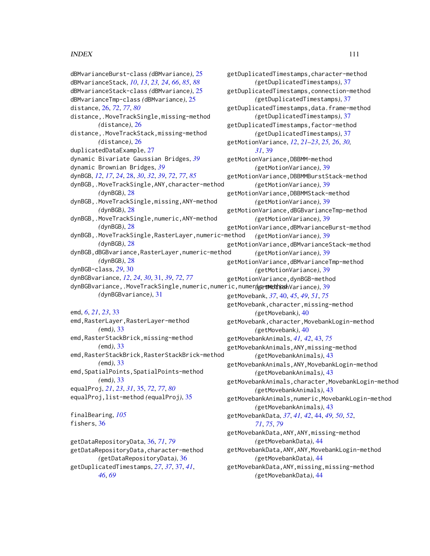### INDEX 111

dBMvarianceBurst-class *(*dBMvariance*)*, [25](#page-24-0) dBMvarianceStack, *[10](#page-9-0)*, *[13](#page-12-0)*, *[23,](#page-22-0) [24](#page-23-0)*, *[66](#page-65-0)*, *[85](#page-84-0)*, *[88](#page-87-0)* dBMvarianceStack-class *(*dBMvariance*)*, [25](#page-24-0) dBMvarianceTmp-class *(*dBMvariance*)*, [25](#page-24-0) distance, [26,](#page-25-0) *[72](#page-71-0)*, *[77](#page-76-0)*, *[80](#page-79-0)* distance,.MoveTrackSingle,missing-method *(*distance*)*, [26](#page-25-0) distance,.MoveTrackStack,missing-method *(*distance*)*, [26](#page-25-0) duplicatedDataExample, [27](#page-26-0) dynamic Bivariate Gaussian Bridges, *[39](#page-38-0)* dynamic Brownian Bridges, *[39](#page-38-0)* dynBGB, *[12](#page-11-0)*, *[17](#page-16-0)*, *[24](#page-23-0)*, [28,](#page-27-0) *[30](#page-29-0)*, *[32](#page-31-0)*, *[39](#page-38-0)*, *[72](#page-71-0)*, *[77](#page-76-0)*, *[85](#page-84-0)* dynBGB,.MoveTrackSingle,ANY,character-method *(*dynBGB*)*, [28](#page-27-0) dynBGB,.MoveTrackSingle,missing,ANY-method *(*dynBGB*)*, [28](#page-27-0) dynBGB,.MoveTrackSingle,numeric,ANY-method *(*dynBGB*)*, [28](#page-27-0) dynBGB,.MoveTrackSingle,RasterLayer,numeric-method *(*dynBGB*)*, [28](#page-27-0) dynBGB,dBGBvariance,RasterLayer,numeric-method *(*dynBGB*)*, [28](#page-27-0) dynBGB-class, *[29](#page-28-0)*, [30](#page-29-0) dynBGBvariance, *[12](#page-11-0)*, *[24](#page-23-0)*, *[30](#page-29-0)*, [31,](#page-30-0) *[39](#page-38-0)*, *[72](#page-71-0)*, *[77](#page-76-0)* dynBGBvariance,.MoveTrackSingle,numeric,numeric,numeric-method *(*getMotionVariance*)*, [39](#page-38-0) *(*dynBGBvariance*)*, [31](#page-30-0) emd, *[6](#page-5-0)*, *[21](#page-20-0)*, *[23](#page-22-0)*, [33](#page-32-0) emd,RasterLayer,RasterLayer-method *(*emd*)*, [33](#page-32-0) emd,RasterStackBrick,missing-method *(*emd*)*, [33](#page-32-0) emd,RasterStackBrick,RasterStackBrick-method *(*emd*)*, [33](#page-32-0) emd, SpatialPoints, SpatialPoints-method *(*emd*)*, [33](#page-32-0) equalProj, *[21](#page-20-0)*, *[23](#page-22-0)*, *[31](#page-30-0)*, [35,](#page-34-0) *[72](#page-71-0)*, *[77](#page-76-0)*, *[80](#page-79-0)* equalProj,list-method *(*equalProj*)*, [35](#page-34-0) finalBearing, *[105](#page-104-0)* fishers, [36](#page-35-0)

getDataRepositoryData, [36,](#page-35-0) *[71](#page-70-0)*, *[79](#page-78-0)* getDataRepositoryData,character-method *(*getDataRepositoryData*)*, [36](#page-35-0) getDuplicatedTimestamps, *[27](#page-26-0)*, *[37](#page-36-0)*, [37,](#page-36-0) *[41](#page-40-0)*, *[46](#page-45-0)*, *[69](#page-68-0)*

getDuplicatedTimestamps,character-method *(*getDuplicatedTimestamps*)*, [37](#page-36-0) getDuplicatedTimestamps,connection-method *(*getDuplicatedTimestamps*)*, [37](#page-36-0) getDuplicatedTimestamps,data.frame-method *(*getDuplicatedTimestamps*)*, [37](#page-36-0) getDuplicatedTimestamps,factor-method *(*getDuplicatedTimestamps*)*, [37](#page-36-0) getMotionVariance, *[12](#page-11-0)*, *[21](#page-20-0)[–23](#page-22-0)*, *[25,](#page-24-0) [26](#page-25-0)*, *[30,](#page-29-0) [31](#page-30-0)*, [39](#page-38-0) getMotionVariance,DBBMM-method *(*getMotionVariance*)*, [39](#page-38-0) getMotionVariance,DBBMMBurstStack-method *(*getMotionVariance*)*, [39](#page-38-0) getMotionVariance,DBBMMStack-method *(*getMotionVariance*)*, [39](#page-38-0) getMotionVariance,dBGBvarianceTmp-method *(*getMotionVariance*)*, [39](#page-38-0) getMotionVariance,dBMvarianceBurst-method *(*getMotionVariance*)*, [39](#page-38-0) getMotionVariance,dBMvarianceStack-method *(*getMotionVariance*)*, [39](#page-38-0) getMotionVariance,dBMvarianceTmp-method *(*getMotionVariance*)*, [39](#page-38-0) getMotionVariance,dynBGB-method getMovebank, *[37](#page-36-0)*, [40,](#page-39-0) *[45](#page-44-0)*, *[49](#page-48-0)*, *[51](#page-50-0)*, *[75](#page-74-0)* getMovebank,character,missing-method *(*getMovebank*)*, [40](#page-39-0) getMovebank,character,MovebankLogin-method *(*getMovebank*)*, [40](#page-39-0) getMovebankAnimals, *[41,](#page-40-0) [42](#page-41-0)*, [43,](#page-42-0) *[75](#page-74-0)* getMovebankAnimals,ANY,missing-method *(*getMovebankAnimals*)*, [43](#page-42-0) getMovebankAnimals,ANY,MovebankLogin-method *(*getMovebankAnimals*)*, [43](#page-42-0) getMovebankAnimals,character,MovebankLogin-method *(*getMovebankAnimals*)*, [43](#page-42-0) getMovebankAnimals,numeric,MovebankLogin-method *(*getMovebankAnimals*)*, [43](#page-42-0) getMovebankData, *[37](#page-36-0)*, *[41,](#page-40-0) [42](#page-41-0)*, [44,](#page-43-0) *[49,](#page-48-0) [50](#page-49-0)*, *[52](#page-51-0)*, *[71](#page-70-0)*, *[75](#page-74-0)*, *[79](#page-78-0)* getMovebankData,ANY,ANY,missing-method *(*getMovebankData*)*, [44](#page-43-0) getMovebankData,ANY,ANY,MovebankLogin-method *(*getMovebankData*)*, [44](#page-43-0) getMovebankData,ANY,missing,missing-method *(*getMovebankData*)*, [44](#page-43-0)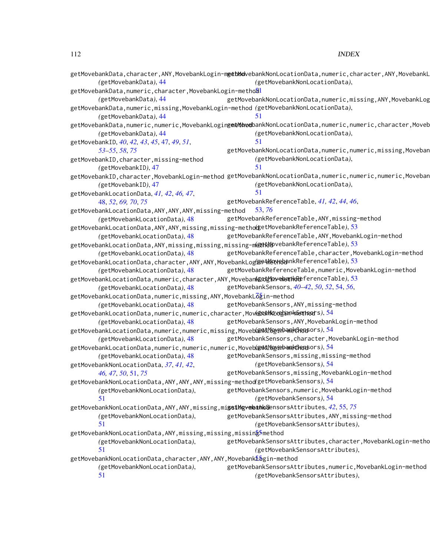|                                                                                                                    | getMovebankData,character,ANY,MovebankLogin <mark>-m<del>g</del>etMdo</mark> vebankNonLocationData,numeric,character,ANY,MovebankL |
|--------------------------------------------------------------------------------------------------------------------|------------------------------------------------------------------------------------------------------------------------------------|
| (getMovebankData), 44                                                                                              | (getMovebankNonLocationData),                                                                                                      |
| getMovebankData,numeric,character,MovebankLogin-metho <mark>ã</mark> l                                             |                                                                                                                                    |
| (getMovebankData), 44                                                                                              | getMovebankNonLocationData, numeric, missing, ANY, MovebankLog                                                                     |
| getMovebankData,numeric,missing,MovebankLogin-method (getMovebankNonLocationData),                                 |                                                                                                                                    |
| (getMovebankData), 44                                                                                              | 51                                                                                                                                 |
|                                                                                                                    | getMovebankData,numeric,numeric,MovebankLogin <del>g<b>atNove</b>b</del> ankNonLocationData,numeric,numeric,character,Moveb        |
| (getMovebankData), 44                                                                                              | (getMovebankNonLocationData),                                                                                                      |
| getMovebankID, 40, 42, 43, 45, 47, 49, 51,                                                                         | 51                                                                                                                                 |
| 53-55, 58, 75                                                                                                      | getMovebankNonLocationData, numeric, numeric, missing, Moveban                                                                     |
| getMovebankID, character, missing-method                                                                           | (getMovebankNonLocationData),                                                                                                      |
| (getMovebankID), 47                                                                                                | 51                                                                                                                                 |
|                                                                                                                    | getMovebankID,character,MovebankLogin-method getMovebankNonLocationData,numeric,numeric,numeric,Moveban                            |
| (getMovebankID), 47                                                                                                | (getMovebankNonLocationData),                                                                                                      |
| getMovebankLocationData, 41, 42, 46, 47,                                                                           | 51                                                                                                                                 |
| 48, 52, 69, 70, 75                                                                                                 | getMovebankReferenceTable, 41, 42, 44, 46,                                                                                         |
| getMovebankLocationData, ANY, ANY, ANY, missing-method                                                             | 53, 76                                                                                                                             |
| (getMovebankLocationData), 48                                                                                      | getMovebankReferenceTable, ANY, missing-method                                                                                     |
| getMovebankLocationData,ANY,ANY,missing,missing-metho@setMovebankReferenceTable),53                                |                                                                                                                                    |
| (getMovebankLocationData), 48                                                                                      | getMovebankReferenceTable, ANY, MovebankLogin-method                                                                               |
| getMovebankLocationData,ANY,missing,missing,missing-m@@4tMbvebankReferenceTable),53                                |                                                                                                                                    |
| (getMovebankLocationData), 48                                                                                      | getMovebankReferenceTable, character, MovebankLogin-method                                                                         |
| getMovebankLocationData,character,ANY,ANY,MovebankLog的 <del>etMovRob</del> nkReferenceTable),53                    |                                                                                                                                    |
| (getMovebankLocationData), 48                                                                                      | getMovebankReferenceTable, numeric, MovebankLogin-method                                                                           |
| getMovebankLocationData,numeric,character,ANY,Moveban <b>はsthevenathkRe</b> ferenceTable),53                       |                                                                                                                                    |
| (getMovebankLocationData), 48                                                                                      | getMovebankSensors, 40-42, 50, 52, 54, 56,                                                                                         |
| getMovebankLocationData,numeric,missing,ANY,MovebankL $\rm \overline{\delta g}$ in-method                          |                                                                                                                                    |
| (getMovebankLocationData), 48                                                                                      | getMovebankSensors, ANY, missing-method                                                                                            |
| getMovebankLocationData,numeric,numeric,character,Mov <b>@etMoveban+methsor</b> s),54                              |                                                                                                                                    |
| (getMovebankLocationData), 48                                                                                      | getMovebankSensors, ANY, MovebankLogin-method                                                                                      |
| getMovebankLocationData,numeric,numeric,missing,Moveb <del>ໃatalMoyapanedRans</del> ors),54                        |                                                                                                                                    |
| (getMovebankLocationData), 48                                                                                      | getMovebankSensors, character, MovebankLogin-method                                                                                |
| getMovebankLocationData,numeric,numeric,numeric,MovebarktMograband母anpors),54                                      |                                                                                                                                    |
| (getMovebankLocationData), 48                                                                                      | getMovebankSensors, missing, missing-method                                                                                        |
| getMovebankNonLocationData, 37, 41, 42,                                                                            | (getMovebankSensors), 54                                                                                                           |
| 46, 47, 50, 51, 75                                                                                                 | getMovebankSensors, missing, MovebankLogin-method                                                                                  |
| getMovebankNonLocationData,ANY,ANY,ANY,missing-method(getMovebankSensors),54                                       |                                                                                                                                    |
| (getMovebankNonLocationData),                                                                                      | getMovebankSensors, numeric, MovebankLogin-method                                                                                  |
| 51                                                                                                                 | (getMovebankSensors), 54                                                                                                           |
| getMovebankNonLocationData,ANY,ANY,missing,mi <b>gsiMgveleahls&amp;</b> ensorsAttributes, <i>42</i> ,55, <i>75</i> |                                                                                                                                    |
| (getMovebankNonLocationData),                                                                                      | getMovebankSensorsAttributes, ANY, missing-method                                                                                  |
| 51                                                                                                                 | (getMovebankSensorsAttributes),                                                                                                    |
| getMovebankNonLocationData,ANY,missing,missing,missin <mark>g<sup>5</sup>method</mark>                             |                                                                                                                                    |
| (getMovebankNonLocationData),                                                                                      | getMovebankSensorsAttributes, character, MovebankLogin-metho                                                                       |
| 51                                                                                                                 | (getMovebankSensorsAttributes),                                                                                                    |
| getMovebankNonLocationData,character,ANY,ANY,Movebank���gin-method                                                 |                                                                                                                                    |
| (getMovebankNonLocationData),                                                                                      | getMovebankSensorsAttributes, numeric, MovebankLogin-method                                                                        |
| 51                                                                                                                 | (getMovebankSensorsAttributes),                                                                                                    |
|                                                                                                                    |                                                                                                                                    |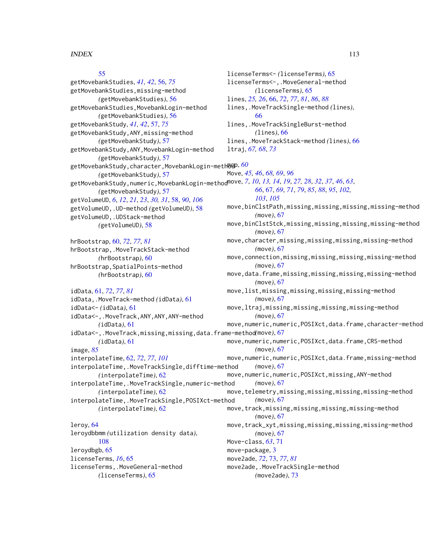# [55](#page-54-0)

getMovebankStudies, *[41,](#page-40-0) [42](#page-41-0)*, [56,](#page-55-0) *[75](#page-74-0)* getMovebankStudies,missing-method *(*getMovebankStudies*)*, [56](#page-55-0) getMovebankStudies,MovebankLogin-method *(*getMovebankStudies*)*, [56](#page-55-0) getMovebankStudy, *[41,](#page-40-0) [42](#page-41-0)*, [57,](#page-56-0) *[75](#page-74-0)* getMovebankStudy,ANY,missing-method *(*getMovebankStudy*)*, [57](#page-56-0) getMovebankStudy,ANY,MovebankLogin-method *(*getMovebankStudy*)*, [57](#page-56-0) getMovebankStudy,character,MovebankLogin-meth**8@**P<sup>,[60](#page-59-0)</sup> *(*getMovebankStudy*)*, [57](#page-56-0) getMovebankStudy,numeric,MovebankLogin-method move, *[7](#page-6-0)*, *[10](#page-9-0)*, *[13,](#page-12-0) [14](#page-13-0)*, *[19](#page-18-0)*, *[27,](#page-26-0) [28](#page-27-0)*, *[32](#page-31-0)*, *[37](#page-36-0)*, *[46](#page-45-0)*, *[63](#page-62-0)*, *(*getMovebankStudy*)*, [57](#page-56-0) getVolumeUD, *[6](#page-5-0)*, *[12](#page-11-0)*, *[21](#page-20-0)*, *[23](#page-22-0)*, *[30,](#page-29-0) [31](#page-30-0)*, [58,](#page-57-0) *[90](#page-89-0)*, *[106](#page-105-0)* getVolumeUD,.UD-method *(*getVolumeUD*)*, [58](#page-57-0) getVolumeUD,.UDStack-method *(*getVolumeUD*)*, [58](#page-57-0)

hrBootstrap, [60,](#page-59-0) *[72](#page-71-0)*, *[77](#page-76-0)*, *[81](#page-80-0)* hrBootstrap,.MoveTrackStack-method *(*hrBootstrap*)*, [60](#page-59-0) hrBootstrap,SpatialPoints-method *(*hrBootstrap*)*, [60](#page-59-0)

idData, [61,](#page-60-0) *[72](#page-71-0)*, *[77](#page-76-0)*, *[81](#page-80-0)* idData,.MoveTrack-method *(*idData*)*, [61](#page-60-0) idData<- *(*idData*)*, [61](#page-60-0) idData<-,.MoveTrack,ANY,ANY,ANY-method *(*idData*)*, [61](#page-60-0) idData<-,.MoveTrack,missing,missing,data.frame-method *(*move*)*, [67](#page-66-0) *(*idData*)*, [61](#page-60-0) image, *[85](#page-84-0)* interpolateTime, [62,](#page-61-0) *[72](#page-71-0)*, *[77](#page-76-0)*, *[101](#page-100-0)* interpolateTime,.MoveTrackSingle,difftime-method *(*interpolateTime*)*, [62](#page-61-0) interpolateTime,.MoveTrackSingle,numeric-method *(*interpolateTime*)*, [62](#page-61-0) interpolateTime,.MoveTrackSingle,POSIXct-method *(*interpolateTime*)*, [62](#page-61-0)

leroy, [64](#page-63-0) leroydbbmm *(*utilization density data*)*, [108](#page-107-0) leroydbgb, [65](#page-64-0) licenseTerms, *[16](#page-15-0)*, [65](#page-64-0) licenseTerms,.MoveGeneral-method *(*licenseTerms*)*, [65](#page-64-0)

licenseTerms<- *(*licenseTerms*)*, [65](#page-64-0) licenseTerms<-,.MoveGeneral-method *(*licenseTerms*)*, [65](#page-64-0) lines, *[25,](#page-24-0) [26](#page-25-0)*, [66,](#page-65-0) *[72](#page-71-0)*, *[77](#page-76-0)*, *[81](#page-80-0)*, *[86](#page-85-0)*, *[88](#page-87-0)* lines,.MoveTrackSingle-method *(*lines*)*, [66](#page-65-0) lines,.MoveTrackSingleBurst-method *(*lines*)*, [66](#page-65-0) lines,.MoveTrackStack-method *(*lines*)*, [66](#page-65-0) ltraj, *[67,](#page-66-0) [68](#page-67-0)*, *[73](#page-72-0)* Move, *[45,](#page-44-0) [46](#page-45-0)*, *[68,](#page-67-0) [69](#page-68-0)*, *[96](#page-95-0) [66](#page-65-0)*, [67,](#page-66-0) *[69](#page-68-0)*, *[71](#page-70-0)*, *[79](#page-78-0)*, *[85](#page-84-0)*, *[88](#page-87-0)*, *[95](#page-94-0)*, *[102,](#page-101-0) [103](#page-102-0)*, *[105](#page-104-0)* move,binClstPath,missing,missing,missing,missing-method *(*move*)*, [67](#page-66-0) move,binClstStck,missing,missing,missing,missing-method *(*move*)*, [67](#page-66-0) move,character,missing,missing,missing,missing-method *(*move*)*, [67](#page-66-0) move,connection,missing,missing,missing,missing-method *(*move*)*, [67](#page-66-0) move,data.frame,missing,missing,missing,missing-method *(*move*)*, [67](#page-66-0) move,list,missing,missing,missing,missing-method *(*move*)*, [67](#page-66-0) move,ltraj,missing,missing,missing,missing-method *(*move*)*, [67](#page-66-0) move,numeric,numeric,POSIXct,data.frame,character-method move,numeric,numeric,POSIXct,data.frame,CRS-method *(*move*)*, [67](#page-66-0) move, numeric, numeric, POSIXct, data.frame, missing-method *(*move*)*, [67](#page-66-0) move,numeric,numeric,POSIXct,missing,ANY-method *(*move*)*, [67](#page-66-0) move,telemetry,missing,missing,missing,missing-method *(*move*)*, [67](#page-66-0) move,track,missing,missing,missing,missing-method *(*move*)*, [67](#page-66-0) move,track\_xyt,missing,missing,missing,missing-method *(*move*)*, [67](#page-66-0) Move-class, *[63](#page-62-0)*, [71](#page-70-0)

move2ade, *[72](#page-71-0)*, [73,](#page-72-0) *[77](#page-76-0)*, *[81](#page-80-0)* move2ade,.MoveTrackSingle-method

## *(*move2ade*)*, [73](#page-72-0)

move-package, [3](#page-2-0)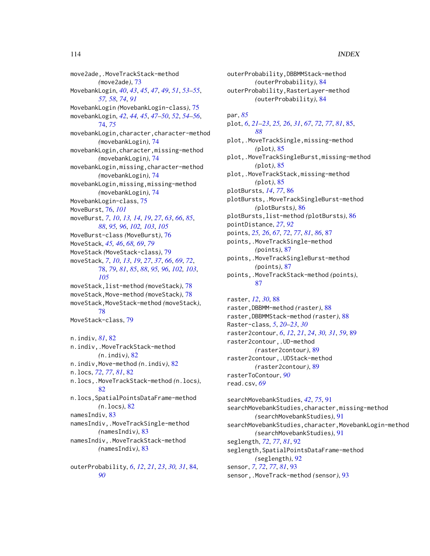move2ade,.MoveTrackStack-method *(*move2ade*)*, [73](#page-72-0) MovebankLogin, *[40](#page-39-0)*, *[43](#page-42-0)*, *[45](#page-44-0)*, *[47](#page-46-0)*, *[49](#page-48-0)*, *[51](#page-50-0)*, *[53–](#page-52-0)[55](#page-54-0)*, *[57,](#page-56-0) [58](#page-57-0)*, *[74](#page-73-0)*, *[91](#page-90-0)* MovebankLogin *(*MovebankLogin-class*)*, [75](#page-74-0) movebankLogin, *[42](#page-41-0)*, *[44,](#page-43-0) [45](#page-44-0)*, *[47–](#page-46-0)[50](#page-49-0)*, *[52](#page-51-0)*, *[54–](#page-53-0)[56](#page-55-0)*, [74,](#page-73-0) *[75](#page-74-0)* movebankLogin,character,character-method *(*movebankLogin*)*, [74](#page-73-0) movebankLogin,character,missing-method *(*movebankLogin*)*, [74](#page-73-0) movebankLogin,missing,character-method *(*movebankLogin*)*, [74](#page-73-0) movebankLogin,missing,missing-method *(*movebankLogin*)*, [74](#page-73-0) MovebankLogin-class, [75](#page-74-0) MoveBurst, [76,](#page-75-0) *[101](#page-100-0)* moveBurst, *[7](#page-6-0)*, *[10](#page-9-0)*, *[13,](#page-12-0) [14](#page-13-0)*, *[19](#page-18-0)*, *[27](#page-26-0)*, *[63](#page-62-0)*, *[66](#page-65-0)*, *[85](#page-84-0)*, *[88](#page-87-0)*, *[95,](#page-94-0) [96](#page-95-0)*, *[102,](#page-101-0) [103](#page-102-0)*, *[105](#page-104-0)* MoveBurst-class *(*MoveBurst*)*, [76](#page-75-0) MoveStack, *[45,](#page-44-0) [46](#page-45-0)*, *[68,](#page-67-0) [69](#page-68-0)*, *[79](#page-78-0)* MoveStack *(*MoveStack-class*)*, [79](#page-78-0) moveStack, *[7](#page-6-0)*, *[10](#page-9-0)*, *[13](#page-12-0)*, *[19](#page-18-0)*, *[27](#page-26-0)*, *[37](#page-36-0)*, *[66](#page-65-0)*, *[69](#page-68-0)*, *[72](#page-71-0)*, [78,](#page-77-0) *[79](#page-78-0)*, *[81](#page-80-0)*, *[85](#page-84-0)*, *[88](#page-87-0)*, *[95,](#page-94-0) [96](#page-95-0)*, *[102,](#page-101-0) [103](#page-102-0)*, *[105](#page-104-0)* moveStack,list-method *(*moveStack*)*, [78](#page-77-0) moveStack,Move-method *(*moveStack*)*, [78](#page-77-0) moveStack,MoveStack-method *(*moveStack*)*, [78](#page-77-0) MoveStack-class, [79](#page-78-0) n.indiv, *[81](#page-80-0)*, [82](#page-81-0) n.indiv,.MoveTrackStack-method *(*n.indiv*)*, [82](#page-81-0) n.indiv,Move-method *(*n.indiv*)*, [82](#page-81-0) n.locs, *[72](#page-71-0)*, *[77](#page-76-0)*, *[81](#page-80-0)*, [82](#page-81-0) n.locs,.MoveTrackStack-method *(*n.locs*)*, [82](#page-81-0) n.locs,SpatialPointsDataFrame-method *(*n.locs*)*, [82](#page-81-0) namesIndiv, [83](#page-82-0) namesIndiv,.MoveTrackSingle-method *(*namesIndiv*)*, [83](#page-82-0) namesIndiv,.MoveTrackStack-method *(*namesIndiv*)*, [83](#page-82-0) outerProbability, *[6](#page-5-0)*, *[12](#page-11-0)*, *[21](#page-20-0)*, *[23](#page-22-0)*, *[30,](#page-29-0) [31](#page-30-0)*, [84,](#page-83-0)

*[90](#page-89-0)*

outerProbability,DBBMMStack-method *(*outerProbability*)*, [84](#page-83-0) outerProbability,RasterLayer-method *(*outerProbability*)*, [84](#page-83-0)

par, *[85](#page-84-0)*

plot, *[6](#page-5-0)*, *[21](#page-20-0)[–23](#page-22-0)*, *[25,](#page-24-0) [26](#page-25-0)*, *[31](#page-30-0)*, *[67](#page-66-0)*, *[72](#page-71-0)*, *[77](#page-76-0)*, *[81](#page-80-0)*, [85,](#page-84-0) *[88](#page-87-0)* plot,.MoveTrackSingle,missing-method *(*plot*)*, [85](#page-84-0) plot,.MoveTrackSingleBurst,missing-method *(*plot*)*, [85](#page-84-0) plot,.MoveTrackStack,missing-method *(*plot*)*, [85](#page-84-0) plotBursts, *[14](#page-13-0)*, *[77](#page-76-0)*, [86](#page-85-0) plotBursts,.MoveTrackSingleBurst-method *(*plotBursts*)*, [86](#page-85-0) plotBursts,list-method *(*plotBursts*)*, [86](#page-85-0) pointDistance, *[27](#page-26-0)*, *[92](#page-91-0)* points, *[25,](#page-24-0) [26](#page-25-0)*, *[67](#page-66-0)*, *[72](#page-71-0)*, *[77](#page-76-0)*, *[81](#page-80-0)*, *[86](#page-85-0)*, [87](#page-86-0) points,.MoveTrackSingle-method *(*points*)*, [87](#page-86-0) points,.MoveTrackSingleBurst-method *(*points*)*, [87](#page-86-0) points,.MoveTrackStack-method *(*points*)*, [87](#page-86-0) raster, *[12](#page-11-0)*, *[30](#page-29-0)*, [88](#page-87-0)

raster,DBBMM-method *(*raster*)*, [88](#page-87-0) raster,DBBMMStack-method *(*raster*)*, [88](#page-87-0) Raster-class, *[5](#page-4-0)*, *[20](#page-19-0)[–23](#page-22-0)*, *[30](#page-29-0)* raster2contour, *[6](#page-5-0)*, *[12](#page-11-0)*, *[21](#page-20-0)*, *[24](#page-23-0)*, *[30,](#page-29-0) [31](#page-30-0)*, *[59](#page-58-0)*, [89](#page-88-0) raster2contour,.UD-method *(*raster2contour*)*, [89](#page-88-0) raster2contour,.UDStack-method *(*raster2contour*)*, [89](#page-88-0) rasterToContour, *[90](#page-89-0)* read.csv, *[69](#page-68-0)*

searchMovebankStudies, *[42](#page-41-0)*, *[75](#page-74-0)*, [91](#page-90-0) searchMovebankStudies,character,missing-method *(*searchMovebankStudies*)*, [91](#page-90-0) searchMovebankStudies,character,MovebankLogin-method *(*searchMovebankStudies*)*, [91](#page-90-0) seglength, *[72](#page-71-0)*, *[77](#page-76-0)*, *[81](#page-80-0)*, [92](#page-91-0) seglength, SpatialPointsDataFrame-method *(*seglength*)*, [92](#page-91-0) sensor, *[7](#page-6-0)*, *[72](#page-71-0)*, *[77](#page-76-0)*, *[81](#page-80-0)*, [93](#page-92-0) sensor,.MoveTrack-method *(*sensor*)*, [93](#page-92-0)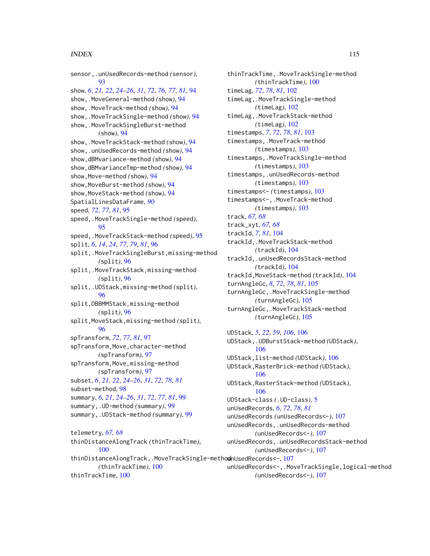#### INDEX 115

sensor,.unUsedRecords-method *(*sensor*)*, [93](#page-92-0) show, *[6](#page-5-0)*, *[21,](#page-20-0) [22](#page-21-0)*, *[24](#page-23-0)[–26](#page-25-0)*, *[31](#page-30-0)*, *[72](#page-71-0)*, *[76,](#page-75-0) [77](#page-76-0)*, *[81](#page-80-0)*, [94](#page-93-0) show,.MoveGeneral-method *(*show*)*, [94](#page-93-0) show,.MoveTrack-method *(*show*)*, [94](#page-93-0) show,.MoveTrackSingle-method *(*show*)*, [94](#page-93-0) show,.MoveTrackSingleBurst-method *(*show*)*, [94](#page-93-0) show,.MoveTrackStack-method *(*show*)*, [94](#page-93-0) show,.unUsedRecords-method *(*show*)*, [94](#page-93-0) show,dBMvariance-method *(*show*)*, [94](#page-93-0) show,dBMvarianceTmp-method *(*show*)*, [94](#page-93-0) show,Move-method *(*show*)*, [94](#page-93-0) show,MoveBurst-method *(*show*)*, [94](#page-93-0) show,MoveStack-method *(*show*)*, [94](#page-93-0) SpatialLinesDataFrame, *[90](#page-89-0)* speed, *[72](#page-71-0)*, *[77](#page-76-0)*, *[81](#page-80-0)*, [95](#page-94-0) speed,.MoveTrackSingle-method *(*speed*)*, [95](#page-94-0) speed,.MoveTrackStack-method *(*speed*)*, [95](#page-94-0) split, *[6](#page-5-0)*, *[14](#page-13-0)*, *[24](#page-23-0)*, *[77](#page-76-0)*, *[79](#page-78-0)*, *[81](#page-80-0)*, [96](#page-95-0) split,.MoveTrackSingleBurst,missing-method *(*split*)*, [96](#page-95-0) split,.MoveTrackStack,missing-method *(*split*)*, [96](#page-95-0) split,.UDStack,missing-method *(*split*)*, [96](#page-95-0) split,DBBMMStack,missing-method *(*split*)*, [96](#page-95-0) split,MoveStack,missing-method *(*split*)*, [96](#page-95-0) spTransform, *[72](#page-71-0)*, *[77](#page-76-0)*, *[81](#page-80-0)*, [97](#page-96-0) spTransform,Move,character-method *(*spTransform*)*, [97](#page-96-0) spTransform,Move,missing-method *(*spTransform*)*, [97](#page-96-0) subset, *[6](#page-5-0)*, *[21,](#page-20-0) [22](#page-21-0)*, *[24](#page-23-0)[–26](#page-25-0)*, *[31](#page-30-0)*, *[72](#page-71-0)*, *[78](#page-77-0)*, *[81](#page-80-0)* subset-method, [98](#page-97-0) summary, *[6](#page-5-0)*, *[21](#page-20-0)*, *[24](#page-23-0)[–26](#page-25-0)*, *[31](#page-30-0)*, *[72](#page-71-0)*, *[77](#page-76-0)*, *[81](#page-80-0)*, [99](#page-98-0) summary,.UD-method *(*summary*)*, [99](#page-98-0) summary,.UDStack-method *(*summary*)*, [99](#page-98-0) telemetry, *[67,](#page-66-0) [68](#page-67-0)* thinDistanceAlongTrack *(*thinTrackTime*)*, [100](#page-99-0) thinDistanceAlongTrack,.MoveTrackSingle-methodhUsedRecords<-,[107](#page-106-0) *(*thinTrackTime*)*, [100](#page-99-0) thinTrackTime, [100](#page-99-0)

thinTrackTime,.MoveTrackSingle-method *(*thinTrackTime*)*, [100](#page-99-0) timeLag, *[72](#page-71-0)*, *[78](#page-77-0)*, *[81](#page-80-0)*, [102](#page-101-0) timeLag,.MoveTrackSingle-method *(*timeLag*)*, [102](#page-101-0) timeLag,.MoveTrackStack-method *(*timeLag*)*, [102](#page-101-0) timestamps, *[7](#page-6-0)*, *[72](#page-71-0)*, *[78](#page-77-0)*, *[81](#page-80-0)*, [103](#page-102-0) timestamps,.MoveTrack-method *(*timestamps*)*, [103](#page-102-0) timestamps,.MoveTrackSingle-method *(*timestamps*)*, [103](#page-102-0) timestamps,.unUsedRecords-method *(*timestamps*)*, [103](#page-102-0) timestamps<- *(*timestamps*)*, [103](#page-102-0) timestamps<-,.MoveTrack-method *(*timestamps*)*, [103](#page-102-0) track, *[67,](#page-66-0) [68](#page-67-0)* track\_xyt, *[67,](#page-66-0) [68](#page-67-0)* trackId, *[7](#page-6-0)*, *[81](#page-80-0)*, [104](#page-103-0) trackId,.MoveTrackStack-method *(*trackId*)*, [104](#page-103-0) trackId,.unUsedRecordsStack-method *(*trackId*)*, [104](#page-103-0) trackId,MoveStack-method *(*trackId*)*, [104](#page-103-0) turnAngleGc, *[8](#page-7-0)*, *[72](#page-71-0)*, *[78](#page-77-0)*, *[81](#page-80-0)*, [105](#page-104-0) turnAngleGc,.MoveTrackSingle-method *(*turnAngleGc*)*, [105](#page-104-0) turnAngleGc,.MoveTrackStack-method *(*turnAngleGc*)*, [105](#page-104-0) UDStack, *[5](#page-4-0)*, *[22](#page-21-0)*, *[59](#page-58-0)*, *[106](#page-105-0)*, [106](#page-105-0) UDStack,.UDBurstStack-method *(*UDStack*)*, [106](#page-105-0)

UDStack,list-method *(*UDStack*)*, [106](#page-105-0) UDStack,RasterBrick-method *(*UDStack*)*, [106](#page-105-0) UDStack,RasterStack-method *(*UDStack*)*, [106](#page-105-0) UDStack-class *(*.UD-class*)*, [5](#page-4-0) unUsedRecords, *[6](#page-5-0)*, *[72](#page-71-0)*, *[78](#page-77-0)*, *[81](#page-80-0)* unUsedRecords *(*unUsedRecords<-*)*, [107](#page-106-0) unUsedRecords,.unUsedRecords-method *(*unUsedRecords<-*)*, [107](#page-106-0) unUsedRecords,.unUsedRecordsStack-method *(*unUsedRecords<-*)*, [107](#page-106-0) unUsedRecords<-,.MoveTrackSingle,logical-method *(*unUsedRecords<-*)*, [107](#page-106-0)